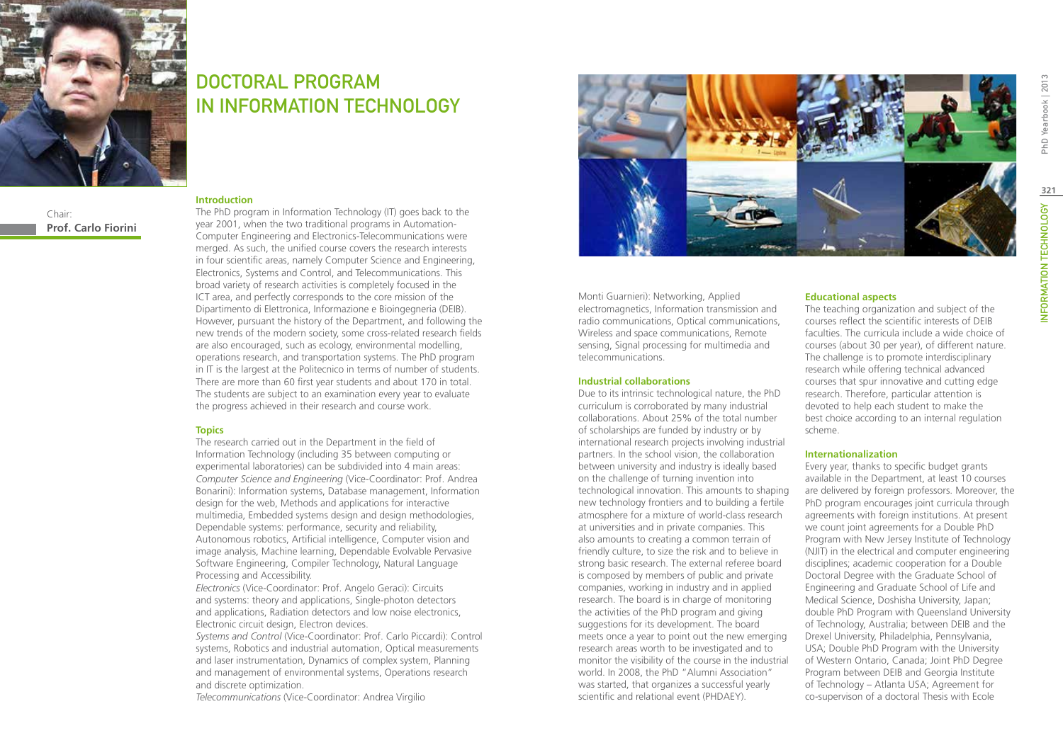

Chair: **Prof. Carlo Fiorini**

## DOCTORAL PROGRAM IN Information Technology

#### **Introduction**

The PhD program in Information Technology (IT) goes back to the year 2001, when the two traditional programs in Automation-Computer Engineering and Electronics-Telecommunications were merged. As such, the unified course covers the research interests in four scientific areas, namely Computer Science and Engineering, Electronics, Systems and Control, and Telecommunications. This broad variety of research activities is completely focused in the ICT area, and perfectly corresponds to the core mission of the Dipartimento di Elettronica, Informazione e Bioingegneria (DEIB). However, pursuant the history of the Department, and following the new trends of the modern society, some cross-related research fields are also encouraged, such as ecology, environmental modelling, operations research, and transportation systems. The PhD program in IT is the largest at the Politecnico in terms of number of students. There are more than 60 first year students and about 170 in total. The students are subject to an examination every year to evaluate the progress achieved in their research and course work.

#### **Topics**

The research carried out in the Department in the field of Information Technology (including 35 between computing or experimental laboratories) can be subdivided into 4 main areas: *Computer Science and Engineering* (Vice-Coordinator: Prof. Andrea Bonarini): Information systems, Database management, Information design for the web, Methods and applications for interactive multimedia, Embedded systems design and design methodologies, Dependable systems: performance, security and reliability, Autonomous robotics, Artificial intelligence, Computer vision and image analysis, Machine learning, Dependable Evolvable Pervasive Software Engineering, Compiler Technology, Natural Language Processing and Accessibility.

*Electronics* (Vice-Coordinator: Prof. Angelo Geraci): Circuits and systems: theory and applications, Single-photon detectors and applications, Radiation detectors and low noise electronics, Electronic circuit design, Electron devices.

*Systems and Control* (Vice-Coordinator: Prof. Carlo Piccardi): Control systems, Robotics and industrial automation, Optical measurements and laser instrumentation, Dynamics of complex system, Planning and management of environmental systems, Operations research and discrete optimization.

*Telecommunications* (Vice-Coordinator: Andrea Virgilio



Monti Guarnieri): Networking, Applied electromagnetics, Information transmission and radio communications, Optical communications, Wireless and space communications, Remote sensing, Signal processing for multimedia and telecommunications.

#### **Industrial collaborations**

Due to its intrinsic technological nature, the PhD curriculum is corroborated by many industrial collaborations. About 25% of the total number of scholarships are funded by industry or by international research projects involving industrial partners. In the school vision, the collaboration between university and industry is ideally based on the challenge of turning invention into technological innovation. This amounts to shaping new technology frontiers and to building a fertile atmosphere for a mixture of world-class research at universities and in private companies. This also amounts to creating a common terrain of friendly culture, to size the risk and to believe in strong basic research. The external referee board is composed by members of public and private companies, working in industry and in applied research. The board is in charge of monitoring the activities of the PhD program and giving suggestions for its development. The board meets once a year to point out the new emerging research areas worth to be investigated and to monitor the visibility of the course in the industrial world. In 2008, the PhD "Alumni Association" was started, that organizes a successful yearly scientific and relational event (PHDAEY).

#### **Educational aspects**

The teaching organization and subject of the courses reflect the scientific interests of DEIB faculties. The curricula include a wide choice of courses (about 30 per year), of different nature. The challenge is to promote interdisciplinary research while offering technical advanced courses that spur innovative and cutting edge research. Therefore, particular attention is devoted to help each student to make the best choice according to an internal regulation scheme.

#### **Internationalization**

Every year, thanks to specific budget grants available in the Department, at least 10 courses are delivered by foreign professors. Moreover, the PhD program encourages joint curricula through agreements with foreign institutions. At present we count joint agreements for a Double PhD Program with New Jersey Institute of Technology (NJIT) in the electrical and computer engineering disciplines; academic cooperation for a Double Doctoral Degree with the Graduate School of Engineering and Graduate School of Life and Medical Science, Doshisha University, Japan; double PhD Program with Queensland University of Technology, Australia; between DEIB and the Drexel University, Philadelphia, Pennsylvania, USA; Double PhD Program with the University of Western Ontario, Canada; Joint PhD Degree Program between DEIB and Georgia Institute of Technology – Atlanta USA; Agreement for co-supervison of a doctoral Thesis with Ecole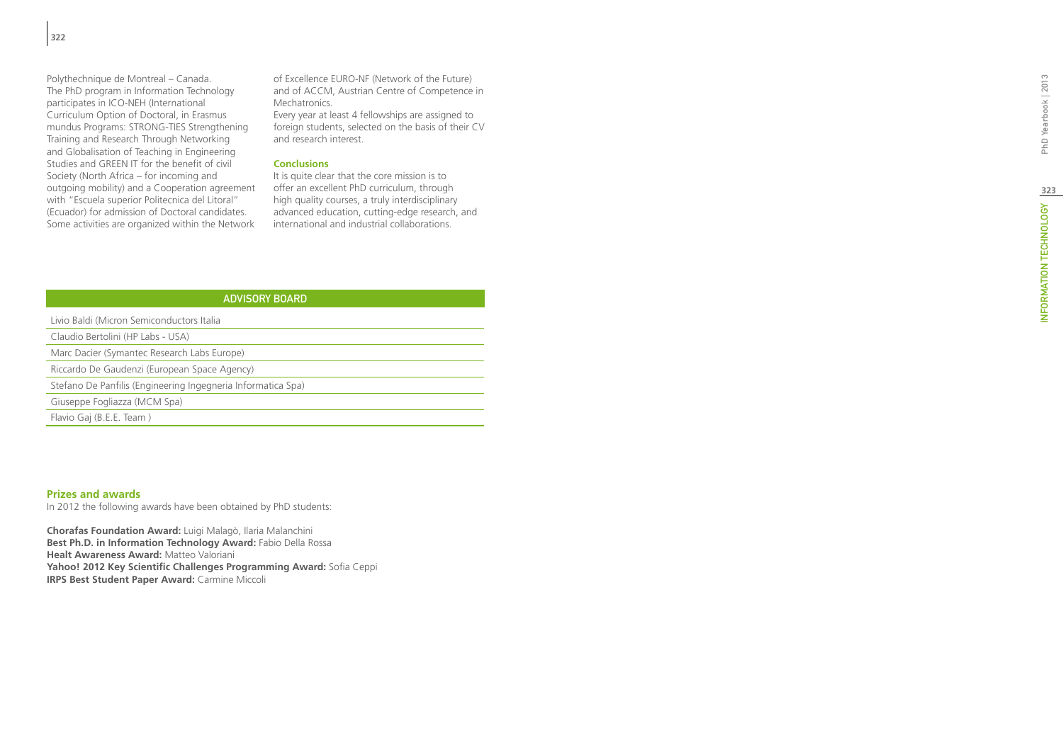Polythechnique de Montreal – Canada. The PhD program in Information Technology participates in ICO-NEH (International Curriculum Option of Doctoral, in Erasmus mundus Programs: STRONG-TIES Strengthening Training and Research Through Networking and Globalisation of Teaching in Engineering Studies and GREEN IT for the benefit of civil Society (North Africa – for incoming and outgoing mobility) and a Cooperation agreement with "Escuela superior Politecnica del Litoral" (Ecuador) for admission of Doctoral candidates. Some activities are organized within the Network of Excellence EURO-NF (Network of the Future) and of ACCM, Austrian Centre of Competence in Mechatronics.

Every year at least 4 fellowships are assigned to foreign students, selected on the basis of their CV and research interest.

## **Conclusions**

It is quite clear that the core mission is to offer an excellent PhD curriculum, through high quality courses, a truly interdisciplinary advanced education, cutting-edge research, and international and industrial collaborations.

| <b>ADVISORY BOARD</b>                                                                                                                                                                                                                                                                                          |
|----------------------------------------------------------------------------------------------------------------------------------------------------------------------------------------------------------------------------------------------------------------------------------------------------------------|
| Livio Baldi (Micron Semiconductors Italia                                                                                                                                                                                                                                                                      |
| Claudio Bertolini (HP Labs - USA)                                                                                                                                                                                                                                                                              |
| Marc Dacier (Symantec Research Labs Europe)                                                                                                                                                                                                                                                                    |
| Riccardo De Gaudenzi (European Space Agency)                                                                                                                                                                                                                                                                   |
| Stefano De Panfilis (Engineering Ingegneria Informatica Spa)                                                                                                                                                                                                                                                   |
| Giuseppe Fogliazza (MCM Spa)                                                                                                                                                                                                                                                                                   |
| Flavio Gaj (B.E.E. Team)                                                                                                                                                                                                                                                                                       |
|                                                                                                                                                                                                                                                                                                                |
|                                                                                                                                                                                                                                                                                                                |
|                                                                                                                                                                                                                                                                                                                |
| <b>Prizes and awards</b><br>In 2012 the following awards have been obtained by PhD students:                                                                                                                                                                                                                   |
| Chorafas Foundation Award: Luigi Malagò, Ilaria Malanchini<br>Best Ph.D. in Information Technology Award: Fabio Della Rossa<br><b>Healt Awareness Award: Matteo Valoriani</b><br>Yahoo! 2012 Key Scientific Challenges Programming Award: Sofia Ceppi<br><b>IRPS Best Student Paper Award: Carmine Miccoli</b> |

#### **Prizes and awards**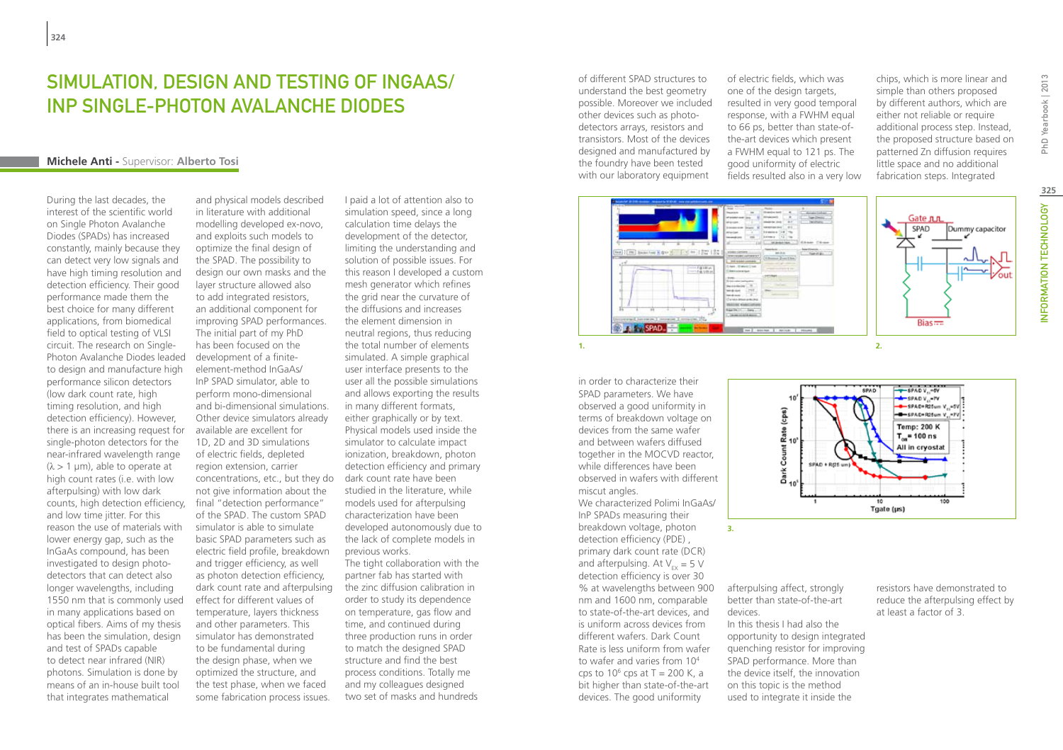## Simulation, Design and Testing of InGaAs/ InP Single-Photon Avalanche Diodes

#### **Michele Anti -** Supervisor: **Alberto Tosi**

During the last decades, the interest of the scientific world on Single Photon Avalanche Diodes (SPADs) has increased constantly, mainly because they can detect very low signals and have high timing resolution and detection efficiency. Their good performance made them the best choice for many different applications, from biomedical field to optical testing of VLSI circuit. The research on Single-Photon Avalanche Diodes leaded to design and manufacture high performance silicon detectors (low dark count rate, high timing resolution, and high detection efficiency). However, there is an increasing request for single-photon detectors for the near-infrared wavelength range  $(\lambda > 1 \mu m)$ , able to operate at high count rates (i.e. with low afterpulsing) with low dark counts, high detection efficiency, final "detection performance" and low time jitter. For this reason the use of materials with lower energy gap, such as the InGaAs compound, has been investigated to design photodetectors that can detect also longer wavelengths, including 1550 nm that is commonly used in many applications based on optical fibers. Aims of my thesis has been the simulation, design and test of SPADs capable to detect near infrared (NIR) photons. Simulation is done by means of an in-house built tool that integrates mathematical

and physical models described in literature with additional modelling developed ex-novo, and exploits such models to optimize the final design of the SPAD. The possibility to design our own masks and the layer structure allowed also to add integrated resistors, an additional component for improving SPAD performances. The initial part of my PhD has been focused on the development of a finiteelement-method InGaAs/ InP SPAD simulator, able to perform mono-dimensional and bi-dimensional simulations. Other device simulators already available are excellent for 1D, 2D and 3D simulations of electric fields, depleted region extension, carrier concentrations, etc., but they do not give information about the of the SPAD. The custom SPAD simulator is able to simulate basic SPAD parameters such as electric field profile, breakdown and trigger efficiency, as well as photon detection efficiency, dark count rate and afterpulsing effect for different values of temperature, layers thickness and other parameters. This simulator has demonstrated to be fundamental during the design phase, when we optimized the structure, and the test phase, when we faced some fabrication process issues.

I paid a lot of attention also to simulation speed, since a long calculation time delays the development of the detector, limiting the understanding and solution of possible issues. For this reason I developed a custom mesh generator which refines the grid near the curvature of the diffusions and increases the element dimension in neutral regions, thus reducing the total number of elements simulated. A simple graphical user interface presents to the user all the possible simulations and allows exporting the results in many different formats, either graphically or by text. Physical models used inside the simulator to calculate impact ionization, breakdown, photon detection efficiency and primary dark count rate have been studied in the literature, while models used for afterpulsing characterization have been developed autonomously due to the lack of complete models in previous works. The tight collaboration with the partner fab has started with the zinc diffusion calibration in order to study its dependence on temperature, gas flow and time, and continued during three production runs in order to match the designed SPAD structure and find the best process conditions. Totally me

and my colleagues designed two set of masks and hundreds of different SPAD structures to understand the best geometry possible. Moreover we included other devices such as photodetectors arrays, resistors and transistors. Most of the devices designed and manufactured by the foundry have been tested with our laboratory equipment

of electric fields, which was one of the design targets, resulted in very good temporal response, with a FWHM equal to 66 ps, better than state-ofthe-art devices which present a FWHM equal to 121 ps. The good uniformity of electric fields resulted also in a very low chips, which is more linear and simple than others proposed by different authors, which are either not reliable or require additional process step. Instead, the proposed structure based on patterned Zn diffusion requires little space and no additional fabrication steps. Integrated



in order to characterize their SPAD parameters. We have observed a good uniformity in terms of breakdown voltage on devices from the same wafer and between wafers diffused together in the MOCVD reactor, while differences have been observed in wafers with different miscut angles.

We characterized Polimi InGaAs/ InP SPADs measuring their breakdown voltage, photon detection efficiency (PDE) , primary dark count rate (DCR) and afterpulsing. At  $V_{\text{av}} = 5$  V detection efficiency is over 30 % at wavelengths between 900 nm and 1600 nm, comparable to state-of-the-art devices, and is uniform across devices from different wafers. Dark Count Rate is less uniform from wafer to wafer and varies from 104 cps to  $10^6$  cps at T = 200 K, a bit higher than state-of-the-art devices. The good uniformity

afterpulsing affect, strongly better than state-of-the-art devices. In this thesis I had also the

Dark Count Rate (cps)<br>호

SPAD + RCS um

**3.**

opportunity to design integrated quenching resistor for improving SPAD performance. More than the device itself, the innovation on this topic is the method used to integrate it inside the

resistors have demonstrated to reduce the afterpulsing effect by at least a factor of 3.

100

Tgate (µs)

- + - SPAD V<sub>IS</sub>-SY<br>- - - - SPAD V<sub>IS</sub>-TV<br>- - - - SPAD+R25um V<sub>IS</sub>-5V

 $-$ SPAD+R25um V.,-7V **Temp: 200 K**  $T_{\text{cm}}$ = 100 ns All in cryostat

PhD Yearbook | 2013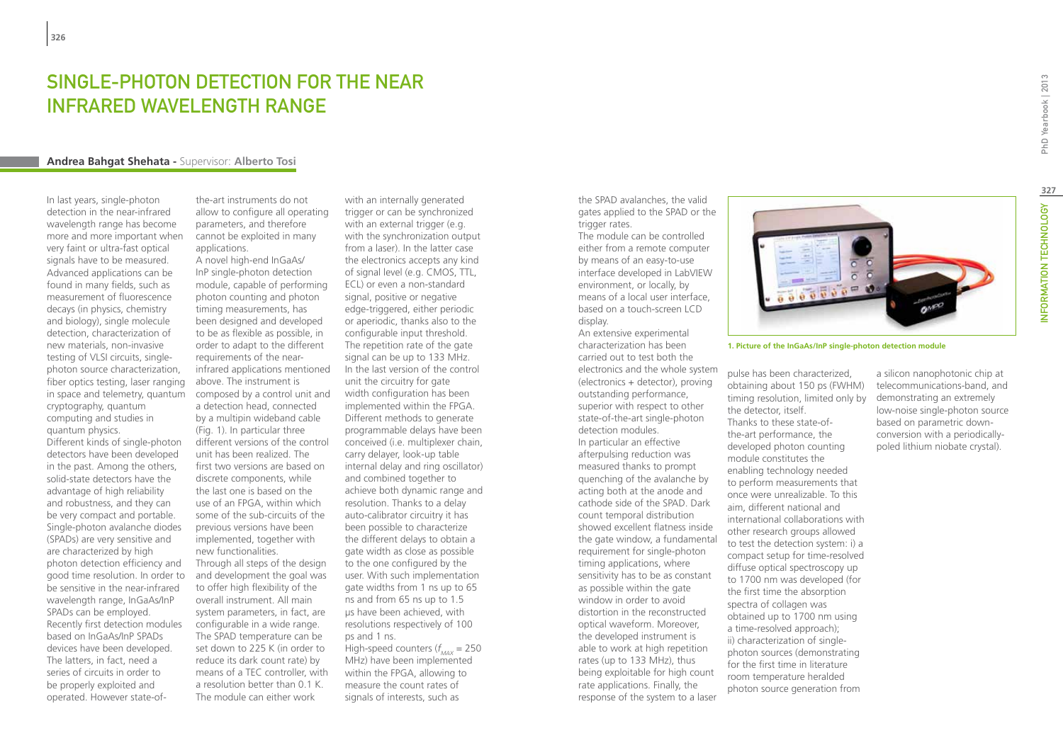## SINGI F-PHOTON DETECTION FOR THE NEAR infrared wavelength range

#### **Andrea Bahgat Shehata -** Supervisor: **Alberto Tosi**

In last years, single-photon detection in the near-infrared wavelength range has become more and more important when very faint or ultra-fast optical signals have to be measured. Advanced applications can be found in many fields, such as measurement of fluorescence decays (in physics, chemistry and biology), single molecule detection, characterization of new materials, non-invasive testing of VLSI circuits, singlephoton source characterization, fiber optics testing, laser ranging in space and telemetry, quantum cryptography, quantum computing and studies in quantum physics.

Different kinds of single-photon detectors have been developed in the past. Among the others, solid-state detectors have the advantage of high reliability and robustness, and they can be very compact and portable. Single-photon avalanche diodes (SPADs) are very sensitive and are characterized by high photon detection efficiency and good time resolution. In order to be sensitive in the near-infrared wavelength range, InGaAs/InP SPADs can be employed. Recently first detection modules based on InGaAs/InP SPADs devices have been developed. The latters, in fact, need a series of circuits in order to be properly exploited and operated. However state-of-

the-art instruments do not allow to configure all operating parameters, and therefore cannot be exploited in many applications.

A novel high-end InGaAs/ InP single-photon detection module, capable of performing photon counting and photon timing measurements, has been designed and developed to be as flexible as possible, in order to adapt to the different requirements of the nearinfrared applications mentioned above. The instrument is composed by a control unit and a detection head, connected by a multipin wideband cable (Fig. 1). In particular three different versions of the control unit has been realized. The first two versions are based on discrete components, while the last one is based on the use of an FPGA, within which some of the sub-circuits of the previous versions have been implemented, together with new functionalities. Through all steps of the design and development the goal was to offer high flexibility of the overall instrument. All main system parameters, in fact, are configurable in a wide range. The SPAD temperature can be set down to 225 K (in order to reduce its dark count rate) by means of a TEC controller, with a resolution better than 0.1 K.

The module can either work

with an internally generated trigger or can be synchronized with an external trigger (e.g. with the synchronization output from a laser). In the latter case the electronics accepts any kind of signal level (e.g. CMOS, TTL, ECL) or even a non-standard signal, positive or negative edge-triggered, either periodic or aperiodic, thanks also to the configurable input threshold. The repetition rate of the gate signal can be up to 133 MHz. In the last version of the control unit the circuitry for gate width configuration has been implemented within the FPGA. Different methods to generate programmable delays have been conceived (i.e. multiplexer chain, carry delayer, look-up table internal delay and ring oscillator) and combined together to achieve both dynamic range and resolution. Thanks to a delay auto-calibrator circuitry it has been possible to characterize the different delays to obtain a gate width as close as possible to the one configured by the user. With such implementation gate widths from 1 ns up to 65 ns and from 65 ns up to 1.5 µs have been achieved, with resolutions respectively of 100 ps and 1 ns. High-speed counters (*f MAX* = 250 MHz) have been implemented within the FPGA, allowing to measure the count rates of signals of interests, such as

the SPAD avalanches, the valid gates applied to the SPAD or the trigger rates.

The module can be controlled either from a remote computer by means of an easy-to-use interface developed in LabVIEW environment, or locally, by means of a local user interface, based on a touch-screen LCD display.

An extensive experimental characterization has been carried out to test both the electronics and the whole system (electronics + detector), proving outstanding performance, superior with respect to other state-of-the-art single-photon detection modules. In particular an effective afterpulsing reduction was measured thanks to prompt quenching of the avalanche by acting both at the anode and cathode side of the SPAD. Dark count temporal distribution showed excellent flatness inside the gate window, a fundamental requirement for single-photon timing applications, where sensitivity has to be as constant as possible within the gate window in order to avoid distortion in the reconstructed optical waveform. Moreover, the developed instrument is able to work at high repetition rates (up to 133 MHz), thus being exploitable for high count rate applications. Finally, the response of the system to a laser



**1. Picture of the InGaAs/InP single-photon detection module**

pulse has been characterized, obtaining about 150 ps (FWHM) timing resolution, limited only by the detector, itself. Thanks to these state-ofthe-art performance, the developed photon counting module constitutes the enabling technology needed to perform measurements that once were unrealizable. To this aim, different national and international collaborations with other research groups allowed to test the detection system: i) a compact setup for time-resolved diffuse optical spectroscopy up to 1700 nm was developed (for the first time the absorption spectra of collagen was obtained up to 1700 nm using a time-resolved approach); ii) characterization of singlephoton sources (demonstrating for the first time in literature room temperature heralded photon source generation from

a silicon nanophotonic chip at telecommunications-band, and demonstrating an extremely low-noise single-photon source based on parametric downconversion with a periodicallypoled lithium niobate crystal).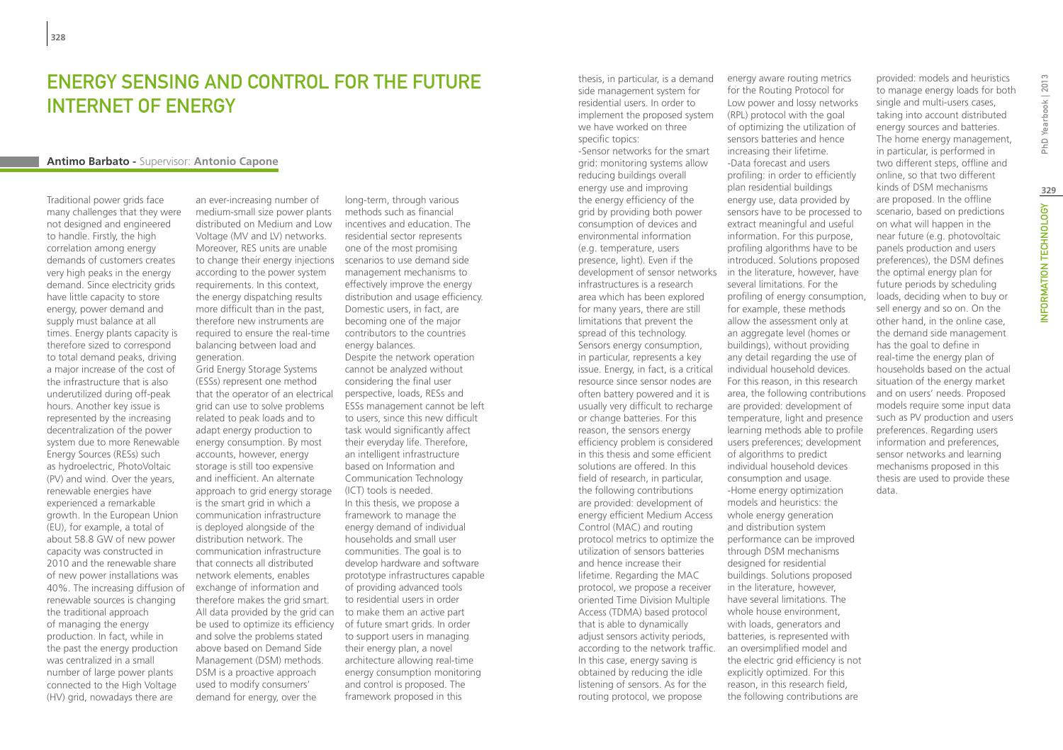## Energy Sensing and Control for the Future Internet of Energy

#### **Antimo Barbato -** Supervisor: **Antonio Capone**

Traditional power grids face many challenges that they were not designed and engineered to handle. Firstly, the high correlation among energy demands of customers creates very high peaks in the energy demand. Since electricity grids have little capacity to store energy, power demand and supply must balance at all times. Energy plants capacity is therefore sized to correspond to total demand peaks, driving a major increase of the cost of the infrastructure that is also underutilized during off-peak hours. Another key issue is represented by the increasing decentralization of the power system due to more Renewable Energy Sources (RESs) such as hydroelectric, PhotoVoltaic (PV) and wind. Over the years, renewable energies have experienced a remarkable growth. In the European Union (EU), for example, a total of about 58.8 GW of new power capacity was constructed in 2010 and the renewable share of new power installations was 40%. The increasing diffusion of renewable sources is changing the traditional approach of managing the energy production. In fact, while in the past the energy production was centralized in a small number of large power plants connected to the High Voltage (HV) grid, nowadays there are

an ever-increasing number of medium-small size power plants distributed on Medium and Low Voltage (MV and LV) networks. Moreover, RES units are unable to change their energy injections according to the power system requirements. In this context, the energy dispatching results more difficult than in the past, therefore new instruments are required to ensure the real-time balancing between load and generation.

Grid Energy Storage Systems (ESSs) represent one method that the operator of an electrical grid can use to solve problems related to peak loads and to adapt energy production to energy consumption. By most accounts, however, energy storage is still too expensive and inefficient. An alternate approach to grid energy storage is the smart grid in which a communication infrastructure is deployed alongside of the distribution network. The communication infrastructure that connects all distributed network elements, enables exchange of information and therefore makes the grid smart. All data provided by the grid can be used to optimize its efficiency and solve the problems stated above based on Demand Side Management (DSM) methods. DSM is a proactive approach used to modify consumers' demand for energy, over the

long-term, through various methods such as financial incentives and education. The residential sector represents one of the most promising scenarios to use demand side management mechanisms to effectively improve the energy distribution and usage efficiency. Domestic users, in fact, are becoming one of the major contributors to the countries energy balances. Despite the network operation cannot be analyzed without considering the final user perspective, loads, RESs and ESSs management cannot be left to users, since this new difficult task would significantly affect their everyday life. Therefore, an intelligent infrastructure based on Information and Communication Technology (ICT) tools is needed. In this thesis, we propose a framework to manage the energy demand of individual households and small user communities. The goal is to develop hardware and software prototype infrastructures capable of providing advanced tools to residential users in order to make them an active part of future smart grids. In order to support users in managing their energy plan, a novel architecture allowing real-time energy consumption monitoring and control is proposed. The framework proposed in this

thesis, in particular, is a demand side management system for residential users. In order to implement the proposed system we have worked on three specific topics: -Sensor networks for the smart grid: monitoring systems allow reducing buildings overall energy use and improving the energy efficiency of the grid by providing both power consumption of devices and environmental information (e.g. temperature, users presence, light). Even if the development of sensor networks infrastructures is a research area which has been explored for many years, there are still limitations that prevent the spread of this technology. Sensors energy consumption, in particular, represents a key issue. Energy, in fact, is a critical resource since sensor nodes are often battery powered and it is usually very difficult to recharge or change batteries. For this reason, the sensors energy efficiency problem is considered in this thesis and some efficient solutions are offered. In this field of research, in particular, the following contributions are provided: development of energy efficient Medium Access Control (MAC) and routing protocol metrics to optimize the utilization of sensors batteries and hence increase their lifetime. Regarding the MAC protocol, we propose a receiver oriented Time Division Multiple Access (TDMA) based protocol that is able to dynamically adjust sensors activity periods, according to the network traffic. an oversimplified model and In this case, energy saving is obtained by reducing the idle listening of sensors. As for the routing protocol, we propose

energy aware routing metrics for the Routing Protocol for Low power and lossy networks (RPL) protocol with the goal of optimizing the utilization of sensors batteries and hence increasing their lifetime. -Data forecast and users profiling: in order to efficiently plan residential buildings energy use, data provided by sensors have to be processed to extract meaningful and useful information. For this purpose, profiling algorithms have to be introduced. Solutions proposed in the literature, however, have several limitations. For the profiling of energy consumption, for example, these methods allow the assessment only at an aggregate level (homes or buildings), without providing any detail regarding the use of individual household devices. For this reason, in this research area, the following contributions are provided: development of temperature, light and presence learning methods able to profile users preferences; development of algorithms to predict individual household devices consumption and usage. -Home energy optimization models and heuristics: the whole energy generation and distribution system performance can be improved through DSM mechanisms designed for residential buildings. Solutions proposed in the literature, however, have several limitations. The whole house environment, with loads, generators and batteries, is represented with the electric grid efficiency is not explicitly optimized. For this reason, in this research field, the following contributions are

provided: models and heuristics to manage energy loads for both single and multi-users cases, taking into account distributed energy sources and batteries. The home energy management, in particular, is performed in two different steps, offline and online, so that two different kinds of DSM mechanisms are proposed. In the offline scenario, based on predictions on what will happen in the near future (e.g. photovoltaic panels production and users preferences), the DSM defines the optimal energy plan for future periods by scheduling loads, deciding when to buy or sell energy and so on. On the other hand, in the online case, the demand side management has the goal to define in real-time the energy plan of households based on the actual situation of the energy market and on users' needs. Proposed models require some input data such as PV production and users preferences. Regarding users information and preferences, sensor networks and learning mechanisms proposed in this thesis are used to provide these data.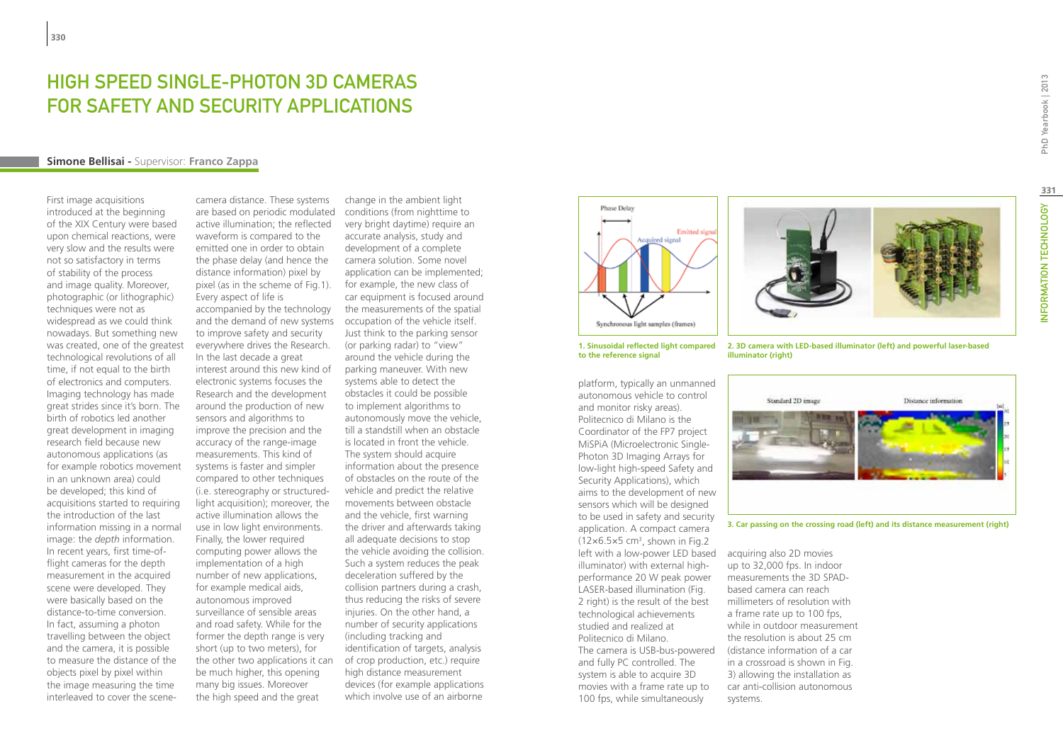## HIGH SPEED SINGLE-PHOTON 3D CAMERAS for Safety and Security Applications

#### **Simone Bellisai -** Supervisor: **Franco Zappa**

First image acquisitions introduced at the beginning of the XIX Century were based upon chemical reactions, were very slow and the results were not so satisfactory in terms of stability of the process and image quality. Moreover, photographic (or lithographic) techniques were not as widespread as we could think nowadays. But something new was created, one of the greatest technological revolutions of all time, if not equal to the birth of electronics and computers. Imaging technology has made great strides since it's born. The birth of robotics led another great development in imaging research field because new autonomous applications (as for example robotics movement in an unknown area) could be developed; this kind of acquisitions started to requiring the introduction of the last information missing in a normal image: the *depth* information. In recent years, first time-offlight cameras for the depth measurement in the acquired scene were developed. They were basically based on the distance-to-time conversion. In fact, assuming a photon travelling between the object and the camera, it is possible to measure the distance of the objects pixel by pixel within the image measuring the time interleaved to cover the scene-

camera distance. These systems are based on periodic modulated active illumination; the reflected waveform is compared to the emitted one in order to obtain the phase delay (and hence the distance information) pixel by pixel (as in the scheme of Fig.1). Every aspect of life is accompanied by the technology and the demand of new systems to improve safety and security everywhere drives the Research. In the last decade a great interest around this new kind of electronic systems focuses the Research and the development around the production of new sensors and algorithms to improve the precision and the accuracy of the range-image measurements. This kind of systems is faster and simpler compared to other techniques (i.e. stereography or structuredlight acquisition); moreover, the active illumination allows the use in low light environments. Finally, the lower required computing power allows the implementation of a high number of new applications, for example medical aids, autonomous improved surveillance of sensible areas and road safety. While for the former the depth range is very short (up to two meters), for the other two applications it can be much higher, this opening many big issues. Moreover the high speed and the great

change in the ambient light conditions (from nighttime to very bright daytime) require an accurate analysis, study and development of a complete camera solution. Some novel application can be implemented; for example, the new class of car equipment is focused around the measurements of the spatial occupation of the vehicle itself. Just think to the parking sensor (or parking radar) to "view" around the vehicle during the parking maneuver. With new systems able to detect the obstacles it could be possible to implement algorithms to autonomously move the vehicle, till a standstill when an obstacle is located in front the vehicle. The system should acquire information about the presence of obstacles on the route of the vehicle and predict the relative movements between obstacle and the vehicle, first warning the driver and afterwards taking all adequate decisions to stop the vehicle avoiding the collision. Such a system reduces the peak deceleration suffered by the collision partners during a crash, thus reducing the risks of severe injuries. On the other hand, a number of security applications (including tracking and identification of targets, analysis of crop production, etc.) require high distance measurement devices (for example applications which involve use of an airborne





platform, typically an unmanned autonomous vehicle to control and monitor risky areas). Politecnico di Milano is the Coordinator of the FP7 project MiSPiA (Microelectronic Single-Photon 3D Imaging Arrays for low-light high-speed Safety and Security Applications), which aims to the development of new sensors which will be designed to be used in safety and security application. A compact camera  $(12\times6.5\times5$  cm<sup>3</sup>, shown in Fig.2 left with a low-power LED based acquiring also 2D movies illuminator) with external highperformance 20 W peak power LASER-based illumination (Fig. 2 right) is the result of the best technological achievements studied and realized at Politecnico di Milano. The camera is USB-bus-powered and fully PC controlled. The system is able to acquire 3D movies with a frame rate up to 100 fps, while simultaneously

**2. 3D camera with LED-based illuminator (left) and powerful laser-based illuminator (right)**



**3. Car passing on the crossing road (left) and its distance measurement (right)**

up to 32,000 fps. In indoor measurements the 3D SPADbased camera can reach millimeters of resolution with a frame rate up to 100 fps, while in outdoor measurement the resolution is about 25 cm (distance information of a car in a crossroad is shown in Fig. 3) allowing the installation as car anti-collision autonomous systems.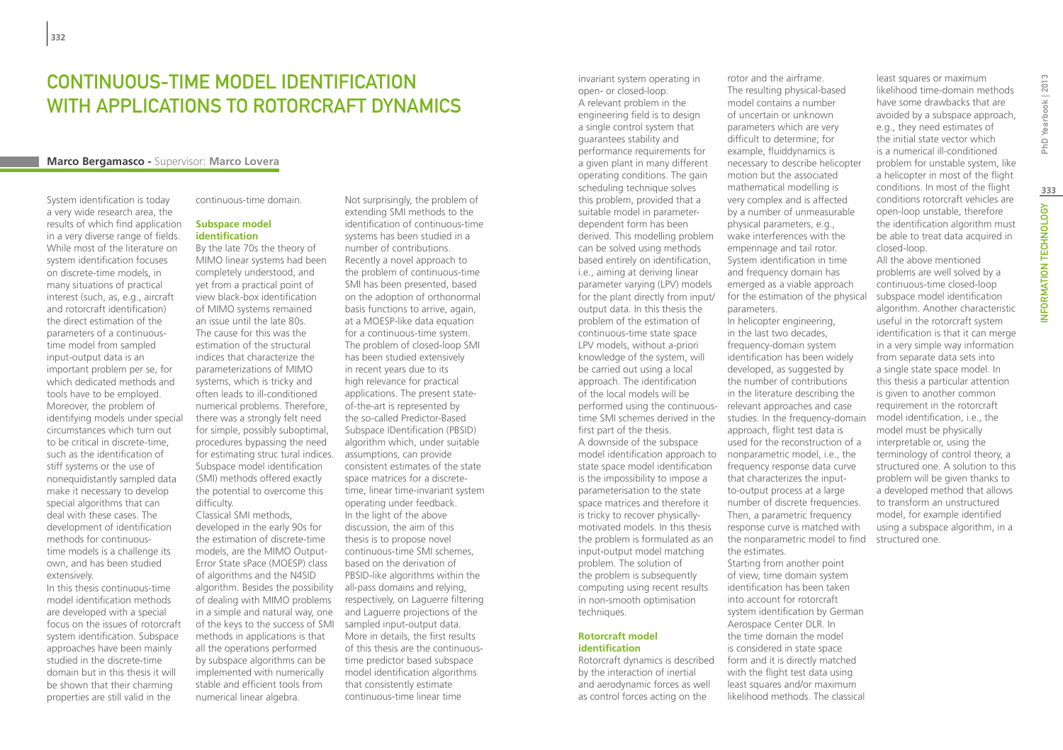## CONTINUOUS-TIME MODEL IDENTIFICATION WITH APPLICATIONS TO ROTORCRAFT DYNAMICS

## **Marco Bergamasco -** Supervisor: **Marco Lovera**

System identification is today a very wide research area, the results of which find application in a very diverse range of fields. While most of the literature on system identification focuses on discrete-time models, in many situations of practical interest (such, as, e.g., aircraft and rotorcraft identification) the direct estimation of the parameters of a continuoustime model from sampled input-output data is an important problem per se, for which dedicated methods and tools have to be employed. Moreover, the problem of identifying models under special circumstances which turn out to be critical in discrete-time, such as the identification of stiff systems or the use of nonequidistantly sampled data make it necessary to develop special algorithms that can deal with these cases. The development of identification methods for continuoustime models is a challenge its own, and has been studied extensively.

In this thesis continuous-time model identification methods are developed with a special focus on the issues of rotorcraft system identification. Subspace approaches have been mainly studied in the discrete-time domain but in this thesis it will be shown that their charming properties are still valid in the

continuous-time domain.

#### **Subspace model identification**

By the late 70s the theory of MIMO linear systems had been completely understood, and yet from a practical point of view black-box identification of MIMO systems remained an issue until the late 80s. The cause for this was the estimation of the structural indices that characterize the parameterizations of MIMO systems, which is tricky and often leads to ill-conditioned numerical problems. Therefore, there was a strongly felt need for simple, possibly suboptimal, procedures bypassing the need for estimating struc tural indices. Subspace model identification (SMI) methods offered exactly the potential to overcome this difficulty.

Classical SMI methods, developed in the early 90s for the estimation of discrete-time models, are the MIMO Output-Error State sPace (MOESP) class of algorithms and the N4SID algorithm. Besides the possibility all-pass domains and relying, of dealing with MIMO problems in a simple and natural way, one of the keys to the success of SMI methods in applications is that all the operations performed by subspace algorithms can be implemented with numerically stable and efficient tools from numerical linear algebra.

Not surprisingly, the problem of extending SMI methods to the identification of continuous-time systems has been studied in a number of contributions. Recently a novel approach to the problem of continuous-time SMI has been presented, based on the adoption of orthonormal basis functions to arrive, again, at a MOESP-like data equation for a continuous-time system. The problem of closed-loop SMI has been studied extensively in recent years due to its high relevance for practical applications. The present stateof-the-art is represented by the so-called Predictor-Based Subspace IDentification (PBSID) algorithm which, under suitable assumptions, can provide consistent estimates of the state space matrices for a discretetime, linear time-invariant system operating under feedback. In the light of the above discussion, the aim of this thesis is to propose novel continuous-time SMI schemes, based on the derivation of PBSID-like algorithms within the respectively, on Laguerre filtering and Laguerre projections of the sampled input-output data. More in details, the first results of this thesis are the continuoustime predictor based subspace model identification algorithms that consistently estimate continuous-time linear time

invariant system operating in open- or closed-loop. A relevant problem in the engineering field is to design a single control system that guarantees stability and performance requirements for a given plant in many different operating conditions. The gain scheduling technique solves this problem, provided that a suitable model in parameterdependent form has been derived. This modelling problem can be solved using methods based entirely on identification, i.e., aiming at deriving linear parameter varying (LPV) models for the plant directly from input/ output data. In this thesis the problem of the estimation of continuous-time state space LPV models, without a-priori knowledge of the system, will be carried out using a local approach. The identification of the local models will be performed using the continuous-relevant approaches and case first part of the thesis. A downside of the subspace

model identification approach to nonparametric model, i.e., the state space model identification is the impossibility to impose a parameterisation to the state space matrices and therefore it is tricky to recover physicallymotivated models. In this thesis the problem is formulated as an input-output model matching problem. The solution of the problem is subsequently computing using recent results in non-smooth optimisation techniques.

#### **Rotorcraft model identification**

Rotorcraft dynamics is described by the interaction of inertial and aerodynamic forces as well as control forces acting on the

rotor and the airframe. The resulting physical-based model contains a number of uncertain or unknown parameters which are very difficult to determine; for example, fluiddynamics is necessary to describe helicopter motion but the associated mathematical modelling is very complex and is affected by a number of unmeasurable physical parameters, e.g., wake interferences with the empennage and tail rotor. System identification in time and frequency domain has emerged as a viable approach for the estimation of the physical parameters.

time SMI schemes derived in the studies. In the frequency-domain In helicopter engineering, in the last two decades, frequency-domain system identification has been widely developed, as suggested by the number of contributions in the literature describing the approach, flight test data is used for the reconstruction of a frequency response data curve that characterizes the inputto-output process at a large number of discrete frequencies. Then, a parametric frequency response curve is matched with the nonparametric model to find the estimates.

Starting from another point of view, time domain system identification has been taken into account for rotorcraft system identification by German Aerospace Center DLR. In the time domain the model is considered in state space form and it is directly matched with the flight test data using least squares and/or maximum likelihood methods. The classical

likelihood time-domain methods have some drawbacks that are avoided by a subspace approach, e.g., they need estimates of the initial state vector which is a numerical ill-conditioned problem for unstable system, like a helicopter in most of the flight conditions. In most of the flight conditions rotorcraft vehicles are open-loop unstable, therefore the identification algorithm must be able to treat data acquired in closed-loop. All the above mentioned problems are well solved by a continuous-time closed-loop subspace model identification algorithm. Another characteristic useful in the rotorcraft system identification is that it can merge in a very simple way information from separate data sets into a single state space model. In this thesis a particular attention is given to another common requirement in the rotorcraft model identification, i.e., the model must be physically interpretable or, using the terminology of control theory, a structured one. A solution to this problem will be given thanks to a developed method that allows to transform an unstructured model, for example identified using a subspace algorithm, in a structured one.

least squares or maximum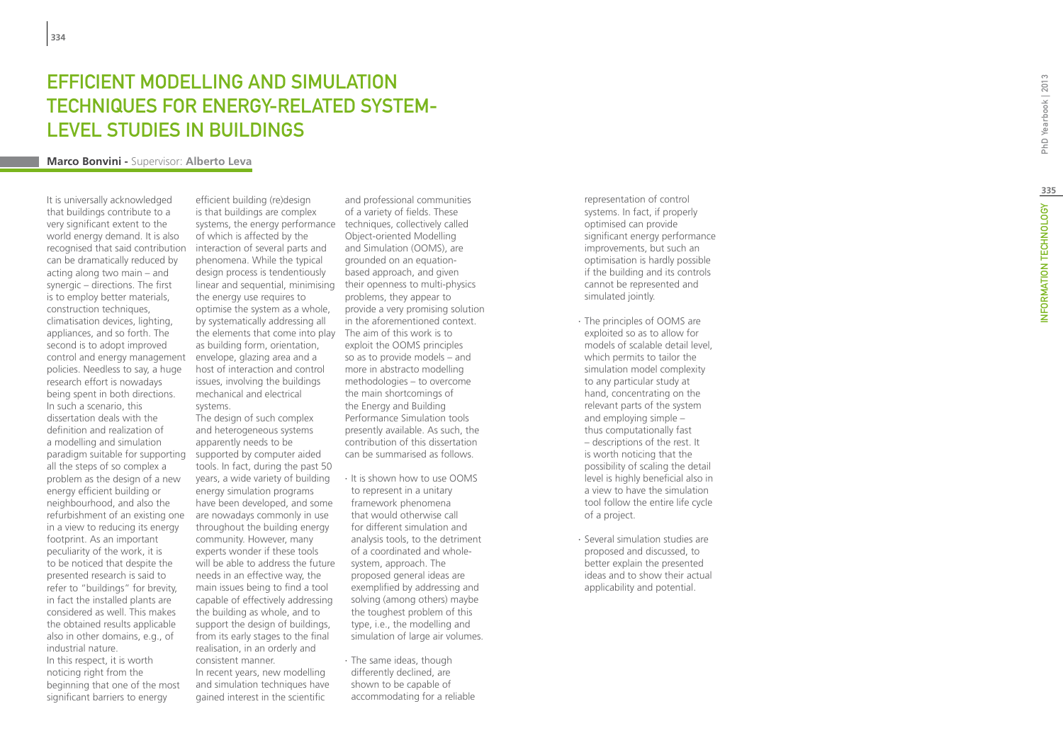## **EFFICIENT MODELLING AND S<br>TECHNIQUES FOR ENERGY-RE<br>LEVEL STUDIES IN BUILDINGS<br><sub>Marco Bonvini - Supervisor: Alberto Leva</sub> FFFICIENT MODELLING AND SIMULATION** TECHNIQUES FOR ENERGY-RELATED SYSTEMt LEVEL STUDIES IN BUILDINGS

It is universally acknowledged that buildings contribute to a very significant extent to the world energy demand. It is also recognised that said contribution can be dramatically reduced by acting along two main – and synergic – directions. The first is to employ better materials, construction techniques, climatisation devices, lighting, appliances, and so forth. The second is to adopt improved control and energy management policies. Needless to say, a huge research effort is nowadays being spent in both directions. In such a scenario, this dissertation deals with the definition and realization of a modelling and simulation paradigm suitable for supporting supported by computer aided all the steps of so complex a problem as the design of a new energy efficient building or neighbourhood, and also the refurbishment of an existing one in a view to reducing its energy footprint. As an important peculiarity of the work, it is to be noticed that despite the presented research is said to refer to "buildings" for brevity, in fact the installed plants are considered as well. This makes the obtained results applicable also in other domains, e.g., of industrial nature. In this respect, it is worth noticing right from the beginning that one of the most significant barriers to energy

efficient building (re)design is that buildings are complex systems, the energy performance techniques, collectively called of which is affected by the interaction of several parts and phenomena. While the typical design process is tendentiously linear and sequential, minimising their openness to multi-physics the energy use requires to optimise the system as a whole, by systematically addressing all the elements that come into play The aim of this work is to as building form, orientation, envelope, glazing area and a host of interaction and control issues, involving the buildings mechanical and electrical systems.

The design of such complex and heterogeneous systems apparently needs to be tools. In fact, during the past 50 years, a wide variety of building energy simulation programs have been developed, and some are nowadays commonly in use throughout the building energy community. However, many experts wonder if these tools will be able to address the future needs in an effective way, the main issues being to find a tool capable of effectively addressing the building as whole, and to support the design of buildings, from its early stages to the final realisation, in an orderly and consistent manner. In recent years, new modelling

and simulation techniques have gained interest in the scientific

and professional communities of a variety of fields. These Object-oriented Modelling and Simulation (OOMS), are grounded on an equationbased approach, and given problems, they appear to provide a very promising solution in the aforementioned context. exploit the OOMS principles so as to provide models – and more in abstracto modelling methodologies – to overcome the main shortcomings of the Energy and Building Performance Simulation tools presently available. As such, the contribution of this dissertation can be summarised as follows.

- ∙ It is shown how to use OOMS to represent in a unitary framework phenomena that would otherwise call for different simulation and analysis tools, to the detriment of a coordinated and wholesystem, approach. The proposed general ideas are exemplified by addressing and solving (among others) maybe the toughest problem of this type, i.e., the modelling and simulation of large air volumes.
- ∙ The same ideas, though differently declined, are shown to be capable of accommodating for a reliable

representation of control systems. In fact, if properly optimised can provide significant energy performance improvements, but such an optimisation is hardly possible if the building and its controls cannot be represented and simulated jointly.

- ∙ The principles of OOMS are exploited so as to allow for models of scalable detail level, which permits to tailor the simulation model complexity to any particular study at hand, concentrating on the relevant parts of the system and employing simple – thus computationally fast – descriptions of the rest. It is worth noticing that the possibility of scaling the detail level is highly beneficial also in a view to have the simulation tool follow the entire life cycle of a project.
- ∙ Several simulation studies are proposed and discussed, to better explain the presented ideas and to show their actual applicability and potential.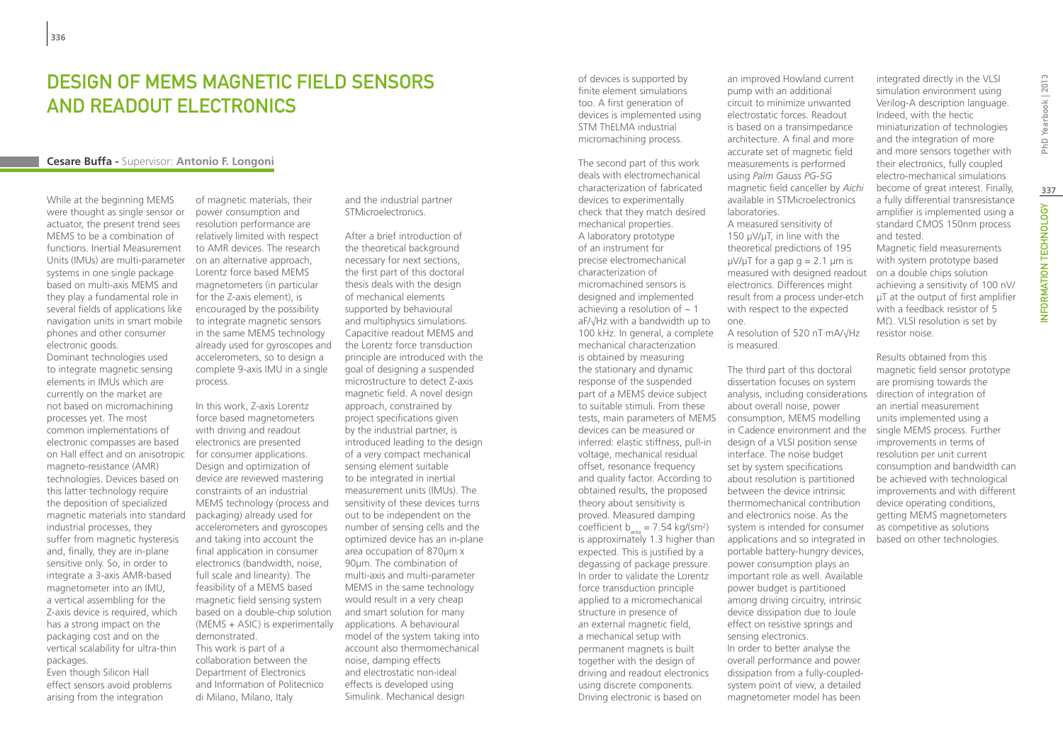## DESIGN OF MEMS MAGNETIC FIFLD SENSORS and Readout Electronics

## **Cesare Buffa -** Supervisor: **Antonio F. Longoni**

While at the beginning MEMS were thought as single sensor or actuator, the present trend sees MEMS to be a combination of functions. Inertial Measurement Units (IMUs) are multi-parameter systems in one single package based on multi-axis MEMS and they play a fundamental role in several fields of applications like navigation units in smart mobile phones and other consumer electronic goods.

Dominant technologies used to integrate magnetic sensing elements in IMUs which are currently on the market are not based on micromachining processes yet. The most common implementations of electronic compasses are based on Hall effect and on anisotropic magneto-resistance (AMR) technologies. Devices based on this latter technology require the deposition of specialized magnetic materials into standard industrial processes, they suffer from magnetic hysteresis and, finally, they are in-plane sensitive only. So, in order to integrate a 3-axis AMR-based magnetometer into an IMU, a vertical assembling for the Z-axis device is required, which has a strong impact on the packaging cost and on the vertical scalability for ultra-thin packages.

Even though Silicon Hall effect sensors avoid problems arising from the integration

of magnetic materials, their power consumption and resolution performance are relatively limited with respect to AMR devices. The research on an alternative approach, Lorentz force based MEMS magnetometers (in particular for the Z-axis element), is encouraged by the possibility to integrate magnetic sensors in the same MEMS technology already used for gyroscopes and accelerometers, so to design a complete 9-axis IMU in a single process.

In this work, Z-axis Lorentz force based magnetometers with driving and readout electronics are presented for consumer applications. Design and optimization of device are reviewed mastering constraints of an industrial MEMS technology (process and packaging) already used for accelerometers and gyroscopes and taking into account the final application in consumer electronics (bandwidth, noise, full scale and linearity). The feasibility of a MEMS based magnetic field sensing system based on a double-chip solution (MEMS + ASIC) is experimentally demonstrated. This work is part of a collaboration between the Department of Electronics and Information of Politecnico di Milano, Milano, Italy

and the industrial partner STMicroelectronics.

After a brief introduction of the theoretical background necessary for next sections, the first part of this doctoral thesis deals with the design of mechanical elements supported by behavioural and multiphysics simulations. Capacitive readout MEMS and the Lorentz force transduction principle are introduced with the goal of designing a suspended microstructure to detect Z-axis magnetic field. A novel design approach, constrained by project specifications given by the industrial partner, is introduced leading to the design of a very compact mechanical sensing element suitable to be integrated in inertial measurement units (IMUs). The sensitivity of these devices turns out to be independent on the number of sensing cells and the optimized device has an in-plane area occupation of 870µm x 90µm. The combination of multi-axis and multi-parameter MEMS in the same technology would result in a very cheap and smart solution for many applications. A behavioural model of the system taking into account also thermomechanical noise, damping effects and electrostatic non-ideal effects is developed using Simulink. Mechanical design

of devices is supported by finite element simulations too. A first generation of devices is implemented using STM ThELMA industrial micromachining process.

The second part of this work deals with electromechanical characterization of fabricated devices to experimentally check that they match desired mechanical properties. A laboratory prototype of an instrument for precise electromechanical characterization of micromachined sensors is designed and implemented achieving a resolution of  $\sim$  1 aF/√Hz with a bandwidth up to 100 kHz. In general, a complete mechanical characterization is obtained by measuring the stationary and dynamic response of the suspended part of a MEMS device subject to suitable stimuli. From these tests, main parameters of MEMS devices can be measured or inferred: elastic stiffness, pull-in voltage, mechanical residual offset, resonance frequency and quality factor. According to obtained results, the proposed theory about sensitivity is proved. Measured damping coefficient  $b_{area} = 7.54 \text{ kg/(sm}^2)$ is approximately 1.3 higher than expected. This is justified by a degassing of package pressure. In order to validate the Lorentz force transduction principle applied to a micromechanical structure in presence of an external magnetic field, a mechanical setup with permanent magnets is built together with the design of driving and readout electronics using discrete components. Driving electronic is based on

an improved Howland current pump with an additional circuit to minimize unwanted electrostatic forces. Readout is based on a transimpedance architecture. A final and more accurate set of magnetic field measurements is performed using *Palm Gauss PG-5G* magnetic field canceller by *Aichi* available in STMicroelectronics laboratories. A measured sensitivity of 150 µV/µT, in line with the theoretical predictions of 195  $\mu$ V/ $\mu$ T for a gap g = 2.1  $\mu$ m is measured with designed readout electronics. Differences might

result from a process under-etch with respect to the expected one. A resolution of 520 nT·mA/√Hz

is measured.

The third part of this doctoral dissertation focuses on system analysis, including considerations about overall noise, power consumption, MEMS modelling in Cadence environment and the design of a VLSI position sense interface. The noise budget set by system specifications about resolution is partitioned between the device intrinsic thermomechanical contribution and electronics noise. As the system is intended for consumer applications and so integrated in portable battery-hungry devices, power consumption plays an important role as well. Available power budget is partitioned among driving circuitry, intrinsic device dissipation due to Joule effect on resistive springs and sensing electronics. In order to better analyse the overall performance and power dissipation from a fully-coupledsystem point of view, a detailed magnetometer model has been

integrated directly in the VLSI simulation environment using Verilog-A description language. Indeed, with the hectic miniaturization of technologies and the integration of more and more sensors together with their electronics, fully coupled electro-mechanical simulations become of great interest. Finally, a fully differential transresistance amplifier is implemented using a standard CMOS 150nm process and tested.

Magnetic field measurements with system prototype based on a double chips solution achieving a sensitivity of 100 nV/ µT at the output of first amplifier with a feedback resistor of 5 MΩ. VLSI resolution is set by resistor noise.

Results obtained from this magnetic field sensor prototype are promising towards the direction of integration of an inertial measurement units implemented using a single MEMS process. Further improvements in terms of resolution per unit current consumption and bandwidth can be achieved with technological improvements and with different device operating conditions, getting MEMS magnetometers as competitive as solutions based on other technologies.

**337**

INFORMATION TECHNOLOGY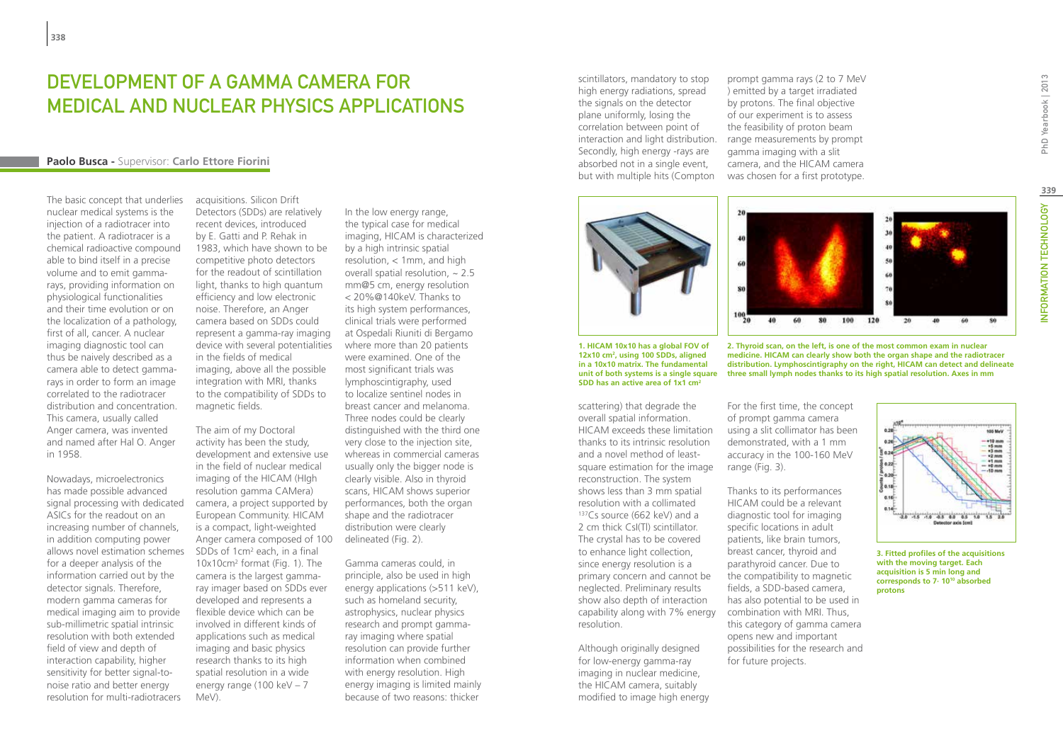## Development of a gamma camera for medical and nuclear physics applications

## **Paolo Busca -** Supervisor: **Carlo Ettore Fiorini**

The basic concept that underlies nuclear medical systems is the injection of a radiotracer into the patient. A radiotracer is a chemical radioactive compound able to bind itself in a precise volume and to emit gammarays, providing information on physiological functionalities and their time evolution or on the localization of a pathology, first of all, cancer. A nuclear imaging diagnostic tool can thus be naively described as a camera able to detect gammarays in order to form an image correlated to the radiotracer distribution and concentration. This camera, usually called Anger camera, was invented and named after Hal O. Anger in 1958.

Nowadays, microelectronics has made possible advanced signal processing with dedicated ASICs for the readout on an increasing number of channels, in addition computing power allows novel estimation schemes for a deeper analysis of the information carried out by the detector signals. Therefore, modern gamma cameras for medical imaging aim to provide sub-millimetric spatial intrinsic resolution with both extended field of view and depth of interaction capability, higher sensitivity for better signal-tonoise ratio and better energy resolution for multi-radiotracers

acquisitions. Silicon Drift Detectors (SDDs) are relatively recent devices, introduced by E. Gatti and P. Rehak in 1983, which have shown to be competitive photo detectors for the readout of scintillation light, thanks to high quantum efficiency and low electronic noise. Therefore, an Anger camera based on SDDs could represent a gamma-ray imaging device with several potentialities in the fields of medical imaging, above all the possible integration with MRI, thanks to the compatibility of SDDs to magnetic fields.

The aim of my Doctoral activity has been the study, development and extensive use in the field of nuclear medical imaging of the HICAM (HIgh resolution gamma CAMera) camera, a project supported by European Community. HICAM is a compact, light-weighted Anger camera composed of 100 SDDs of 1cm2 each, in a final 10x10cm2 format (Fig. 1). The camera is the largest gammaray imager based on SDDs ever developed and represents a flexible device which can be involved in different kinds of applications such as medical imaging and basic physics research thanks to its high spatial resolution in a wide energy range (100 keV  $-7$ MeV).

In the low energy range, the typical case for medical imaging, HICAM is characterized by a high intrinsic spatial resolution, < 1mm, and high overall spatial resolution,  $\sim 2.5$ mm@5 cm, energy resolution < 20%@140keV. Thanks to its high system performances, clinical trials were performed at Ospedali Riuniti di Bergamo where more than 20 patients were examined. One of the most significant trials was lymphoscintigraphy, used to localize sentinel nodes in breast cancer and melanoma. Three nodes could be clearly distinguished with the third one very close to the injection site, whereas in commercial cameras usually only the bigger node is clearly visible. Also in thyroid scans, HICAM shows superior performances, both the organ shape and the radiotracer distribution were clearly delineated (Fig. 2).

Gamma cameras could, in principle, also be used in high energy applications (>511 keV), such as homeland security, astrophysics, nuclear physics research and prompt gammaray imaging where spatial resolution can provide further information when combined with energy resolution. High energy imaging is limited mainly because of two reasons: thicker

scintillators, mandatory to stop high energy radiations, spread the signals on the detector plane uniformly, losing the correlation between point of interaction and light distribution. Secondly, high energy -rays are absorbed not in a single event, but with multiple hits (Compton

prompt gamma rays (2 to 7 MeV ) emitted by a target irradiated by protons. The final objective of our experiment is to assess the feasibility of proton beam range measurements by prompt gamma imaging with a slit camera, and the HICAM camera was chosen for a first prototype.

 $20$ 

 $40$ 

60



scattering) that degrade the overall spatial information. HICAM exceeds these limitation thanks to its intrinsic resolution and a novel method of leastsquare estimation for the image reconstruction. The system shows less than 3 mm spatial resolution with a collimated 137Cs source (662 keV) and a 2 cm thick CsI(Tl) scintillator. The crystal has to be covered to enhance light collection, since energy resolution is a primary concern and cannot be neglected. Preliminary results show also depth of interaction capability along with 7% energy resolution.

Although originally designed for low-energy gamma-ray imaging in nuclear medicine, the HICAM camera, suitably modified to image high energy

 $80$  $100\frac{1}{20}$ 40 66 80 100 120 20 **2. Thyroid scan, on the left, is one of the most common exam in nuclear** 

**medicine. HICAM can clearly show both the organ shape and the radiotracer distribution. Lymphoscintigraphy on the right, HICAM can detect and delineate**  unit of both systems is a single square  $\;$  three small lymph nodes thanks to its high spatial resolution. Axes in mm

> For the first time, the concept of prompt gamma camera using a slit collimator has been demonstrated, with a 1 mm accuracy in the 100-160 MeV range (Fig. 3).

Thanks to its performances HICAM could be a relevant diagnostic tool for imaging specific locations in adult patients, like brain tumors, breast cancer, thyroid and parathyroid cancer. Due to the compatibility to magnetic fields, a SDD-based camera, has also potential to be used in combination with MRI. Thus, this category of gamma camera opens new and important possibilities for the research and for future projects.



**3. Fitted profiles of the acquisitions with the moving target. Each acquisition is 5 min long and corresponds to 7· 1010 absorbed protons**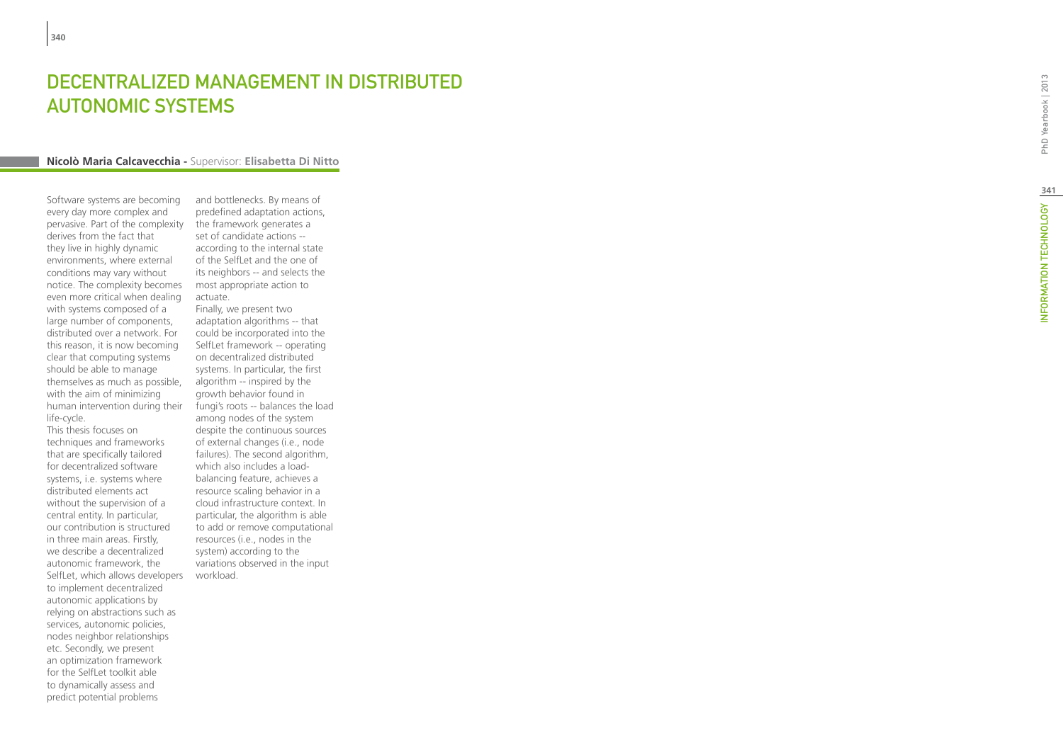#### DECENTRALIZED MANAGEMENT IN DISTRIBUTE **contract of the contract of the contract of the contract of the contract of the contract of the contract of the contract of the contract of the contract of the contract of the contract of the contract of the contract of t** t **AUTONOMIC SYSTEMS** t

#### **Nicolò Maria Calcavecchia -** Supervisor: **Elisabetta Di Nitto**

Software systems are becoming every day more complex and pervasive. Part of the complexity derives from the fact that they live in highly dynamic environments, where external conditions may vary without notice. The complexity becomes even more critical when dealing with systems composed of a large number of components, distributed over a network. For this reason, it is now becoming clear that computing systems should be able to manage themselves as much as possible, with the aim of minimizing human intervention during their life-cycle.

This thesis focuses on techniques and frameworks that are specifically tailored for decentralized software systems, i.e. systems where distributed elements act without the supervision of a central entity. In particular, our contribution is structured in three main areas. Firstly, we describe a decentralized autonomic framework, the SelfLet, which allows developers workload. to implement decentralized autonomic applications by relying on abstractions such as services, autonomic policies, nodes neighbor relationships etc. Secondly, we present an optimization framework for the SelfLet toolkit able to dynamically assess and predict potential problems

and bottlenecks. By means of predefined adaptation actions, the framework generates a set of candidate actions - according to the internal state of the SelfLet and the one of its neighbors -- and selects the most appropriate action to actuate.

Finally, we present two adaptation algorithms -- that could be incorporated into the SelfLet framework -- operating on decentralized distributed systems. In particular, the first algorithm -- inspired by the growth behavior found in fungi's roots -- balances the load among nodes of the system despite the continuous sources of external changes (i.e., node failures). The second algorithm, which also includes a loadbalancing feature, achieves a resource scaling behavior in a cloud infrastructure context. In particular, the algorithm is able to add or remove computational resources (i.e., nodes in the system) according to the variations observed in the input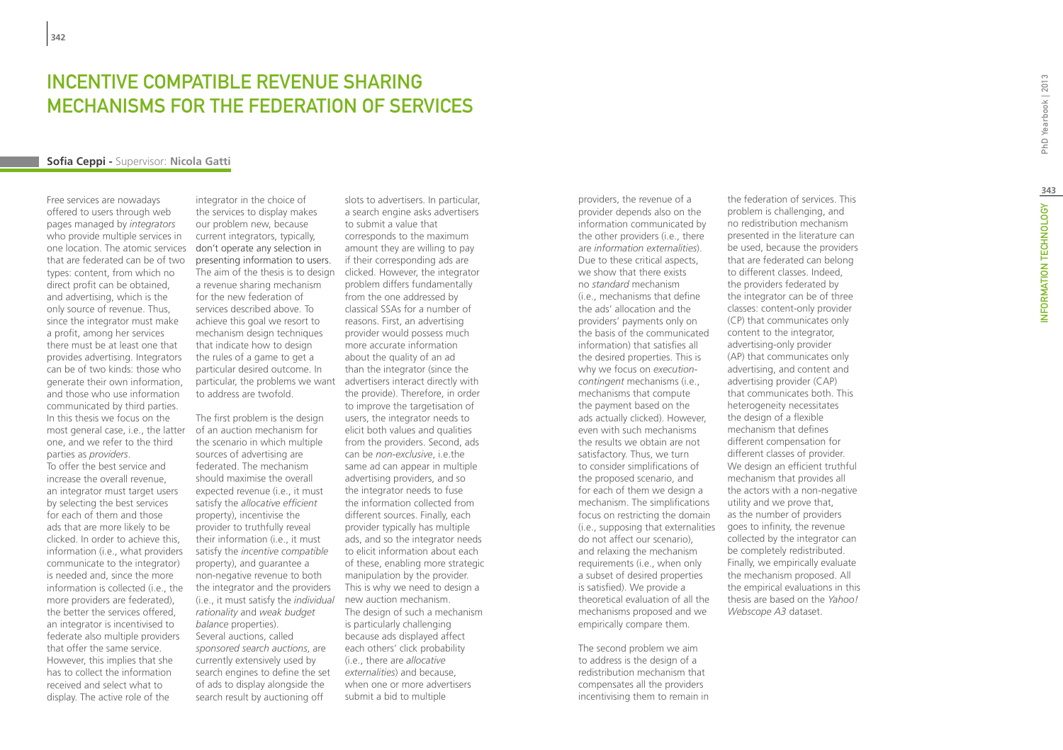# **INCENTIVE COMPATIBLE REVE<br>MECHANISMS FOR THE FEDEF<br>Sofia Ceppi - Supervisor: Nicola Gatti** NUE SH MECHANISMS FOR THE FEDERATION OF SERVICES **contract of the contract of the contract of the contract of the contract of the contract of the contract of the contract of the contract of the contract of the contract of the contract of the contract of the contract of t**

Free services are nowadays offered to users through web pages managed by *integrators*  who provide multiple services in one location. The atomic services that are federated can be of two types: content, from which no direct profit can be obtained, and advertising, which is the only source of revenue. Thus, since the integrator must make a profit, among her services there must be at least one that provides advertising. Integrators can be of two kinds: those who generate their own information, and those who use information communicated by third parties. In this thesis we focus on the most general case, i.e., the latter one, and we refer to the third parties as *providers* .

To offer the best service and increase the overall revenue, an integrator must target users by selecting the best services for each of them and those ads that are more likely to be clicked. In order to achieve this, information (i.e., what providers communicate to the integrator) is needed and, since the more information is collected (i.e., the more providers are federated), the better the services offered, an integrator is incentivised to federate also multiple providers that offer the same service. However, this implies that she has to collect the information received and select what to display. The active role of the

integrator in the choice of the services to display makes our problem new, because current integrators, typically, don't operate any selection in presenting information to users. The aim of the thesis is to design a revenue sharing mechanism for the new federation of services described above. To achieve this goal we resort to mechanism design techniques that indicate how to design the rules of a game to get a particular desired outcome. In particular, the problems we want advertisers interact directly with to address are twofold.

The first problem is the design of an auction mechanism for the scenario in which multiple sources of advertising are federated. The mechanism should maximise the overall expected revenue (i.e., it must satisfy the *allocative efficient* property), incentivise the provider to truthfully reveal their information (i.e., it must satisfy the *incentive compatible* property), and guarantee a non-negative revenue to both the integrator and the providers (i.e., it must satisfy the *individual rationality* and *weak budget balance* properties). Several auctions, called *sponsored search auctions*, are currently extensively used by search engines to define the set of ads to display alongside the search result by auctioning off

slots to advertisers. In particular, a search engine asks advertisers to submit a value that corresponds to the maximum amount they are willing to pay if their corresponding ads are clicked. However, the integrator problem differs fundamentally from the one addressed by classical SSAs for a number of reasons. First, an advertising provider would possess much more accurate information about the quality of an ad than the integrator (since the the provide). Therefore, in order to improve the targetisation of users, the integrator needs to elicit both values and qualities from the providers. Second, ads can be *non-exclusive*, i.e.the same ad can appear in multiple advertising providers, and so the integrator needs to fuse the information collected from different sources. Finally, each provider typically has multiple ads, and so the integrator needs to elicit information about each of these, enabling more strategic manipulation by the provider. This is why we need to design a new auction mechanism. The design of such a mechanism is particularly challenging because ads displayed affect each others' click probability (i.e., there are *allocative externalities*) and because, when one or more advertisers submit a bid to multiple

providers, the revenue of a provider depends also on the information communicated by the other providers (i.e., there are *information externalities*). Due to these critical aspects, we show that there exists no *standard* mechanism (i.e., mechanisms that define the ads' allocation and the providers' payments only on the basis of the communicated information) that satisfies all the desired properties. This is why we focus on *executioncontingent* mechanisms (i.e., mechanisms that compute the payment based on the ads actually clicked). However, even with such mechanisms the results we obtain are not satisfactory. Thus, we turn to consider simplifications of the proposed scenario, and for each of them we design a mechanism. The simplifications focus on restricting the domain (i.e., supposing that externalities goes to infinity, the revenue do not affect our scenario), and relaxing the mechanism requirements (i.e., when only a subset of desired properties is satisfied). We provide a theoretical evaluation of all the mechanisms proposed and we empirically compare them.

The second problem we aim to address is the design of a redistribution mechanism that compensates all the providers incentivising them to remain in

the federation of services. This problem is challenging, and no redistribution mechanism presented in the literature can be used, because the providers that are federated can belong to different classes. Indeed, the providers federated by the integrator can be of three classes: content-only provider (CP) that communicates only content to the integrator, advertising-only provider (AP) that communicates only advertising, and content and advertising provider (CAP) that communicates both. This heterogeneity necessitates the design of a flexible mechanism that defines different compensation for different classes of provider. We design an efficient truthful mechanism that provides all the actors with a non-negative utility and we prove that, as the number of providers collected by the integrator can be completely redistributed. Finally, we empirically evaluate the mechanism proposed. All the empirical evaluations in this thesis are based on the *Yahoo! Webscope A3* dataset.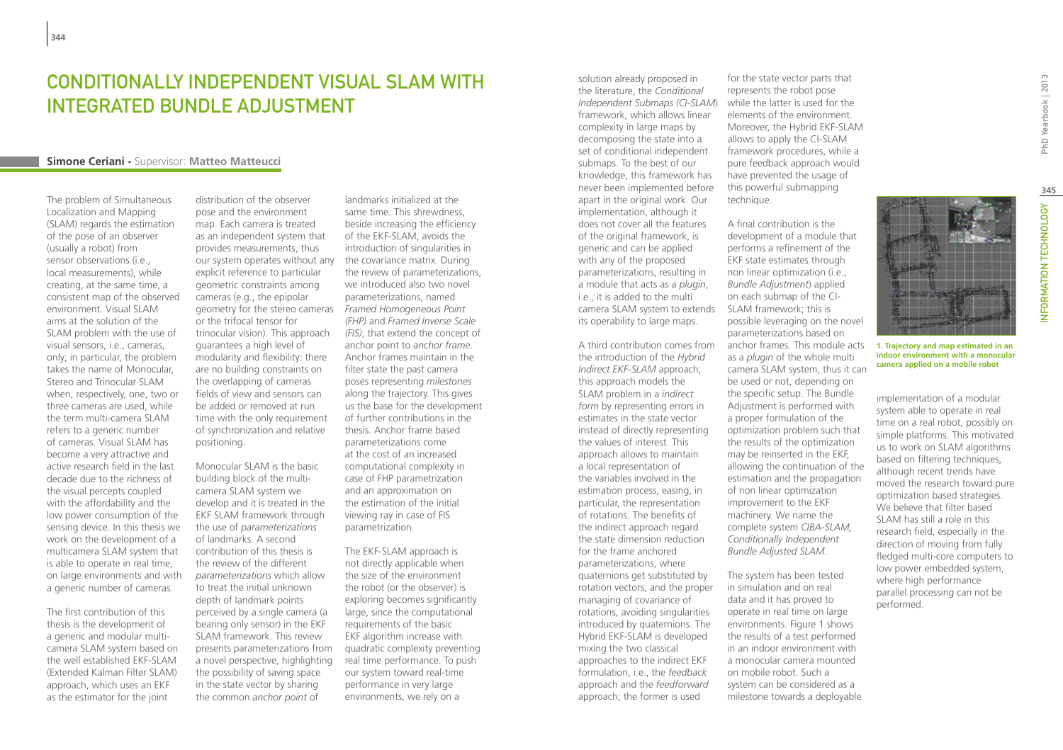## CONDITIONALLY INDEPENDENT VISUAL SLAM WITH Integrated Bundle Adjustment

## **Simone Ceriani -** Supervisor: **Matteo Matteucci**

The problem of Simultaneous Localization and Mapping (SLAM) regards the estimation of the pose of an observer (usually a robot) from sensor observations (i.e., local measurements), while creating, at the same time, a consistent map of the observed environment. Visual SLAM aims at the solution of the SLAM problem with the use of visual sensors, i.e., cameras, only; in particular, the problem takes the name of Monocular, Stereo and Trinocular SLAM when, respectively, one, two or three cameras are used, while the term multi-camera SLAM refers to a generic number of cameras. Visual SLAM has become a very attractive and active research field in the last decade due to the richness of the visual percepts coupled with the affordability and the low power consumption of the sensing device. In this thesis we work on the development of a multicamera SLAM system that is able to operate in real time, on large environments and with a generic number of cameras.

The first contribution of this thesis is the development of a generic and modular multicamera SLAM system based on the well established EKF-SLAM (Extended Kalman Filter SLAM) approach, which uses an EKF as the estimator for the joint

distribution of the observer pose and the environment map. Each camera is treated as an independent system that provides measurements, thus our system operates without any explicit reference to particular geometric constraints among cameras (e.g., the epipolar geometry for the stereo cameras or the trifocal tensor for trinocular vision). This approach guarantees a high level of modularity and flexibility: there are no building constraints on the overlapping of cameras fields of view and sensors can be added or removed at run time with the only requirement of synchronization and relative positioning.

Monocular SLAM is the basic building block of the multicamera SLAM system we develop and it is treated in the EKF SLAM framework through the use of *parameterizations* of landmarks. A second contribution of this thesis is the review of the different *parameterizations* which allow to treat the initial unknown depth of landmark points perceived by a single camera (a bearing only sensor) in the EKF SLAM framework. This review presents parameterizations from a novel perspective, highlighting the possibility of saving space in the state vector by sharing the common *anchor point* of

landmarks initialized at the same time. This shrewdness, beside increasing the efficiency of the EKF-SLAM, avoids the introduction of singularities in the covariance matrix. During the review of parameterizations, we introduced also two novel parameterizations, named *Framed Homogeneous Point (FHP)* and *Framed Inverse Scale (FIS)*, that extend the concept of anchor point to *anchor frame*. Anchor frames maintain in the filter state the past camera poses representing *milestones* along the trajectory. This gives us the base for the development of further contributions in the thesis. Anchor frame based parameterizations come at the cost of an increased computational complexity in case of FHP parametrization and an approximation on the estimation of the initial viewing ray in case of FIS parametrization.

The EKF-SLAM approach is not directly applicable when the size of the environment the robot (or the observer) is exploring becomes significantly large, since the computational requirements of the basic EKF algorithm increase with quadratic complexity preventing real time performance. To push our system toward real-time performance in very large environments, we rely on a

solution already proposed in the literature, the *Conditional Independent Submaps (CI-SLAM*) framework, which allows linear complexity in large maps by decomposing the state into a set of conditional independent submaps. To the best of our knowledge, this framework has never been implemented before apart in the original work. Our implementation, although it does not cover all the features of the original framework, is generic and can be applied with any of the proposed parameterizations, resulting in a module that acts as a *plugin*, i.e., it is added to the multi camera SLAM system to extends its operability to large maps.

A third contribution comes from the introduction of the *Hybrid Indirect EKF-SLAM* approach; this approach models the SLAM problem in a *indirect form* by representing errors in estimates in the state vector instead of directly representing the values of interest. This approach allows to maintain a local representation of the variables involved in the estimation process, easing, in particular, the representation of rotations. The benefits of the indirect approach regard the state dimension reduction for the frame anchored parameterizations, where quaternions get substituted by rotation vectors, and the proper managing of covariance of rotations, avoiding singularities introduced by quaternions. The Hybrid EKF-SLAM is developed mixing the two classical approaches to the indirect EKF formulation, i.e., the *feedback* approach and the *feedforward* approach; the former is used

for the state vector parts that represents the robot pose while the latter is used for the elements of the environment. Moreover, the Hybrid EKF-SLAM allows to apply the CI-SLAM framework procedures, while a pure feedback approach would have prevented the usage of this powerful submapping technique.

A final contribution is the development of a module that performs a refinement of the EKF state estimates through non linear optimization (i.e., *Bundle Adjustment*) applied on each submap of the CI-SLAM framework; this is possible leveraging on the novel parameterizations based on anchor frames. This module acts as a *plugin* of the whole multi camera SLAM system, thus it can be used or not, depending on the specific setup. The Bundle Adjustment is performed with a proper formulation of the optimization problem such that the results of the optimization may be reinserted in the EKF, allowing the continuation of the estimation and the propagation of non linear optimization improvement to the EKF machinery. We name the complete system *CIBA-SLAM, Conditionally Independent Bundle Adjusted SLAM*.

The system has been tested in simulation and on real data and it has proved to operate in real time on large environments. Figure 1 shows the results of a test performed in an indoor environment with a monocular camera mounted on mobile robot. Such a system can be considered as a milestone towards a deployable PhD Yearbook | 2013



**1. Trajectory and map estimated in an indoor environment with a monocular camera applied on a mobile robot**

implementation of a modular system able to operate in real time on a real robot, possibly on simple platforms. This motivated us to work on SLAM algorithms based on filtering techniques, although recent trends have moved the research toward pure optimization based strategies. We believe that filter based SLAM has still a role in this research field, especially in the direction of moving from fully fledged multi-core computers to low power embedded system, where high performance parallel processing can not be performed.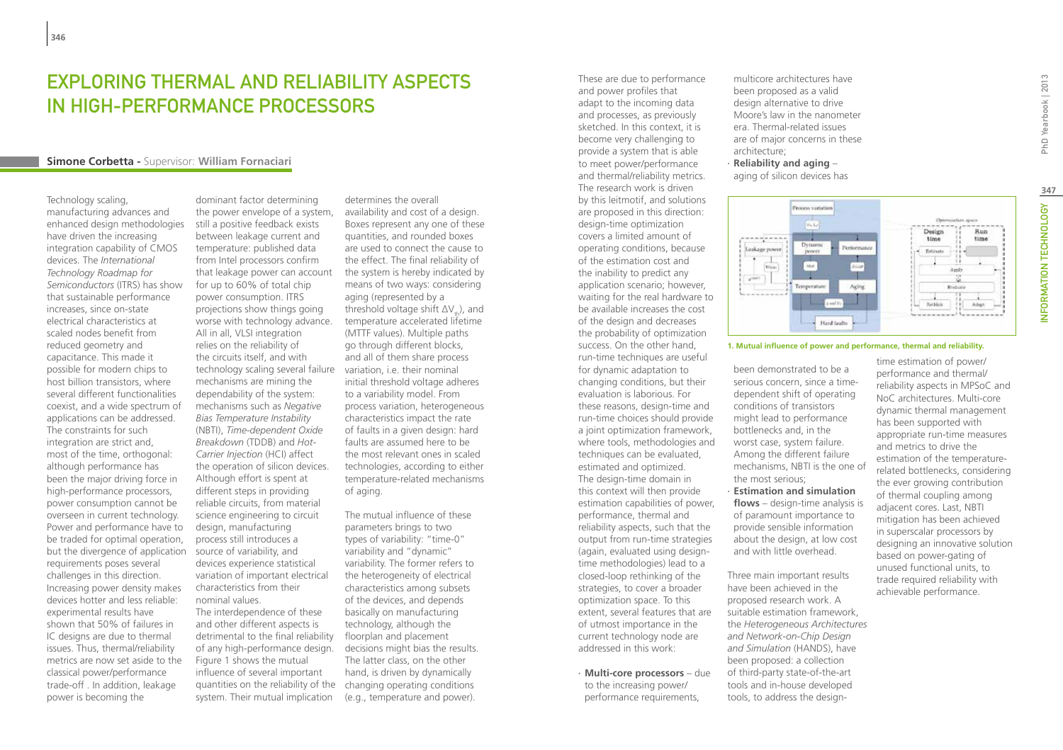## Exploring Thermal and Reliability Aspects in High-Performance Processors

#### **Simone Corbetta -** Supervisor: **William Fornaciari**

Technology scaling, manufacturing advances and enhanced design methodologies have driven the increasing integration capability of CMOS devices. The *International Technology Roadmap for Semiconductors* (ITRS) has show that sustainable performance increases, since on-state electrical characteristics at scaled nodes benefit from reduced geometry and capacitance. This made it possible for modern chips to host billion transistors, where several different functionalities coexist, and a wide spectrum of applications can be addressed. The constraints for such integration are strict and, most of the time, orthogonal: although performance has been the major driving force in high-performance processors, power consumption cannot be overseen in current technology. Power and performance have to be traded for optimal operation, but the divergence of application source of variability, and requirements poses several challenges in this direction. Increasing power density makes devices hotter and less reliable: experimental results have shown that 50% of failures in IC designs are due to thermal issues. Thus, thermal/reliability metrics are now set aside to the classical power/performance trade-off . In addition, leakage power is becoming the

dominant factor determining the power envelope of a system, still a positive feedback exists between leakage current and temperature: published data from Intel processors confirm that leakage power can account for up to 60% of total chip power consumption. ITRS projections show things going worse with technology advance. All in all, VLSI integration relies on the reliability of the circuits itself, and with technology scaling several failure variation, i.e. their nominal mechanisms are mining the dependability of the system: mechanisms such as *Negative Bias Temperature Instability* (NBTI), *Time-dependent Oxide Breakdown* (TDDB) and *Hot-Carrier Injection* (HCI) affect the operation of silicon devices. Although effort is spent at different steps in providing reliable circuits, from material science engineering to circuit design, manufacturing process still introduces a devices experience statistical variation of important electrical characteristics from their nominal values. The interdependence of these and other different aspects is detrimental to the final reliability of any high-performance design. Figure 1 shows the mutual influence of several important

system. Their mutual implication

determines the overall availability and cost of a design. Boxes represent any one of these quantities, and rounded boxes are used to connect the cause to the effect. The final reliability of the system is hereby indicated by means of two ways: considering aging (represented by a threshold voltage shift  $\Delta V_t$ ), and temperature accelerated lifetime (MTTF values). Multiple paths go through different blocks, and all of them share process initial threshold voltage adheres to a variability model. From process variation, heterogeneous characteristics impact the rate of faults in a given design: hard faults are assumed here to be the most relevant ones in scaled technologies, according to either temperature-related mechanisms of aging.

quantities on the reliability of the changing operating conditions The mutual influence of these parameters brings to two types of variability: "time-0" variability and "dynamic" variability. The former refers to the heterogeneity of electrical characteristics among subsets of the devices, and depends basically on manufacturing technology, although the floorplan and placement decisions might bias the results. The latter class, on the other hand, is driven by dynamically (e.g., temperature and power).

These are due to performance and power profiles that adapt to the incoming data and processes, as previously sketched. In this context, it is become very challenging to provide a system that is able to meet power/performance and thermal/reliability metrics. The research work is driven by this leitmotif, and solutions are proposed in this direction: design-time optimization covers a limited amount of operating conditions, because of the estimation cost and the inability to predict any application scenario; however, waiting for the real hardware to be available increases the cost of the design and decreases the probability of optimization success. On the other hand, run-time techniques are useful for dynamic adaptation to changing conditions, but their evaluation is laborious. For these reasons, design-time and run-time choices should provide a joint optimization framework, where tools, methodologies and techniques can be evaluated, estimated and optimized. The design-time domain in this context will then provide estimation capabilities of power, performance, thermal and reliability aspects, such that the output from run-time strategies (again, evaluated using designtime methodologies) lead to a closed-loop rethinking of the strategies, to cover a broader optimization space. To this extent, several features that are of utmost importance in the current technology node are addressed in this work:

∙ **Multi-core processors** – due to the increasing power/ performance requirements,

multicore architectures have been proposed as a valid design alternative to drive Moore's law in the nanometer era. Thermal-related issues are of major concerns in these architecture;

∙ **Reliability and aging** – aging of silicon devices has



#### **1. Mutual influence of power and performance, thermal and reliability.**

- been demonstrated to be a serious concern, since a timedependent shift of operating conditions of transistors might lead to performance bottlenecks and, in the worst case, system failure. Among the different failure mechanisms, NBTI is the one of the most serious;
- ∙ **Estimation and simulation flows** – design-time analysis is of paramount importance to provide sensible information about the design, at low cost and with little overhead.

Three main important results have been achieved in the proposed research work. A suitable estimation framework, the *Heterogeneous Architectures and Network-on-Chip Design and Simulation* (HANDS), have been proposed: a collection of third-party state-of-the-art tools and in-house developed tools, to address the designtime estimation of power/ performance and thermal/ reliability aspects in MPSoC and NoC architectures. Multi-core dynamic thermal management has been supported with appropriate run-time measures and metrics to drive the estimation of the temperaturerelated bottlenecks, considering the ever growing contribution of thermal coupling among adjacent cores. Last, NBTI mitigation has been achieved in superscalar processors by designing an innovative solution based on power-gating of unused functional units, to trade required reliability with achievable performance.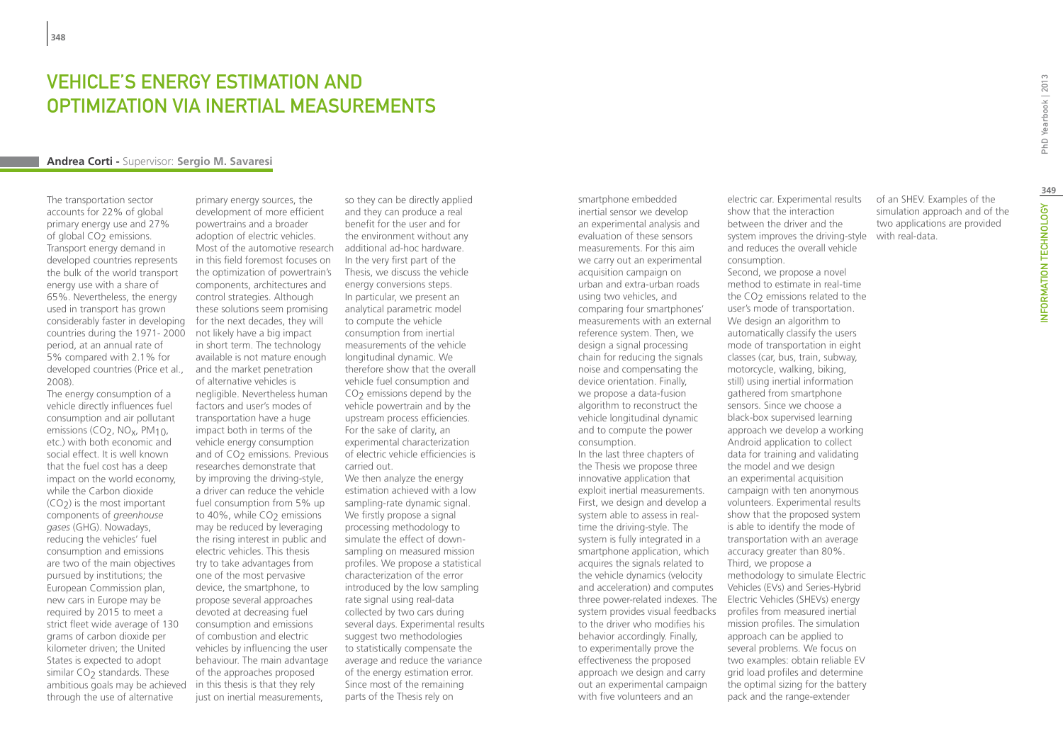## **VEHICLE'S ENERGY ESTIMATION AND** optimization via inertial measurements

#### **Andrea Corti -** Supervisor: **Sergio M. Savaresi**

The transportation sector accounts for 22% of global primary energy use and 27% of global CO<sub>2</sub> emissions. Transport energy demand in developed countries represents the bulk of the world transport energy use with a share of 65%. Nevertheless, the energy used in transport has grown considerably faster in developing countries during the 1971- 2000 period, at an annual rate of 5% compared with 2.1% for developed countries (Price et al., 2008).

The energy consumption of a vehicle directly influences fuel consumption and air pollutant emissions (CO<sub>2</sub>, NO<sub>x</sub>, PM<sub>10</sub>, etc.) with both economic and social effect. It is well known that the fuel cost has a deep impact on the world economy, while the Carbon dioxide  $(CO<sub>2</sub>)$  is the most important components of *greenhouse gases* (GHG). Nowadays, reducing the vehicles' fuel consumption and emissions are two of the main objectives pursued by institutions; the European Commission plan, new cars in Europe may be required by 2015 to meet a strict fleet wide average of 130 grams of carbon dioxide per kilometer driven; the United States is expected to adopt similar CO<sub>2</sub> standards. These ambitious goals may be achieved through the use of alternative

primary energy sources, the development of more efficient powertrains and a broader adoption of electric vehicles. Most of the automotive research additional ad-hoc hardware. in this field foremost focuses on the optimization of powertrain's components, architectures and control strategies. Although these solutions seem promising for the next decades, they will not likely have a big impact in short term. The technology available is not mature enough and the market penetration of alternative vehicles is negligible. Nevertheless human factors and user's modes of transportation have a huge impact both in terms of the vehicle energy consumption and of CO<sub>2</sub> emissions. Previous researches demonstrate that by improving the driving-style, a driver can reduce the vehicle fuel consumption from 5% up to  $40\%$ , while  $CO<sub>2</sub>$  emissions may be reduced by leveraging the rising interest in public and electric vehicles. This thesis try to take advantages from one of the most pervasive device, the smartphone, to propose several approaches devoted at decreasing fuel consumption and emissions of combustion and electric vehicles by influencing the user behaviour. The main advantage of the approaches proposed in this thesis is that they rely just on inertial measurements.

so they can be directly applied and they can produce a real benefit for the user and for the environment without any In the very first part of the Thesis, we discuss the vehicle energy conversions steps. In particular, we present an analytical parametric model to compute the vehicle consumption from inertial measurements of the vehicle longitudinal dynamic. We therefore show that the overall vehicle fuel consumption and CO<sub>2</sub> emissions depend by the vehicle powertrain and by the upstream process efficiencies. For the sake of clarity, an experimental characterization of electric vehicle efficiencies is carried out.

We then analyze the energy estimation achieved with a low sampling-rate dynamic signal. We firstly propose a signal processing methodology to simulate the effect of downsampling on measured mission profiles. We propose a statistical characterization of the error introduced by the low sampling rate signal using real-data collected by two cars during several days. Experimental results suggest two methodologies to statistically compensate the average and reduce the variance of the energy estimation error. Since most of the remaining parts of the Thesis rely on

smartphone embedded inertial sensor we develop an experimental analysis and evaluation of these sensors measurements. For this aim we carry out an experimental acquisition campaign on urban and extra-urban roads using two vehicles, and comparing four smartphones' measurements with an external reference system. Then, we design a signal processing chain for reducing the signals noise and compensating the device orientation. Finally, we propose a data-fusion algorithm to reconstruct the vehicle longitudinal dynamic and to compute the power consumption. In the last three chapters of the Thesis we propose three innovative application that exploit inertial measurements. First, we design and develop a system able to assess in realtime the driving-style. The system is fully integrated in a smartphone application, which acquires the signals related to the vehicle dynamics (velocity and acceleration) and computes three power-related indexes. The system provides visual feedbacks to the driver who modifies his behavior accordingly. Finally, to experimentally prove the effectiveness the proposed approach we design and carry out an experimental campaign with five volunteers and an

electric car. Experimental results show that the interaction between the driver and the system improves the driving-style with real-data.and reduces the overall vehicle consumption.

Second, we propose a novel method to estimate in real-time the  $CO<sub>2</sub>$  emissions related to the user's mode of transportation. We design an algorithm to automatically classify the users mode of transportation in eight classes (car, bus, train, subway, motorcycle, walking, biking, still) using inertial information gathered from smartphone sensors. Since we choose a black-box supervised learning approach we develop a working Android application to collect data for training and validating the model and we design an experimental acquisition campaign with ten anonymous volunteers. Experimental results show that the proposed system is able to identify the mode of transportation with an average accuracy greater than 80%. Third, we propose a methodology to simulate Electric Vehicles (EVs) and Series-Hybrid Electric Vehicles (SHEVs) energy profiles from measured inertial mission profiles. The simulation approach can be applied to several problems. We focus on two examples: obtain reliable EV grid load profiles and determine the optimal sizing for the battery pack and the range-extender

of an SHEV. Examples of the simulation approach and of the two applications are provided

PhD Yearbook | 2013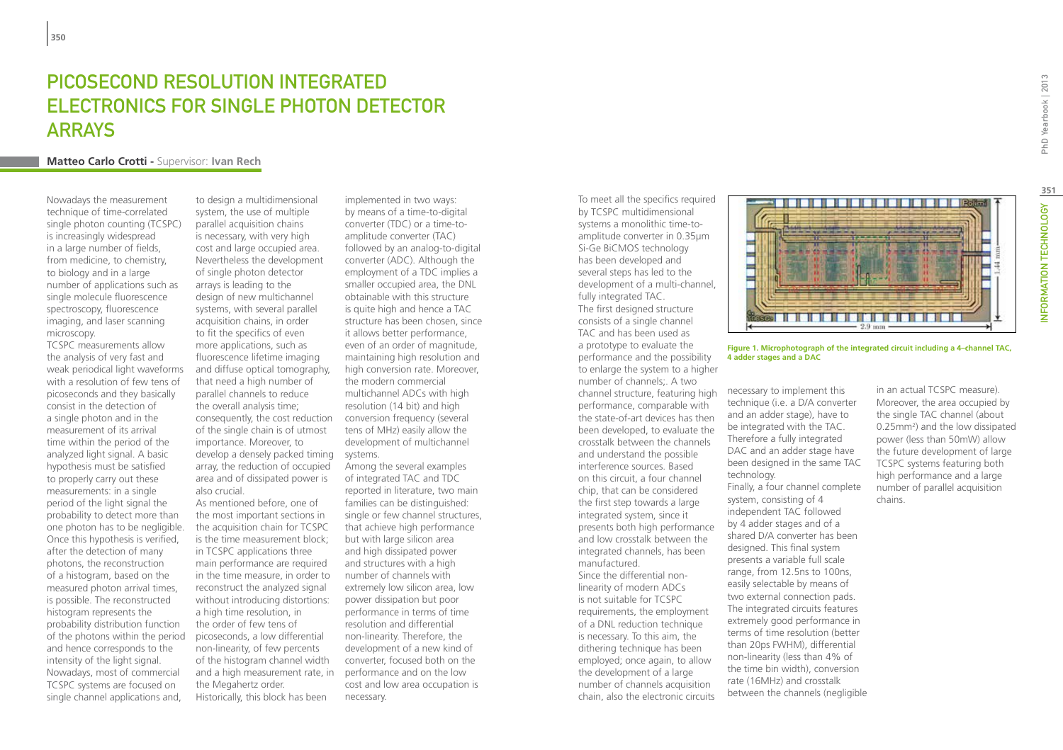# PICOSECOND RESOLUTION INTEGRATED Electronics for Single Photon Detector **ARRAYS**

#### **Matteo Carlo Crotti -** Supervisor: **Ivan Rech**

Nowadays the measurement technique of time-correlated single photon counting (TCSPC) is increasingly widespread in a large number of fields, from medicine, to chemistry, to biology and in a large number of applications such as single molecule fluorescence spectroscopy, fluorescence imaging, and laser scanning microscopy.

TCSPC measurements allow the analysis of very fast and weak periodical light waveforms with a resolution of few tens of picoseconds and they basically consist in the detection of a single photon and in the measurement of its arrival time within the period of the analyzed light signal. A basic hypothesis must be satisfied to properly carry out these measurements: in a single period of the light signal the probability to detect more than one photon has to be negligible. Once this hypothesis is verified, after the detection of many photons, the reconstruction of a histogram, based on the measured photon arrival times, is possible. The reconstructed histogram represents the probability distribution function of the photons within the period and hence corresponds to the intensity of the light signal. Nowadays, most of commercial TCSPC systems are focused on single channel applications and,

to design a multidimensional system, the use of multiple parallel acquisition chains is necessary, with very high cost and large occupied area. Nevertheless the development of single photon detector arrays is leading to the design of new multichannel systems, with several parallel acquisition chains, in order to fit the specifics of even more applications, such as fluorescence lifetime imaging and diffuse optical tomography, that need a high number of parallel channels to reduce the overall analysis time; consequently, the cost reduction of the single chain is of utmost importance. Moreover, to develop a densely packed timing systems. array, the reduction of occupied area and of dissipated power is also crucial.

As mentioned before, one of the most important sections in the acquisition chain for TCSPC is the time measurement block; in TCSPC applications three main performance are required in the time measure, in order to reconstruct the analyzed signal without introducing distortions: a high time resolution, in the order of few tens of picoseconds, a low differential non-linearity, of few percents of the histogram channel width and a high measurement rate, in the Megahertz order. Historically, this block has been

implemented in two ways: by means of a time-to-digital converter (TDC) or a time-toamplitude converter (TAC) followed by an analog-to-digital converter (ADC). Although the employment of a TDC implies a smaller occupied area, the DNL obtainable with this structure is quite high and hence a TAC structure has been chosen, since it allows better performance, even of an order of magnitude, maintaining high resolution and high conversion rate. Moreover, the modern commercial multichannel ADCs with high resolution (14 bit) and high conversion frequency (several tens of MHz) easily allow the development of multichannel

Among the several examples of integrated TAC and TDC reported in literature, two main families can be distinguished: single or few channel structures, that achieve high performance but with large silicon area and high dissipated power and structures with a high number of channels with extremely low silicon area, low power dissipation but poor performance in terms of time resolution and differential non-linearity. Therefore, the development of a new kind of converter, focused both on the performance and on the low cost and low area occupation is necessary.

To meet all the specifics required by TCSPC multidimensional systems a monolithic time-toamplitude converter in 0.35µm Si-Ge BiCMOS technology has been developed and several steps has led to the development of a multi-channel, fully integrated TAC. The first designed structure consists of a single channel TAC and has been used as a prototype to evaluate the performance and the possibility to enlarge the system to a higher number of channels;. A two channel structure, featuring high performance, comparable with the state-of-art devices has then been developed, to evaluate the crosstalk between the channels and understand the possible interference sources. Based on this circuit, a four channel chip, that can be considered the first step towards a large integrated system, since it presents both high performance and low crosstalk between the integrated channels, has been manufactured. Since the differential nonlinearity of modern ADCs is not suitable for TCSPC

requirements, the employment of a DNL reduction technique is necessary. To this aim, the dithering technique has been employed; once again, to allow the development of a large number of channels acquisition chain, also the electronic circuits



**Figure 1. Microphotograph of the integrated circuit including a 4–channel TAC, 4 adder stages and a DAC**

necessary to implement this technique (i.e. a D/A converter and an adder stage), have to be integrated with the TAC. Therefore a fully integrated DAC and an adder stage have been designed in the same TAC technology. Finally, a four channel complete system, consisting of 4 independent TAC followed by 4 adder stages and of a shared D/A converter has been designed. This final system presents a variable full scale range, from 12.5ns to 100ns, easily selectable by means of two external connection pads. The integrated circuits features extremely good performance in terms of time resolution (better than 20ps FWHM), differential non-linearity (less than 4% of the time bin width), conversion rate (16MHz) and crosstalk between the channels (negligible in an actual TCSPC measure). Moreover, the area occupied by the single TAC channel (about 0.25mm2 ) and the low dissipated power (less than 50mW) allow the future development of large TCSPC systems featuring both high performance and a large number of parallel acquisition chains.

**351**

NFORMATION TECHNOLOGY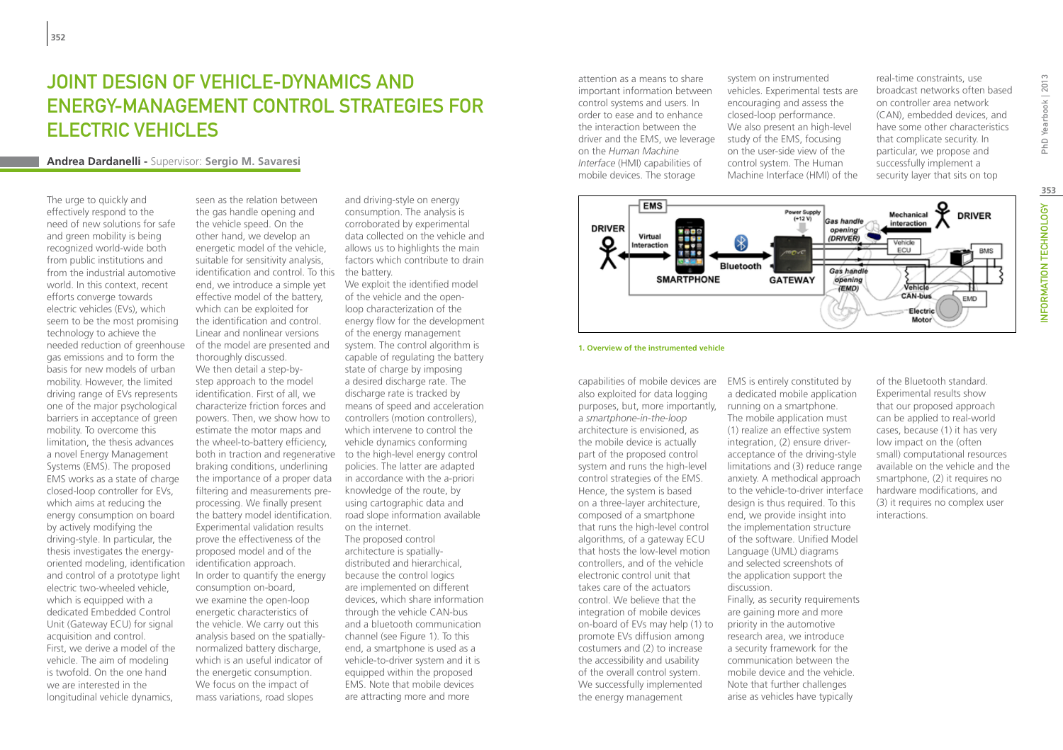# JOINT DESIGN OF VEHICLE-DYNAMICS AND energy-management control strategies for electric vehicles

## **Andrea Dardanelli -** Supervisor: **Sergio M. Savaresi**

The urge to quickly and effectively respond to the need of new solutions for safe and green mobility is being recognized world-wide both from public institutions and from the industrial automotive world. In this context, recent efforts converge towards electric vehicles (EVs), which seem to be the most promising technology to achieve the needed reduction of greenhouse gas emissions and to form the basis for new models of urban mobility. However, the limited driving range of EVs represents one of the major psychological barriers in acceptance of green mobility. To overcome this limitation, the thesis advances a novel Energy Management Systems (EMS). The proposed EMS works as a state of charge closed-loop controller for EVs, which aims at reducing the energy consumption on board by actively modifying the driving-style. In particular, the thesis investigates the energyoriented modeling, identification and control of a prototype light electric two-wheeled vehicle, which is equipped with a dedicated Embedded Control Unit (Gateway ECU) for signal acquisition and control. First, we derive a model of the vehicle. The aim of modeling is twofold. On the one hand we are interested in the longitudinal vehicle dynamics,

seen as the relation between the gas handle opening and the vehicle speed. On the other hand, we develop an energetic model of the vehicle, suitable for sensitivity analysis, identification and control. To this the battery. end, we introduce a simple yet effective model of the battery, which can be exploited for the identification and control. Linear and nonlinear versions of the model are presented and thoroughly discussed. We then detail a step-bystep approach to the model identification. First of all, we characterize friction forces and powers. Then, we show how to estimate the motor maps and the wheel-to-battery efficiency, braking conditions, underlining the importance of a proper data filtering and measurements preprocessing. We finally present the battery model identification. Experimental validation results prove the effectiveness of the proposed model and of the identification approach. In order to quantify the energy consumption on-board, we examine the open-loop energetic characteristics of the vehicle. We carry out this analysis based on the spatiallynormalized battery discharge, which is an useful indicator of the energetic consumption. We focus on the impact of mass variations, road slopes

and driving-style on energy consumption. The analysis is corroborated by experimental data collected on the vehicle and allows us to highlights the main factors which contribute to drain

both in traction and regenerative to the high-level energy control We exploit the identified model of the vehicle and the openloop characterization of the energy flow for the development of the energy management system. The control algorithm is capable of regulating the battery state of charge by imposing a desired discharge rate. The discharge rate is tracked by means of speed and acceleration controllers (motion controllers), which intervene to control the vehicle dynamics conforming policies. The latter are adapted in accordance with the a-priori knowledge of the route, by using cartographic data and road slope information available on the internet. The proposed control architecture is spatiallydistributed and hierarchical, because the control logics are implemented on different devices, which share information through the vehicle CAN-bus and a bluetooth communication channel (see Figure 1). To this end, a smartphone is used as a vehicle-to-driver system and it is equipped within the proposed EMS. Note that mobile devices are attracting more and more

attention as a means to share important information between control systems and users. In order to ease and to enhance the interaction between the driver and the EMS, we leverage on the *Human Machine Interface* (HMI) capabilities of mobile devices. The storage

system on instrumented vehicles. Experimental tests are encouraging and assess the closed-loop performance. We also present an high-level study of the EMS, focusing on the user-side view of the control system. The Human Machine Interface (HMI) of the real-time constraints, use broadcast networks often based on controller area network (CAN), embedded devices, and have some other characteristics that complicate security. In particular, we propose and successfully implement a security layer that sits on top



#### **1. Overview of the instrumented vehicle**

capabilities of mobile devices are also exploited for data logging purposes, but, more importantly, running on a smartphone. a *smartphone-in-the-loop* architecture is envisioned, as the mobile device is actually part of the proposed control system and runs the high-level control strategies of the EMS. Hence, the system is based on a three-layer architecture, composed of a smartphone that runs the high-level control algorithms, of a gateway ECU that hosts the low-level motion controllers, and of the vehicle electronic control unit that takes care of the actuators control. We believe that the integration of mobile devices on-board of EVs may help (1) to promote EVs diffusion among costumers and (2) to increase the accessibility and usability of the overall control system. We successfully implemented the energy management

EMS is entirely constituted by a dedicated mobile application The mobile application must (1) realize an effective system integration, (2) ensure driveracceptance of the driving-style limitations and (3) reduce range anxiety. A methodical approach to the vehicle-to-driver interface design is thus required. To this end, we provide insight into the implementation structure of the software. Unified Model Language (UML) diagrams and selected screenshots of the application support the discussion. Finally, as security requirements are gaining more and more priority in the automotive research area, we introduce a security framework for the communication between the mobile device and the vehicle. Note that further challenges arise as vehicles have typically

of the Bluetooth standard. Experimental results show that our proposed approach can be applied to real-world cases, because (1) it has very low impact on the (often small) computational resources available on the vehicle and the smartphone, (2) it requires no hardware modifications, and (3) it requires no complex user interactions.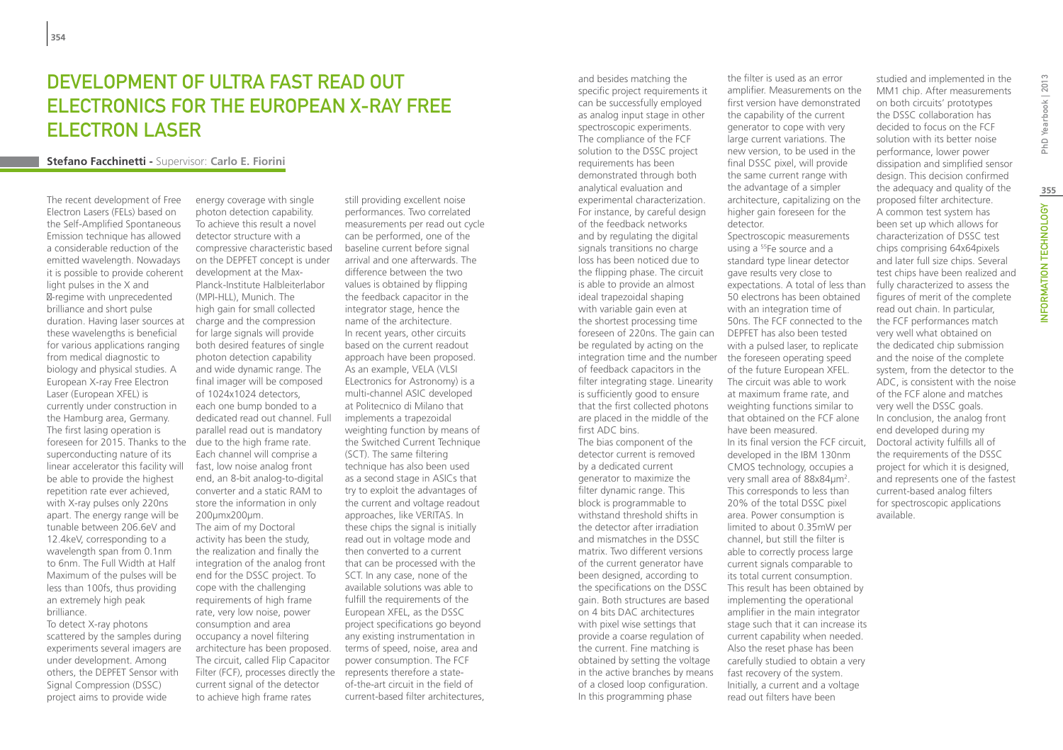## DEVELOPMENT OF ULTRA FAST READ OUT electronics for the European X-ray Free Electron Laser

#### **Stefano Facchinetti -** Supervisor: **Carlo E. Fiorini**

The recent development of Free Electron Lasers (FELs) based on the Self-Amplified Spontaneous Emission technique has allowed a considerable reduction of the emitted wavelength. Nowadays it is possible to provide coherent light pulses in the X and

-regime with unprecedented brilliance and short pulse duration. Having laser sources at these wavelengths is beneficial for various applications ranging from medical diagnostic to biology and physical studies. A European X-ray Free Electron Laser (European XFEL) is currently under construction in the Hamburg area, Germany. The first lasing operation is foreseen for 2015. Thanks to the due to the high frame rate. superconducting nature of its linear accelerator this facility will be able to provide the highest repetition rate ever achieved, with X-ray pulses only 220ns apart. The energy range will be tunable between 206.6eV and 12.4keV, corresponding to a wavelength span from 0.1nm to 6nm. The Full Width at Half Maximum of the pulses will be less than 100fs, thus providing an extremely high peak brilliance.

To detect X-ray photons scattered by the samples during experiments several imagers are under development. Among others, the DEPFET Sensor with Signal Compression (DSSC) project aims to provide wide

energy coverage with single photon detection capability. To achieve this result a novel detector structure with a compressive characteristic based on the DEPFET concept is under development at the Max-Planck-Institute Halbleiterlabor (MPI-HLL), Munich. The high gain for small collected charge and the compression for large signals will provide both desired features of single photon detection capability and wide dynamic range. The final imager will be composed of 1024x1024 detectors, each one bump bonded to a dedicated read out channel. Full parallel read out is mandatory Each channel will comprise a fast, low noise analog front end, an 8-bit analog-to-digital converter and a static RAM to store the information in only 200µmx200µm. The aim of my Doctoral activity has been the study, the realization and finally the integration of the analog front end for the DSSC project. To cope with the challenging requirements of high frame rate, very low noise, power consumption and area occupancy a novel filtering architecture has been proposed. The circuit, called Flip Capacitor Filter (FCF), processes directly the represents therefore a statecurrent signal of the detector to achieve high frame rates

still providing excellent noise performances. Two correlated measurements per read out cycle can be performed, one of the baseline current before signal arrival and one afterwards. The difference between the two values is obtained by flipping the feedback capacitor in the integrator stage, hence the name of the architecture. In recent years, other circuits based on the current readout approach have been proposed. As an example, VELA (VLSI ELectronics for Astronomy) is a multi-channel ASIC developed at Politecnico di Milano that implements a trapezoidal weighting function by means of the Switched Current Technique (SCT). The same filtering technique has also been used as a second stage in ASICs that try to exploit the advantages of the current and voltage readout approaches, like VERITAS. In these chips the signal is initially read out in voltage mode and then converted to a current that can be processed with the SCT. In any case, none of the available solutions was able to fulfill the requirements of the European XFEL, as the DSSC project specifications go beyond any existing instrumentation in terms of speed, noise, area and power consumption. The FCF of-the-art circuit in the field of current-based filter architectures,

specific project requirements it can be successfully employed as analog input stage in other spectroscopic experiments. The compliance of the FCF solution to the DSSC project requirements has been demonstrated through both analytical evaluation and experimental characterization. For instance, by careful design of the feedback networks and by regulating the digital signals transitions no charge loss has been noticed due to the flipping phase. The circuit is able to provide an almost ideal trapezoidal shaping with variable gain even at the shortest processing time foreseen of 220ns. The gain can DEPFET has also been tested be regulated by acting on the integration time and the number the foreseen operating speed of feedback capacitors in the filter integrating stage. Linearity is sufficiently good to ensure that the first collected photons are placed in the middle of the first ADC bins. The bias component of the detector current is removed by a dedicated current generator to maximize the filter dynamic range. This block is programmable to withstand threshold shifts in the detector after irradiation and mismatches in the DSSC matrix. Two different versions of the current generator have been designed, according to the specifications on the DSSC gain. Both structures are based on 4 bits DAC architectures with pixel wise settings that provide a coarse regulation of the current. Fine matching is obtained by setting the voltage in the active branches by means of a closed loop configuration. In this programming phase

and besides matching the

the filter is used as an error amplifier. Measurements on the first version have demonstrated the capability of the current generator to cope with very large current variations. The new version, to be used in the final DSSC pixel, will provide the same current range with the advantage of a simpler architecture, capitalizing on the higher gain foreseen for the detector. Spectroscopic measurements using a 55Fe source and a standard type linear detector gave results very close to expectations. A total of less than 50 electrons has been obtained with an integration time of 50ns. The FCF connected to the with a pulsed laser, to replicate of the future European XFEL. The circuit was able to work at maximum frame rate, and weighting functions similar to that obtained on the FCF alone have been measured. In its final version the FCF circuit, developed in the IBM 130nm CMOS technology, occupies a very small area of 88x84µm<sup>2</sup>. This corresponds to less than 20% of the total DSSC pixel area. Power consumption is limited to about 0.35mW per channel, but still the filter is able to correctly process large current signals comparable to its total current consumption. This result has been obtained by implementing the operational amplifier in the main integrator stage such that it can increase its current capability when needed. Also the reset phase has been carefully studied to obtain a very fast recovery of the system. Initially, a current and a voltage read out filters have been

studied and implemented in the MM1 chip. After measurements on both circuits' prototypes the DSSC collaboration has decided to focus on the FCF solution with its better noise performance, lower power dissipation and simplified sensor design. This decision confirmed the adequacy and quality of the proposed filter architecture. A common test system has been set up which allows for characterization of DSSC test chips comprising 64x64pixels and later full size chips. Several test chips have been realized and fully characterized to assess the figures of merit of the complete read out chain. In particular, the FCF performances match very well what obtained on the dedicated chip submission and the noise of the complete system, from the detector to the ADC, is consistent with the noise of the FCF alone and matches very well the DSSC goals. In conclusion, the analog front end developed during my Doctoral activity fulfills all of the requirements of the DSSC project for which it is designed, and represents one of the fastest current-based analog filters for spectroscopic applications available.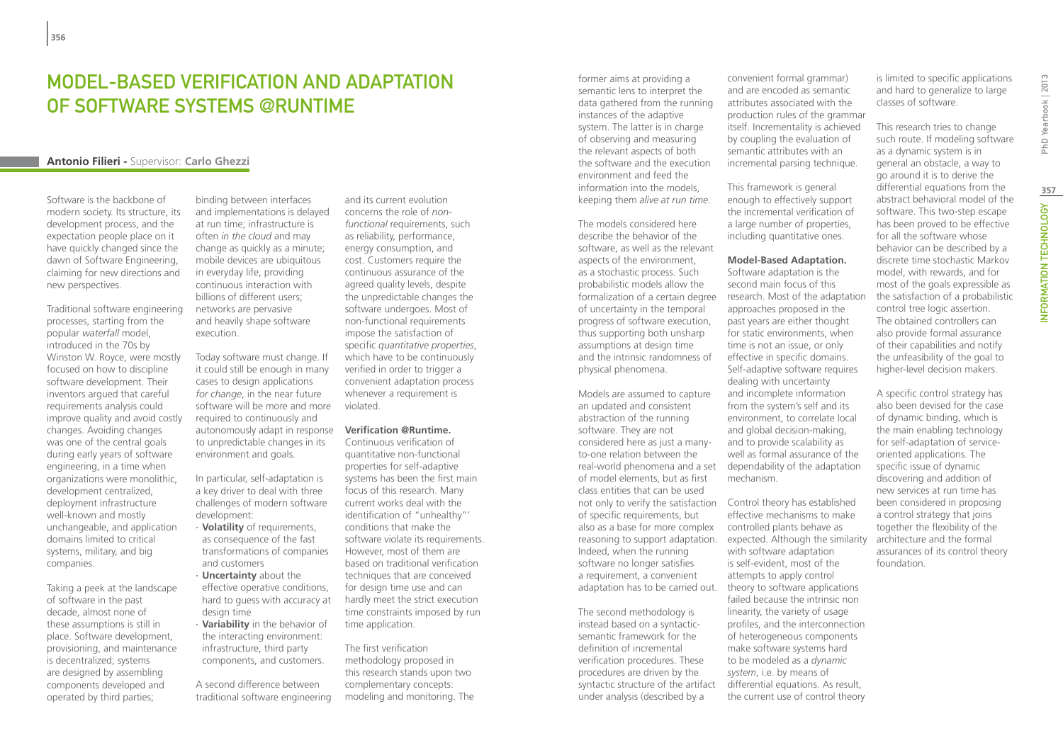## Model-Based Verification and Adaptation of Software Systems @Runtime

## **Antonio Filieri -** Supervisor: **Carlo Ghezzi**

Software is the backbone of modern society. Its structure, its development process, and the expectation people place on it have quickly changed since the dawn of Software Engineering, claiming for new directions and new perspectives.

Traditional software engineering processes, starting from the popular *waterfall* model, introduced in the 70s by Winston W. Royce, were mostly focused on how to discipline software development. Their inventors argued that careful requirements analysis could improve quality and avoid costly changes. Avoiding changes was one of the central goals during early years of software engineering, in a time when organizations were monolithic, development centralized, deployment infrastructure well-known and mostly unchangeable, and application domains limited to critical systems, military, and big companies.

Taking a peek at the landscape of software in the past decade, almost none of these assumptions is still in place. Software development, provisioning, and maintenance is decentralized; systems are designed by assembling components developed and operated by third parties;

binding between interfaces and implementations is delayed at run time; infrastructure is often *in the cloud* and may change as quickly as a minute; mobile devices are ubiquitous in everyday life, providing continuous interaction with billions of different users; networks are pervasive and heavily shape software execution.

Today software must change. If it could still be enough in many cases to design applications *for change*, in the near future software will be more and more required to continuously and autonomously adapt in response to unpredictable changes in its environment and goals.

In particular, self-adaptation is a key driver to deal with three challenges of modern software development:

∙ **Volatility** of requirements, as consequence of the fast transformations of companies and customers

∙ **Uncertainty** about the effective operative conditions, hard to guess with accuracy at design time

∙ **Variability** in the behavior of the interacting environment: infrastructure, third party components, and customers.

A second difference between traditional software engineering

and its current evolution concerns the role of *nonfunctional* requirements, such as reliability, performance, energy consumption, and cost. Customers require the continuous assurance of the agreed quality levels, despite the unpredictable changes the software undergoes. Most of non-functional requirements impose the satisfaction of specific *quantitative properties*, which have to be continuously verified in order to trigger a convenient adaptation process whenever a requirement is violated.

#### **Verification @Runtime.**

Continuous verification of quantitative non-functional properties for self-adaptive systems has been the first main focus of this research. Many current works deal with the identification of "unhealthy"' conditions that make the software violate its requirements. However, most of them are based on traditional verification techniques that are conceived for design time use and can hardly meet the strict execution time constraints imposed by run time application.

The first verification methodology proposed in this research stands upon two complementary concepts: modeling and monitoring. The former aims at providing a semantic lens to interpret the data gathered from the running instances of the adaptive system. The latter is in charge of observing and measuring the relevant aspects of both the software and the execution environment and feed the information into the models, keeping them *alive at run time*.

The models considered here describe the behavior of the software, as well as the relevant aspects of the environment, as a stochastic process. Such probabilistic models allow the of uncertainty in the temporal progress of software execution, thus supporting both unsharp assumptions at design time and the intrinsic randomness of physical phenomena.

Models are assumed to capture an updated and consistent abstraction of the running software. They are not considered here as just a manyto-one relation between the real-world phenomena and a set dependability of the adaptation of model elements, but as first class entities that can be used not only to verify the satisfaction Control theory has established of specific requirements, but also as a base for more complex Indeed, when the running software no longer satisfies a requirement, a convenient adaptation has to be carried out. theory to software applications

The second methodology is instead based on a syntacticsemantic framework for the definition of incremental verification procedures. These procedures are driven by the syntactic structure of the artifact under analysis (described by a

convenient formal grammar) and are encoded as semantic attributes associated with the production rules of the grammar itself. Incrementality is achieved by coupling the evaluation of semantic attributes with an incremental parsing technique.

This framework is general enough to effectively support the incremental verification of a large number of properties, including quantitative ones.

#### **Model-Based Adaptation.**

formalization of a certain degree research. Most of the adaptation Software adaptation is the second main focus of this approaches proposed in the past years are either thought for static environments, when time is not an issue, or only effective in specific domains. Self-adaptive software requires dealing with uncertainty and incomplete information from the system's self and its environment, to correlate local and global decision-making, and to provide scalability as well as formal assurance of the mechanism.

reasoning to support adaptation. expected. Although the similarity effective mechanisms to make controlled plants behave as with software adaptation is self-evident, most of the attempts to apply control failed because the intrinsic non linearity, the variety of usage profiles, and the interconnection of heterogeneous components make software systems hard to be modeled as a *dynamic system*, i.e. by means of differential equations. As result, the current use of control theory

is limited to specific applications and hard to generalize to large classes of software.

This research tries to change such route. If modeling software as a dynamic system is in general an obstacle, a way to go around it is to derive the differential equations from the abstract behavioral model of the software. This two-step escape has been proved to be effective for all the software whose behavior can be described by a discrete time stochastic Markov model, with rewards, and for most of the goals expressible as the satisfaction of a probabilistic control tree logic assertion. The obtained controllers can also provide formal assurance of their capabilities and notify the unfeasibility of the goal to higher-level decision makers.

A specific control strategy has also been devised for the case of dynamic binding, which is the main enabling technology for self-adaptation of serviceoriented applications. The specific issue of dynamic discovering and addition of new services at run time has been considered in proposing a control strategy that joins together the flexibility of the architecture and the formal assurances of its control theory foundation.

PhD Yearbook | 2013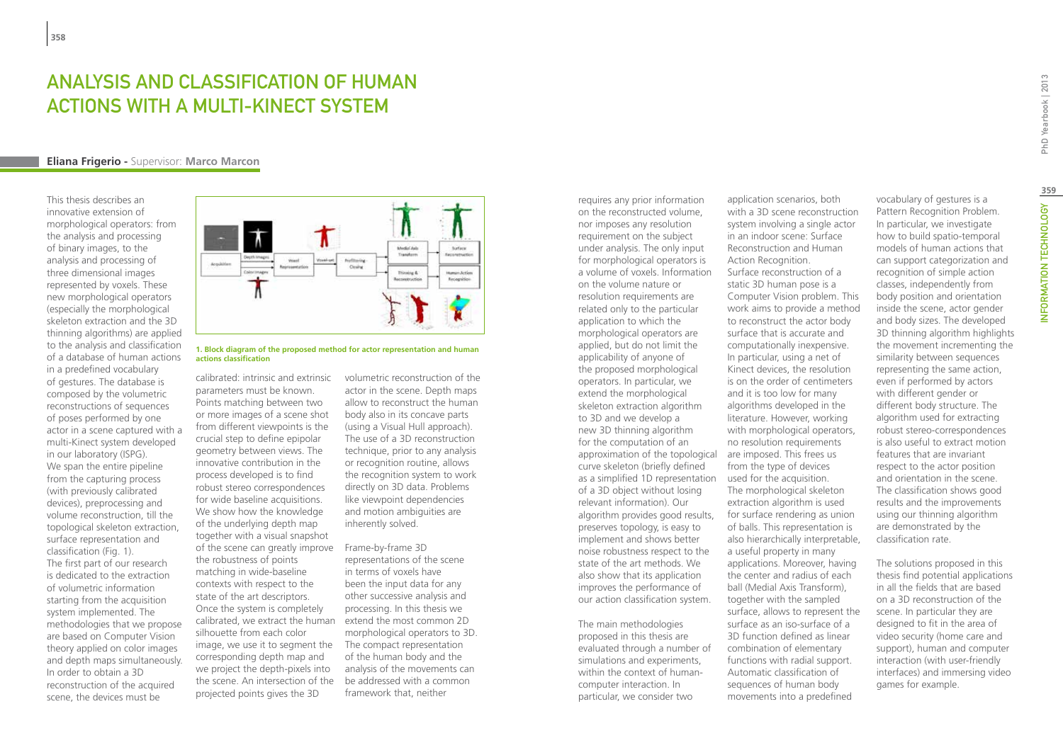## ANALYSIS AND CLASSIFICATION OF HUMAN ACTIONS WITH A MULTI-KINECT SYSTEM

#### **Eliana Frigerio -** Supervisor: **Marco Marcon**

This thesis describes an innovative extension of morphological operators: from the analysis and processing of binary images, to the analysis and processing of three dimensional images represented by voxels. These new morphological operators (especially the morphological skeleton extraction and the 3D thinning algorithms) are applied to the analysis and classification of a database of human actions in a predefined vocabulary of gestures. The database is composed by the volumetric reconstructions of sequences of poses performed by one actor in a scene captured with a multi-Kinect system developed in our laboratory (ISPG). We span the entire pipeline from the capturing process (with previously calibrated devices), preprocessing and volume reconstruction, till the topological skeleton extraction, surface representation and classification (Fig. 1). The first part of our research is dedicated to the extraction of volumetric information starting from the acquisition system implemented. The methodologies that we propose are based on Computer Vision theory applied on color images and depth maps simultaneously. In order to obtain a 3D reconstruction of the acquired scene, the devices must be



**1. Block diagram of the proposed method for actor representation and human actions classification**

parameters must be known. Points matching between two or more images of a scene shot from different viewpoints is the crucial step to define epipolar geometry between views. The innovative contribution in the process developed is to find robust stereo correspondences for wide baseline acquisitions. We show how the knowledge of the underlying depth map together with a visual snapshot of the scene can greatly improve the robustness of points matching in wide-baseline contexts with respect to the state of the art descriptors. Once the system is completely calibrated, we extract the human silhouette from each color image, we use it to segment the corresponding depth map and we project the depth-pixels into the scene. An intersection of the projected points gives the 3D

calibrated: intrinsic and extrinsic volumetric reconstruction of the actor in the scene. Depth maps allow to reconstruct the human body also in its concave parts (using a Visual Hull approach). The use of a 3D reconstruction technique, prior to any analysis or recognition routine, allows the recognition system to work directly on 3D data. Problems like viewpoint dependencies and motion ambiguities are inherently solved.

> Frame-by-frame 3D representations of the scene in terms of voxels have been the input data for any other successive analysis and processing. In this thesis we extend the most common 2D morphological operators to 3D. The compact representation of the human body and the analysis of the movements can be addressed with a common framework that, neither

requires any prior information on the reconstructed volume, nor imposes any resolution requirement on the subject under analysis. The only input for morphological operators is a volume of voxels. Information on the volume nature or resolution requirements are related only to the particular application to which the morphological operators are applied, but do not limit the applicability of anyone of the proposed morphological operators. In particular, we extend the morphological skeleton extraction algorithm to 3D and we develop a new 3D thinning algorithm for the computation of an approximation of the topological are imposed. This frees us curve skeleton (briefly defined as a simplified 1D representation of a 3D object without losing relevant information). Our algorithm provides good results, preserves topology, is easy to implement and shows better noise robustness respect to the state of the art methods. We also show that its application improves the performance of our action classification system.

The main methodologies proposed in this thesis are evaluated through a number of simulations and experiments, within the context of humancomputer interaction. In particular, we consider two

application scenarios, both with a 3D scene reconstruction system involving a single actor in an indoor scene: Surface Reconstruction and Human Action Recognition. Surface reconstruction of a static 3D human pose is a Computer Vision problem. This work aims to provide a method to reconstruct the actor body surface that is accurate and computationally inexpensive. In particular, using a net of Kinect devices, the resolution is on the order of centimeters and it is too low for many algorithms developed in the literature. However, working with morphological operators, no resolution requirements from the type of devices used for the acquisition. The morphological skeleton extraction algorithm is used for surface rendering as union of balls. This representation is also hierarchically interpretable, a useful property in many applications. Moreover, having the center and radius of each ball (Medial Axis Transform), together with the sampled surface, allows to represent the surface as an iso-surface of a 3D function defined as linear combination of elementary functions with radial support. Automatic classification of sequences of human body

movements into a predefined

vocabulary of gestures is a Pattern Recognition Problem. In particular, we investigate how to build spatio-temporal models of human actions that can support categorization and recognition of simple action classes, independently from body position and orientation inside the scene, actor gender and body sizes. The developed 3D thinning algorithm highlights the movement incrementing the similarity between sequences representing the same action, even if performed by actors with different gender or different body structure. The algorithm used for extracting robust stereo-correspondences is also useful to extract motion features that are invariant respect to the actor position and orientation in the scene. The classification shows good results and the improvements using our thinning algorithm are demonstrated by the classification rate.

The solutions proposed in this thesis find potential applications in all the fields that are based on a 3D reconstruction of the scene. In particular they are designed to fit in the area of video security (home care and support), human and computer interaction (with user-friendly interfaces) and immersing video games for example.

PhD Yearbook | 2013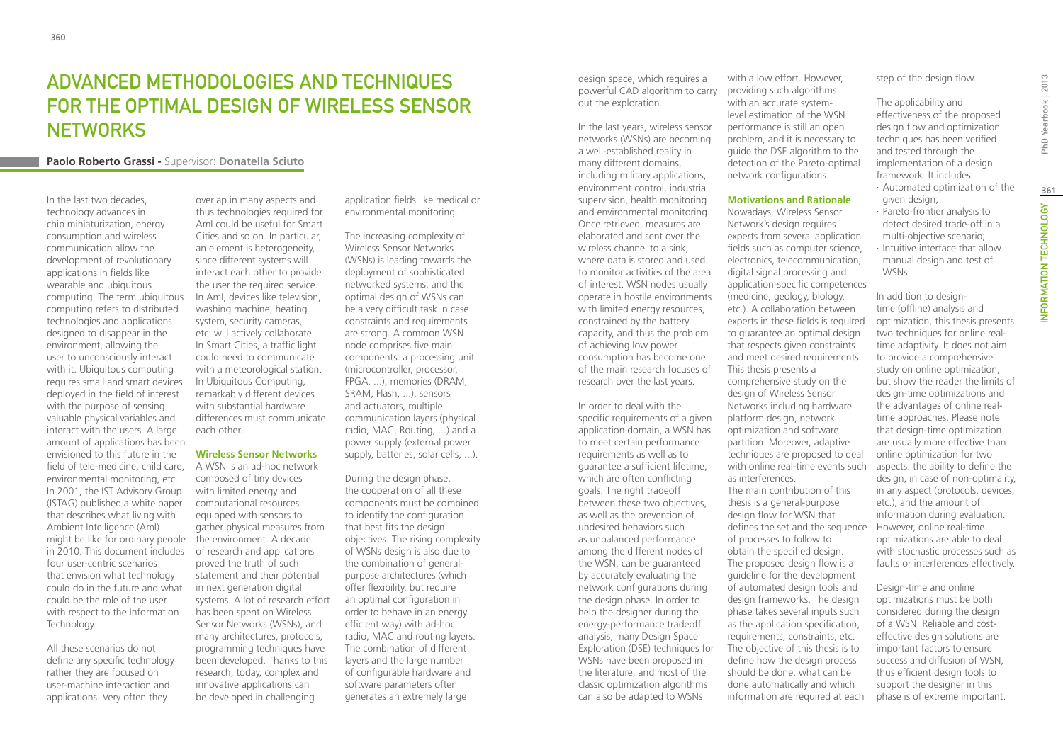# ADVANCED METHODOLOGIES AND TECHNIQUES FOR THE OPTIMAL DESIGN OF WIRELESS SENSOR **NETWORKS**

## **Paolo Roberto Grassi -** Supervisor: **Donatella Sciuto**

In the last two decades technology advances in chip miniaturization, energy consumption and wireless communication allow the development of revolutionary applications in fields like wearable and ubiquitous computing. The term ubiquitous computing refers to distributed technologies and applications designed to disappear in the environment, allowing the user to unconsciously interact with it. Ubiquitous computing requires small and smart devices deployed in the field of interest with the purpose of sensing valuable physical variables and interact with the users. A large amount of applications has been envisioned to this future in the field of tele-medicine, child care, environmental monitoring, etc. In 2001, the IST Advisory Group (ISTAG) published a white paper that describes what living with Ambient Intelligence (AmI) might be like for ordinary people in 2010. This document includes four user-centric scenarios that envision what technology could do in the future and what could be the role of the user with respect to the Information Technology.

All these scenarios do not define any specific technology rather they are focused on user-machine interaction and applications. Very often they

overlap in many aspects and thus technologies required for AmI could be useful for Smart Cities and so on. In particular, an element is heterogeneity, since different systems will interact each other to provide the user the required service. In AmI, devices like television, washing machine, heating system, security cameras, etc. will actively collaborate. In Smart Cities, a traffic light could need to communicate with a meteorological station. In Ubiquitous Computing, remarkably different devices with substantial hardware differences must communicate each other.

#### **Wireless Sensor Networks**

A WSN is an ad-hoc network composed of tiny devices with limited energy and computational resources equipped with sensors to gather physical measures from the environment. A decade of research and applications proved the truth of such statement and their potential in next generation digital systems. A lot of research effort has been spent on Wireless Sensor Networks (WSNs), and many architectures, protocols, programming techniques have been developed. Thanks to this research, today, complex and innovative applications can be developed in challenging

application fields like medical or environmental monitoring.

The increasing complexity of Wireless Sensor Networks (WSNs) is leading towards the deployment of sophisticated networked systems, and the optimal design of WSNs can be a very difficult task in case constraints and requirements are strong. A common WSN node comprises five main components: a processing unit (microcontroller, processor, FPGA, ...), memories (DRAM, SRAM, Flash, ...), sensors and actuators, multiple communication layers (physical radio, MAC, Routing, ...) and a power supply (external power supply, batteries, solar cells, ...).

During the design phase, the cooperation of all these components must be combined to identify the configuration that best fits the design objectives. The rising complexity of WSNs design is also due to the combination of generalpurpose architectures (which offer flexibility, but require an optimal configuration in order to behave in an energy efficient way) with ad-hoc radio, MAC and routing layers. The combination of different layers and the large number of configurable hardware and software parameters often generates an extremely large

design space, which requires a powerful CAD algorithm to carry out the exploration.

In the last years, wireless sensor networks (WSNs) are becoming a well-established reality in many different domains, including military applications, environment control, industrial supervision, health monitoring and environmental monitoring. Once retrieved, measures are elaborated and sent over the wireless channel to a sink where data is stored and used to monitor activities of the area of interest. WSN nodes usually operate in hostile environments with limited energy resources, constrained by the battery capacity, and thus the problem of achieving low power consumption has become one of the main research focuses of research over the last years.

In order to deal with the specific requirements of a given application domain, a WSN has to meet certain performance requirements as well as to guarantee a sufficient lifetime, which are often conflicting goals. The right tradeoff between these two objectives, as well as the prevention of undesired behaviors such as unbalanced performance among the different nodes of the WSN, can be guaranteed by accurately evaluating the network configurations during the design phase. In order to help the designer during the energy-performance tradeoff analysis, many Design Space Exploration (DSE) techniques for WSNs have been proposed in the literature, and most of the classic optimization algorithms can also be adapted to WSNs

with a low effort. However, providing such algorithms with an accurate systemlevel estimation of the WSN performance is still an open problem, and it is necessary to guide the DSE algorithm to the detection of the Pareto-optimal network configurations.

#### **Motivations and Rationale**

Nowadays, Wireless Sensor Network's design requires experts from several application fields such as computer science, electronics, telecommunication, digital signal processing and application-specific competences (medicine, geology, biology, etc.). A collaboration between experts in these fields is required to guarantee an optimal design that respects given constraints and meet desired requirements. This thesis presents a comprehensive study on the design of Wireless Sensor Networks including hardware platform design, network optimization and software partition. Moreover, adaptive techniques are proposed to deal with online real-time events such as interferences. The main contribution of this thesis is a general-purpose design flow for WSN that defines the set and the sequence of processes to follow to obtain the specified design. The proposed design flow is a guideline for the development of automated design tools and design frameworks. The design phase takes several inputs such as the application specification, requirements, constraints, etc. The objective of this thesis is to define how the design process should be done, what can be done automatically and which information are required at each

step of the design flow.

The applicability and effectiveness of the proposed design flow and optimization techniques has been verified and tested through the implementation of a design framework. It includes:

- ∙ Automated optimization of the given design;
- ∙ Pareto-frontier analysis to detect desired trade-off in a multi-objective scenario; ∙ Intuitive interface that allow manual design and test of WSNs.

In addition to designtime (offline) analysis and optimization, this thesis presents two techniques for online realtime adaptivity. It does not aim to provide a comprehensive study on online optimization, but show the reader the limits of design-time optimizations and the advantages of online realtime approaches. Please note that design-time optimization are usually more effective than online optimization for two aspects: the ability to define the design, in case of non-optimality, in any aspect (protocols, devices, etc.), and the amount of information during evaluation. However, online real-time optimizations are able to deal with stochastic processes such as faults or interferences effectively.

Design-time and online optimizations must be both considered during the design of a WSN. Reliable and costeffective design solutions are important factors to ensure success and diffusion of WSN, thus efficient design tools to support the designer in this phase is of extreme important.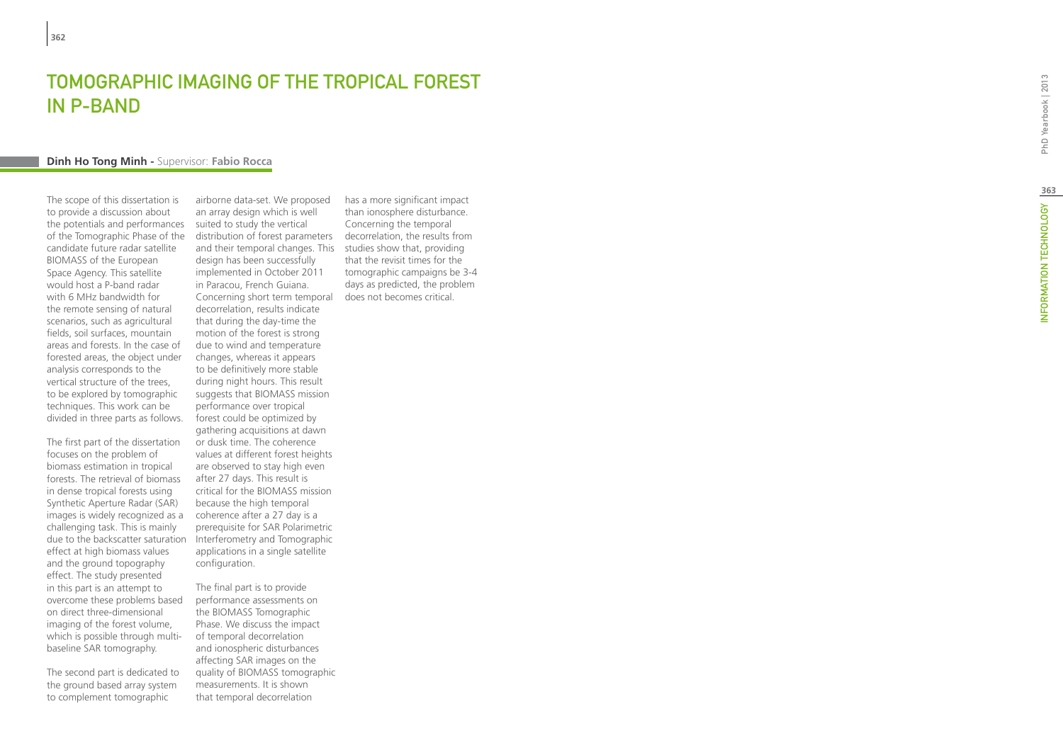# **TOMOGRAPHIC IMAGING OF THE TROPICAL FORES<br>IN P-BAND<br>Dinh Ho Tong Minh - Supervisor: Fabio Rocca** t in P-Band

The scope of this dissertation is to provide a discussion about the potentials and performances of the Tomographic Phase of the candidate future radar satellite BIOMASS of the European Space Agency. This satellite would host a P-band radar with 6 MHz bandwidth for the remote sensing of natural scenarios, such as agricultural fields, soil surfaces, mountain areas and forests. In the case of forested areas, the object under analysis corresponds to the vertical structure of the trees, to be explored by tomographic techniques. This work can be divided in three parts as follows.

The first part of the dissertation focuses on the problem of biomass estimation in tropical forests. The retrieval of biomass in dense tropical forests using Synthetic Aperture Radar (SAR) images is widely recognized as a challenging task. This is mainly due to the backscatter saturation effect at high biomass values and the ground topography effect. The study presented in this part is an attempt to overcome these problems based on direct three-dimensional imaging of the forest volume, which is possible through multibaseline SAR tomography.

The second part is dedicated to the ground based array system to complement tomographic

airborne data-set. We proposed an array design which is well suited to study the vertical distribution of forest parameters decorrelation, the results from and their temporal changes. This studies show that, providing design has been successfully implemented in October 2011 in Paracou, French Guiana. Concerning short term temporal does not becomes critical.decorrelation, results indicate that during the day-time the motion of the forest is strong due to wind and temperature changes, whereas it appears to be definitively more stable during night hours. This result suggests that BIOMASS mission performance over tropical forest could be optimized by gathering acquisitions at dawn or dusk time. The coherence values at different forest heights are observed to stay high even after 27 days. This result is critical for the BIOMASS mission because the high temporal coherence after a 27 day is a prerequisite for SAR Polarimetric Interferometry and Tomographic applications in a single satellite configuration.

The final part is to provide performance assessments on the BIOMASS Tomographic Phase. We discuss the impact of temporal decorrelation and ionospheric disturbances affecting SAR images on the quality of BIOMASS tomographic measurements. It is shown that temporal decorrelation

has a more significant impact than ionosphere disturbance. Concerning the temporal that the revisit times for the tomographic campaigns be 3-4 days as predicted, the problem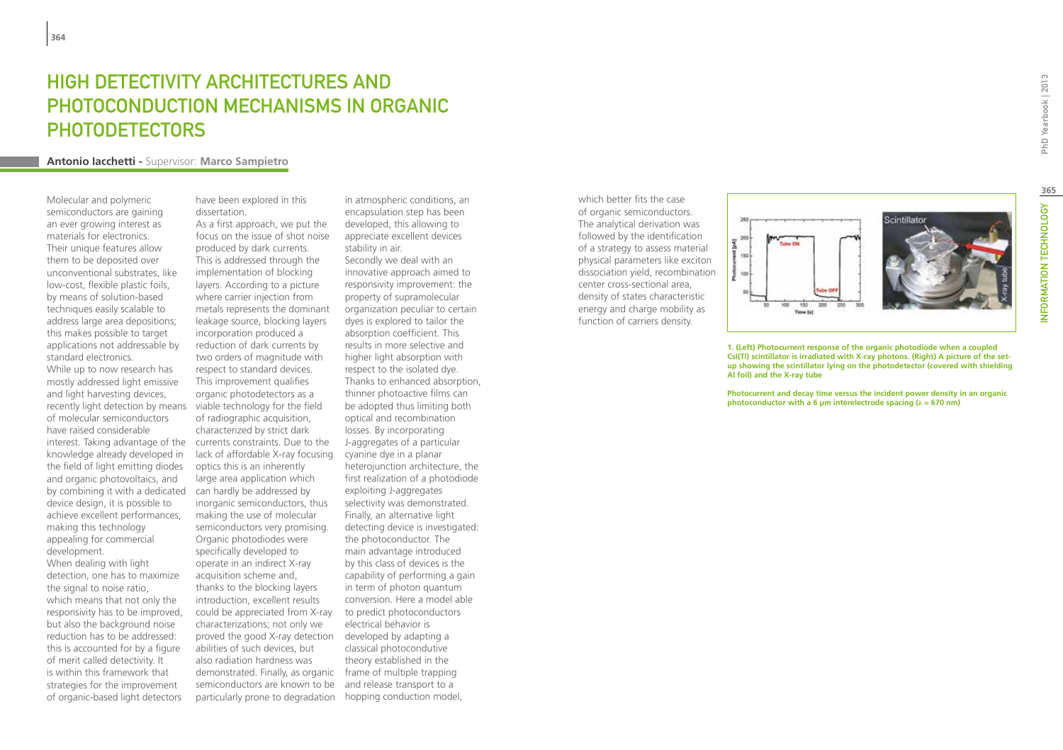# High detectivity architectures and photoconduction mechanisms in organic **PHOTODETECTORS**

#### **Antonio Iacchetti -** Supervisor: **Marco Sampietro**

Molecular and polymeric semiconductors are gaining an ever growing interest as materials for electronics. Their unique features allow them to be deposited over unconventional substrates, like low-cost, flexible plastic foils, by means of solution-based techniques easily scalable to address large area depositions; this makes possible to target applications not addressable by standard electronics. While up to now research has mostly addressed light emissive and light harvesting devices, recently light detection by means of molecular semiconductors have raised considerable interest. Taking advantage of the knowledge already developed in the field of light emitting diodes and organic photovoltaics, and by combining it with a dedicated device design, it is possible to achieve excellent performances, making this technology appealing for commercial development.

When dealing with light detection, one has to maximize the signal to noise ratio, which means that not only the responsivity has to be improved, but also the background noise reduction has to be addressed: this is accounted for by a figure of merit called detectivity. It is within this framework that strategies for the improvement of organic-based light detectors

have been explored in this dissertation.

As a first approach, we put the focus on the issue of shot noise produced by dark currents. This is addressed through the implementation of blocking layers. According to a picture where carrier injection from metals represents the dominant leakage source, blocking layers incorporation produced a reduction of dark currents by two orders of magnitude with respect to standard devices. This improvement qualifies organic photodetectors as a viable technology for the field of radiographic acquisition, characterized by strict dark currents constraints. Due to the lack of affordable X-ray focusing optics this is an inherently large area application which can hardly be addressed by inorganic semiconductors, thus making the use of molecular semiconductors very promising. Organic photodiodes were specifically developed to operate in an indirect X-ray acquisition scheme and, thanks to the blocking layers introduction, excellent results could be appreciated from X-ray characterizations; not only we proved the good X-ray detection developed by adapting a abilities of such devices, but also radiation hardness was demonstrated. Finally, as organic frame of multiple trapping semiconductors are known to be particularly prone to degradation hopping conduction model,

in atmospheric conditions, an encapsulation step has been developed, this allowing to appreciate excellent devices stability in air. Secondly we deal with an innovative approach aimed to responsivity improvement: the property of supramolecular organization peculiar to certain dyes is explored to tailor the absorption coefficient. This results in more selective and higher light absorption with respect to the isolated dye. Thanks to enhanced absorption, thinner photoactive films can be adopted thus limiting both optical and recombination losses. By incorporating J-aggregates of a particular cyanine dye in a planar heterojunction architecture, the first realization of a photodiode exploiting J-aggregates selectivity was demonstrated. Finally, an alternative light detecting device is investigated: the photoconductor. The main advantage introduced by this class of devices is the capability of performing a gain in term of photon quantum conversion. Here a model able to predict photoconductors electrical behavior is classical photocondutive theory established in the and release transport to a

which better fits the case of organic semiconductors. The analytical derivation was followed by the identification of a strategy to assess material physical parameters like exciton dissociation yield, recombination center cross-sectional area, density of states characteristic energy and charge mobility as function of carriers density.



**1. (Left) Photocurrent response of the organic photodiode when a coupled CsI(Tl) scintillator is irradiated with X-ray photons. (Right) A picture of the setup showing the scintillator lying on the photodetector (covered with shielding Al foil) and the X-ray tube**

**Photocurrent and decay time versus the incident power density in an organic photoconductor with a 6 um interelectrode spacing (** $\lambda$  **= 670 nm)**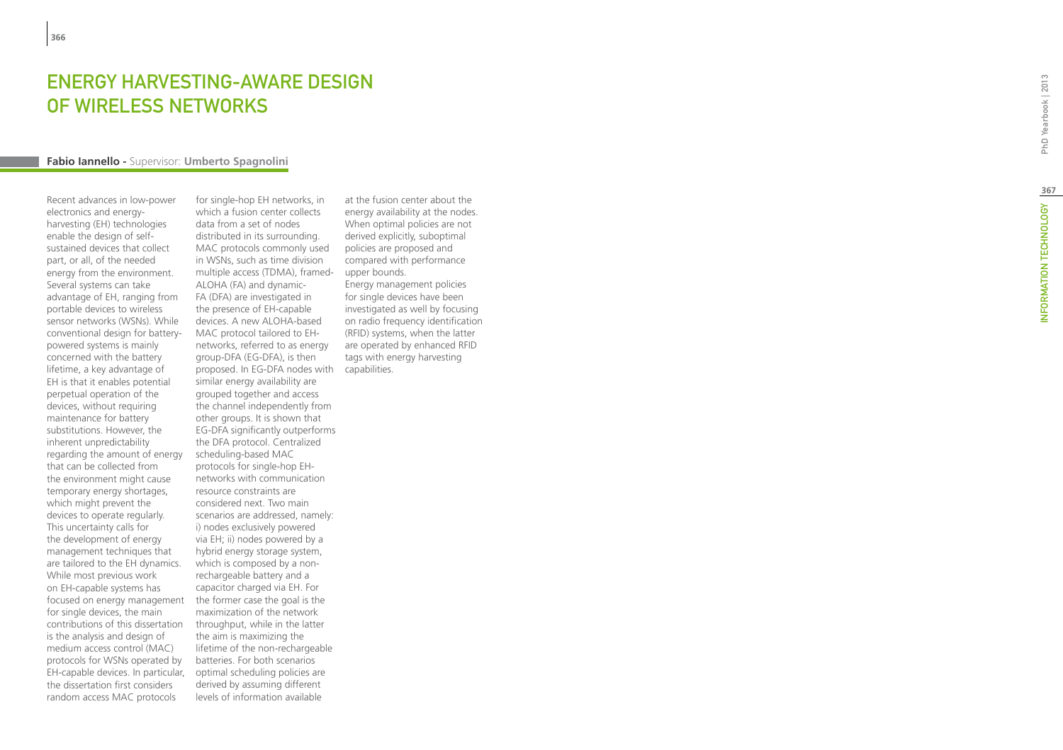## ENERGY HARVESTING-AWARE DES OF WIRELESS NETWORKS t

## **Fabio Iannello -** Supervisor: **Umberto Spagnolini**

Recent advances in low-power electronics and energyharvesting (EH) technologies enable the design of selfsustained devices that collect part, or all, of the needed energy from the environment. Several systems can take advantage of EH, ranging from portable devices to wireless sensor networks (WSNs). While conventional design for batterypowered systems is mainly concerned with the battery lifetime, a key advantage of EH is that it enables potential perpetual operation of the devices, without requiring maintenance for battery substitutions. However, the inherent unpredictability regarding the amount of energy that can be collected from the environment might cause temporary energy shortages, which might prevent the devices to operate regularly. This uncertainty calls for the development of energy management techniques that are tailored to the EH dynamics. While most previous work on EH-capable systems has focused on energy management for single devices, the main contributions of this dissertation is the analysis and design of medium access control (MAC) protocols for WSNs operated by EH-capable devices. In particular, the dissertation first considers random access MAC protocols

for single-hop EH networks, in which a fusion center collects data from a set of nodes distributed in its surrounding. MAC protocols commonly used in WSNs, such as time division multiple access (TDMA), framed-ALOHA (FA) and dynamic-FA (DFA) are investigated in the presence of EH-capable devices. A new ALOHA-based MAC protocol tailored to EHnetworks, referred to as energy group-DFA (EG-DFA), is then proposed. In EG-DFA nodes with capabilities.similar energy availability are grouped together and access the channel independently from other groups. It is shown that EG-DFA significantly outperforms the DFA protocol. Centralized scheduling-based MAC protocols for single-hop EHnetworks with communication resource constraints are considered next. Two main scenarios are addressed, namely: i) nodes exclusively powered via EH; ii) nodes powered by a hybrid energy storage system, which is composed by a nonrechargeable battery and a capacitor charged via EH. For the former case the goal is the maximization of the network throughput, while in the latter the aim is maximizing the lifetime of the non-rechargeable batteries. For both scenarios optimal scheduling policies are derived by assuming different levels of information available

at the fusion center about the energy availability at the nodes. When optimal policies are not derived explicitly, suboptimal policies are proposed and compared with performance upper bounds. Energy management policies for single devices have been

investigated as well by focusing on radio frequency identification (RFID) systems, when the latter are operated by enhanced RFID tags with energy harvesting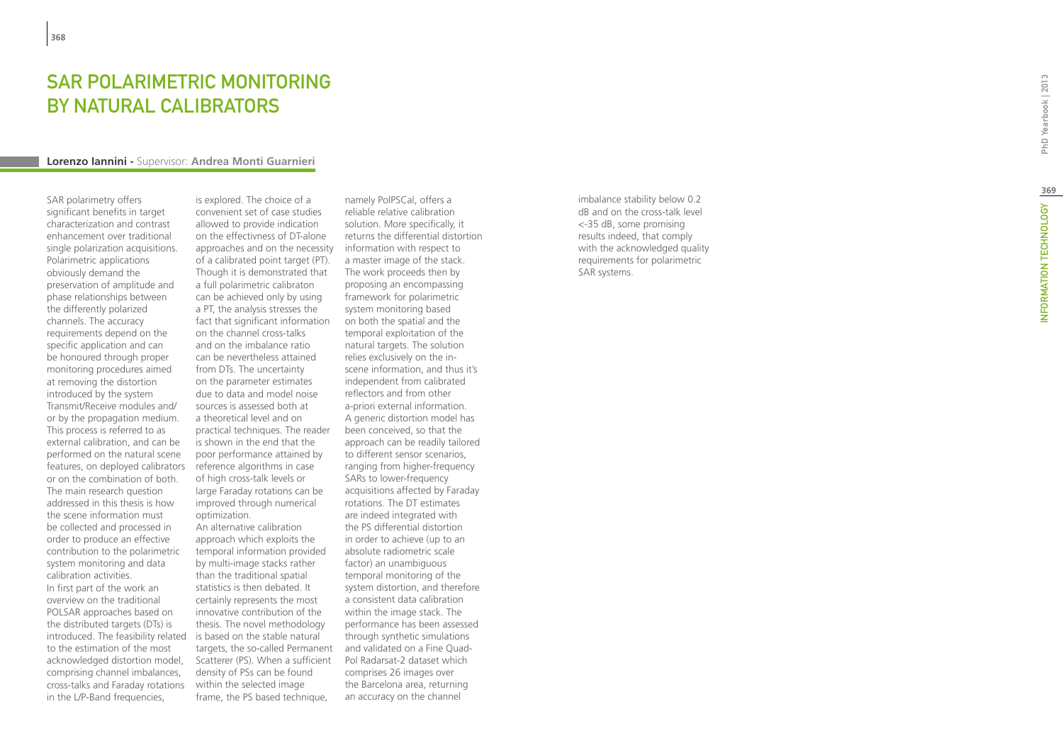# **Lorenzo Iannini - Supervisor: Andrea Monti Guarnieri<br>
Lorenzo Iannini - Supervisor: Andrea Monti Guarnieri**

SAR polarimetry offers significant benefits in target characterization and contrast enhancement over traditional single polarization acquisitions. Polarimetric applications obviously demand the preservation of amplitude and phase relationships between the differently polarized channels. The accuracy requirements depend on the specific application and can be honoured through proper monitoring procedures aimed at removing the distortion introduced by the system Transmit/Receive modules and/ or by the propagation medium. This process is referred to as external calibration, and can be performed on the natural scene features, on deployed calibrators or on the combination of both. The main research question addressed in this thesis is how the scene information must be collected and processed in order to produce an effective contribution to the polarimetric system monitoring and data calibration activities. In first part of the work an overview on the traditional POLSAR approaches based on the distributed targets (DTs) is introduced. The feasibility related is based on the stable natural to the estimation of the most acknowledged distortion model, comprising channel imbalances, cross-talks and Faraday rotations in the L/P-Band frequencies,

is explored. The choice of a convenient set of case studies allowed to provide indication on the effectivness of DT-alone approaches and on the necessity of a calibrated point target (PT). Though it is demonstrated that a full polarimetric calibraton can be achieved only by using a PT, the analysis stresses the fact that significant information on the channel cross-talks and on the imbalance ratio can be nevertheless attained from DTs. The uncertainty on the parameter estimates due to data and model noise sources is assessed both at a theoretical level and on practical techniques. The reader is shown in the end that the poor performance attained by reference algorithms in case of high cross-talk levels or large Faraday rotations can be improved through numerical optimization. An alternative calibration approach which exploits the temporal information provided by multi-image stacks rather than the traditional spatial statistics is then debated. It certainly represents the most innovative contribution of the thesis. The novel methodology targets, the so-called Permanent

Scatterer (PS). When a sufficient density of PSs can be found within the selected image frame, the PS based technique.

namely PolPSCal, offers a reliable relative calibration solution. More specifically, it returns the differential distortion information with respect to a master image of the stack. The work proceeds then by proposing an encompassing framework for polarimetric system monitoring based on both the spatial and the temporal exploitation of the natural targets. The solution relies exclusively on the inscene information, and thus it's independent from calibrated reflectors and from other a-priori external information. A generic distortion model has been conceived, so that the approach can be readily tailored to different sensor scenarios, ranging from higher-frequency SARs to lower-frequency acquisitions affected by Faraday rotations. The DT estimates are indeed integrated with the PS differential distortion in order to achieve (up to an absolute radiometric scale factor) an unambiguous temporal monitoring of the system distortion, and therefore a consistent data calibration within the image stack. The performance has been assessed through synthetic simulations and validated on a Fine Quad-Pol Radarsat-2 dataset which comprises 26 images over the Barcelona area, returning an accuracy on the channel

imbalance stability below 0.2 dB and on the cross-talk level <-35 dB, some promising results indeed, that comply with the acknowledged quality requirements for polarimetric SAR systems.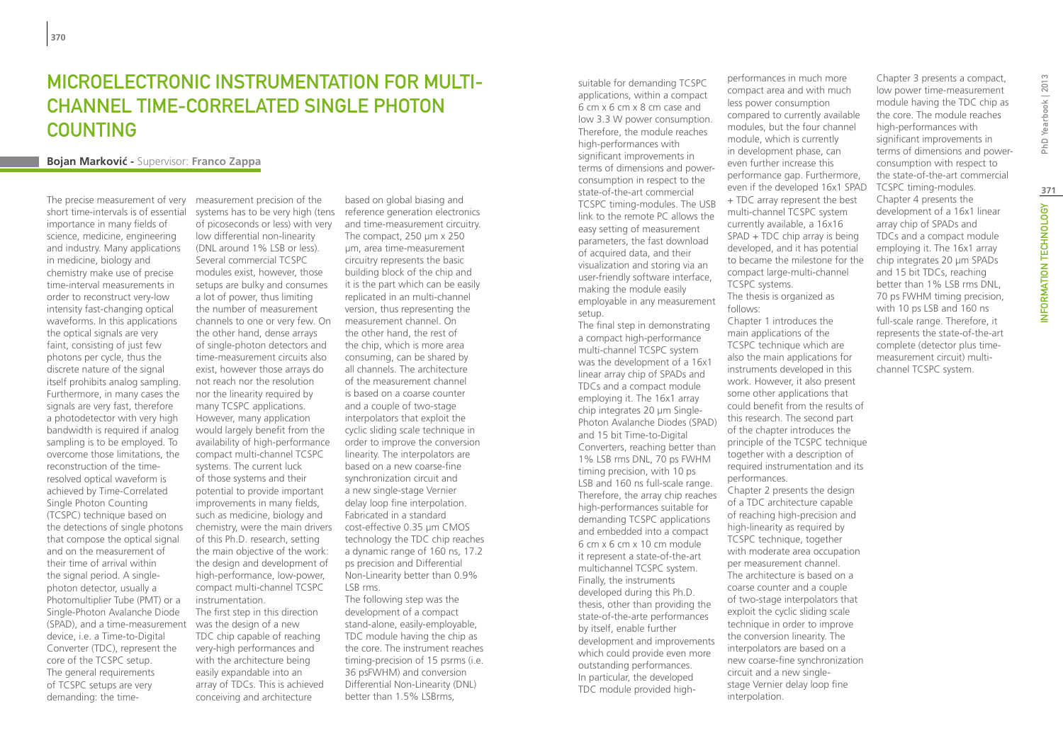## MICROFI FCTRONIC INSTRUMENTATION FOR MUITI-Channel Time-Correlated Single Photon **COUNTING**

## **Bojan Markovic´ -** Supervisor: **Franco Zappa**

The precise measurement of very short time-intervals is of essential importance in many fields of science, medicine, engineering and industry. Many applications in medicine, biology and chemistry make use of precise time-interval measurements in order to reconstruct very-low intensity fast-changing optical waveforms. In this applications the optical signals are very faint, consisting of just few photons per cycle, thus the discrete nature of the signal itself prohibits analog sampling. Furthermore, in many cases the signals are very fast, therefore a photodetector with very high bandwidth is required if analog sampling is to be employed. To overcome those limitations, the reconstruction of the timeresolved optical waveform is achieved by Time-Correlated Single Photon Counting (TCSPC) technique based on the detections of single photons that compose the optical signal and on the measurement of their time of arrival within the signal period. A singlephoton detector, usually a Photomultiplier Tube (PMT) or a Single-Photon Avalanche Diode (SPAD), and a time-measurement device, i.e. a Time-to-Digital Converter (TDC), represent the core of the TCSPC setup. The general requirements of TCSPC setups are very demanding: the time-

measurement precision of the systems has to be very high (tens reference generation electronics of picoseconds or less) with very low differential non-linearity (DNL around 1% LSB or less). Several commercial TCSPC modules exist, however, those setups are bulky and consumes a lot of power, thus limiting the number of measurement channels to one or very few. On the other hand, dense arrays of single-photon detectors and time-measurement circuits also exist, however those arrays do not reach nor the resolution nor the linearity required by many TCSPC applications. However, many application would largely benefit from the availability of high-performance compact multi-channel TCSPC systems. The current luck of those systems and their potential to provide important improvements in many fields, such as medicine, biology and chemistry, were the main drivers of this Ph.D. research, setting the main objective of the work: the design and development of high-performance, low-power, compact multi-channel TCSPC instrumentation. The first step in this direction was the design of a new TDC chip capable of reaching very-high performances and with the architecture being easily expandable into an array of TDCs. This is achieved conceiving and architecture

based on global biasing and and time-measurement circuitry. The compact, 250 µm x 250 µm, area time-measurement circuitry represents the basic building block of the chip and it is the part which can be easily replicated in an multi-channel version, thus representing the measurement channel. On the other hand, the rest of the chip, which is more area consuming, can be shared by all channels. The architecture of the measurement channel is based on a coarse counter and a couple of two-stage interpolators that exploit the cyclic sliding scale technique in order to improve the conversion linearity. The interpolators are based on a new coarse-fine synchronization circuit and a new single-stage Vernier delay loop fine interpolation. Fabricated in a standard cost-effective 0.35 µm CMOS technology the TDC chip reaches a dynamic range of 160 ns, 17.2 ps precision and Differential Non-Linearity better than 0.9% LSB rms. The following step was the

development of a compact stand-alone, easily-employable, TDC module having the chip as the core. The instrument reaches timing-precision of 15 psrms (i.e. 36 psFWHM) and conversion Differential Non-Linearity (DNL) better than 1.5% LSBrms,

suitable for demanding TCSPC applications, within a compact 6 cm x 6 cm x 8 cm case and low 3.3 W power consumption. Therefore, the module reaches high-performances with significant improvements in terms of dimensions and powerconsumption in respect to the state-of-the-art commercial TCSPC timing-modules. The USB link to the remote PC allows the easy setting of measurement parameters, the fast download of acquired data, and their visualization and storing via an user-friendly software interface, making the module easily employable in any measurement setup.

The final step in demonstrating a compact high-performance multi-channel TCSPC system was the development of a 16x1 linear array chip of SPADs and TDCs and a compact module employing it. The 16x1 array chip integrates 20 µm Single-Photon Avalanche Diodes (SPAD) and 15 bit Time-to-Digital Converters, reaching better than 1% LSB rms DNL, 70 ps FWHM timing precision, with 10 ps LSB and 160 ns full-scale range. Therefore, the array chip reaches high-performances suitable for demanding TCSPC applications and embedded into a compact 6 cm x 6 cm x 10 cm module it represent a state-of-the-art multichannel TCSPC system. Finally, the instruments developed during this Ph.D. thesis, other than providing the state-of-the-arte performances by itself, enable further development and improvements which could provide even more outstanding performances. In particular, the developed TDC module provided highperformances in much more compact area and with much less power consumption compared to currently available modules, but the four channel module, which is currently in development phase, can even further increase this performance gap. Furthermore, even if the developed 16x1 SPAD + TDC array represent the best multi-channel TCSPC system currently available, a 16x16 SPAD + TDC chip array is being developed, and it has potential to became the milestone for the compact large-multi-channel TCSPC systems. The thesis is organized as follows: Chapter 1 introduces the main applications of the

TCSPC technique which are also the main applications for instruments developed in this work. However, it also present some other applications that could benefit from the results of this research. The second part of the chapter introduces the principle of the TCSPC technique together with a description of required instrumentation and its performances. Chapter 2 presents the design of a TDC architecture capable of reaching high-precision and high-linearity as required by TCSPC technique, together with moderate area occupation per measurement channel. The architecture is based on a coarse counter and a couple of two-stage interpolators that exploit the cyclic sliding scale technique in order to improve the conversion linearity. The interpolators are based on a new coarse-fine synchronization circuit and a new singlestage Vernier delay loop fine interpolation.

Chapter 3 presents a compact, low power time-measurement module having the TDC chip as the core. The module reaches high-performances with significant improvements in terms of dimensions and powerconsumption with respect to the state-of-the-art commercial TCSPC timing-modules. Chapter 4 presents the development of a 16x1 linear array chip of SPADs and TDCs and a compact module employing it. The 16x1 array chip integrates 20 µm SPADs and 15 bit TDCs, reaching better than 1% LSB rms DNL, 70 ps FWHM timing precision, with 10 ps LSB and 160 ns full-scale range. Therefore, it represents the state-of-the-art complete (detector plus timemeasurement circuit) multichannel TCSPC system.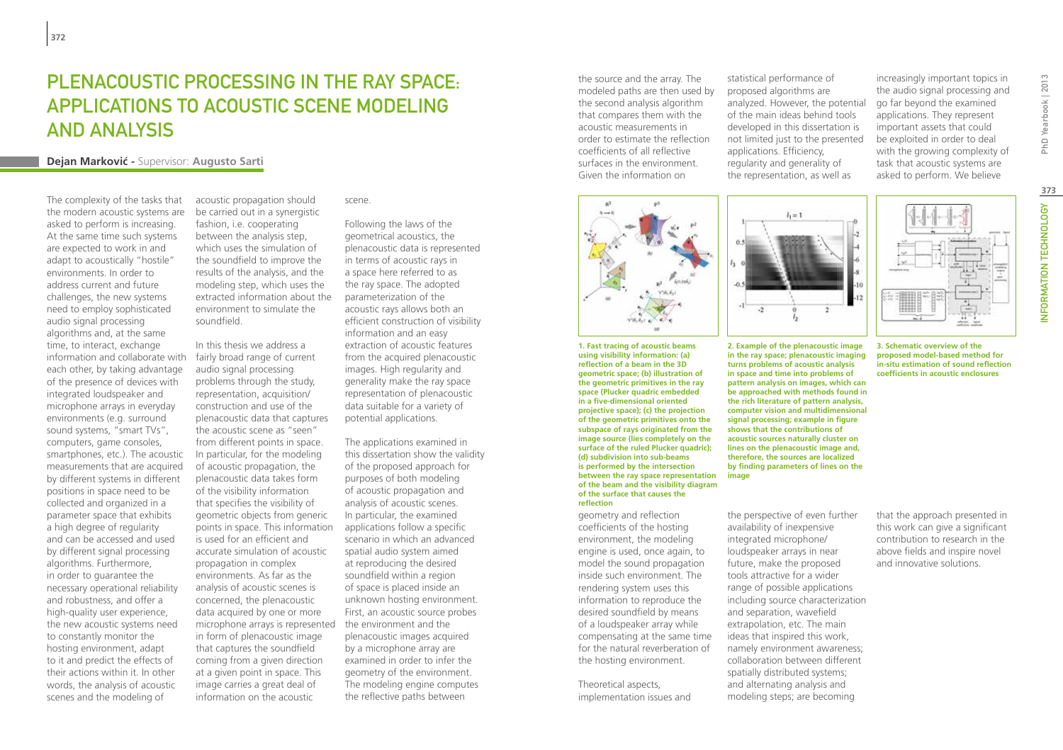## PI FNACOUSTIC PROCESSING IN THE RAY SPACE. applications to acoustic scene modeling and analysis

#### **Dejan Markovic´ -** Supervisor: **Augusto Sarti**

The complexity of the tasks that the modern acoustic systems are asked to perform is increasing. At the same time such systems are expected to work in and adapt to acoustically "hostile" environments. In order to address current and future challenges, the new systems need to employ sophisticated audio signal processing algorithms and, at the same time, to interact, exchange information and collaborate with each other, by taking advantage of the presence of devices with integrated loudspeaker and microphone arrays in everyday environments (e.g. surround sound systems, "smart TVs", computers, game consoles, smartphones, etc.). The acoustic measurements that are acquired by different systems in different positions in space need to be collected and organized in a parameter space that exhibits a high degree of regularity and can be accessed and used by different signal processing algorithms. Furthermore, in order to guarantee the necessary operational reliability and robustness, and offer a high-quality user experience, the new acoustic systems need to constantly monitor the hosting environment, adapt to it and predict the effects of their actions within it. In other words, the analysis of acoustic scenes and the modeling of

acoustic propagation should be carried out in a synergistic fashion, i.e. cooperating between the analysis step, which uses the simulation of the soundfield to improve the results of the analysis, and the modeling step, which uses the extracted information about the environment to simulate the soundfield.

In this thesis we address a fairly broad range of current audio signal processing problems through the study, representation, acquisition/ construction and use of the plenacoustic data that captures the acoustic scene as "seen" from different points in space. In particular, for the modeling of acoustic propagation, the plenacoustic data takes form of the visibility information that specifies the visibility of geometric objects from generic points in space. This information is used for an efficient and accurate simulation of acoustic propagation in complex environments. As far as the analysis of acoustic scenes is concerned, the plenacoustic data acquired by one or more microphone arrays is represented in form of plenacoustic image that captures the soundfield coming from a given direction at a given point in space. This image carries a great deal of information on the acoustic

scene.

Following the laws of the geometrical acoustics, the plenacoustic data is represented in terms of acoustic rays in a space here referred to as the ray space. The adopted parameterization of the acoustic rays allows both an efficient construction of visibility information and an easy extraction of acoustic features from the acquired plenacoustic images. High regularity and generality make the ray space representation of plenacoustic data suitable for a variety of potential applications.

The applications examined in this dissertation show the validity of the proposed approach for purposes of both modeling of acoustic propagation and analysis of acoustic scenes. In particular, the examined applications follow a specific scenario in which an advanced spatial audio system aimed at reproducing the desired soundfield within a region of space is placed inside an unknown hosting environment. First, an acoustic source probes the environment and the plenacoustic images acquired by a microphone array are examined in order to infer the geometry of the environment. The modeling engine computes the reflective paths between

the source and the array. The modeled paths are then used by the second analysis algorithm that compares them with the acoustic measurements in order to estimate the reflection coefficients of all reflective surfaces in the environment. Given the information on



**1. Fast tracing of acoustic beams using visibility information: (a) reflection of a beam in the 3D geometric space; (b) illustration of the geometric primitives in the ray space (Plucker quadric embedded in a five-dimensional oriented projective space); (c) the projection of the geometric primitives onto the subspace of rays originated from the image source (lies completely on the surface of the ruled Plucker quadric); (d) subdivision into sub-beams is performed by the intersection between the ray space representation of the beam and the visibility diagram of the surface that causes the reflection**

geometry and reflection coefficients of the hosting environment, the modeling engine is used, once again, to model the sound propagation inside such environment. The rendering system uses this information to reproduce the desired soundfield by means of a loudspeaker array while compensating at the same time for the natural reverberation of the hosting environment.

Theoretical aspects, implementation issues and

statistical performance of proposed algorithms are analyzed. However, the potential of the main ideas behind tools developed in this dissertation is not limited just to the presented applications. Efficiency, regularity and generality of the representation, as well as

 $l_1 = 1$ 

increasingly important topics in the audio signal processing and go far beyond the examined applications. They represent important assets that could be exploited in order to deal with the growing complexity of task that acoustic systems are asked to perform. We believe



**3. Schematic overview of the proposed model-based method for in-situ estimation of sound reflection coefficients in acoustic enclosures**

**in the ray space; plenacoustic imaging turns problems of acoustic analysis in space and time into problems of pattern analysis on images, which can be approached with methods found in the rich literature of pattern analysis, computer vision and multidimensional signal processing; example in figure shows that the contributions of acoustic sources naturally cluster on lines on the plenacoustic image and, therefore, the sources are localized by finding parameters of lines on the image**

**2. Example of the plenacoustic image** 

 $\overline{2}$ 

the perspective of even further availability of inexpensive integrated microphone/ loudspeaker arrays in near future, make the proposed tools attractive for a wider range of possible applications including source characterization and separation, wavefield extrapolation, etc. The main ideas that inspired this work, namely environment awareness; collaboration between different spatially distributed systems; and alternating analysis and modeling steps; are becoming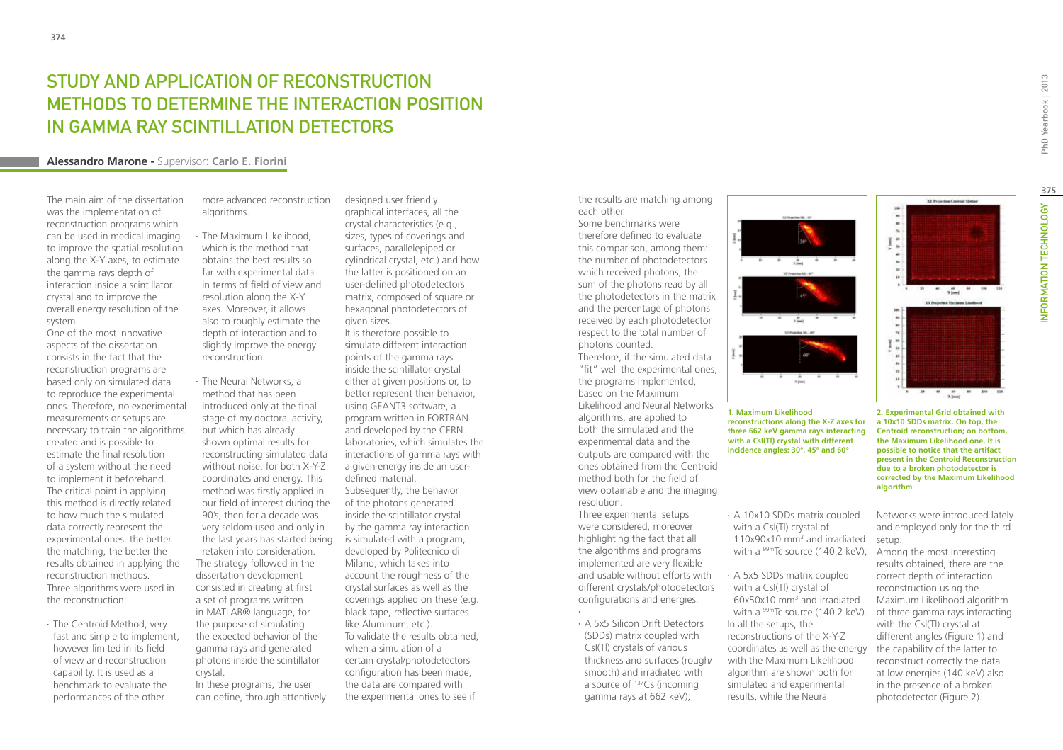## STUDY AND APPLICATION OF RECONSTRUCTION METHODS TO DETERMINE THE INTERACTION POSITION IN GAMMA RAY SCINTILLATION DETECTORS

#### **Alessandro Marone -** Supervisor: **Carlo E. Fiorini**

The main aim of the dissertation was the implementation of reconstruction programs which can be used in medical imaging to improve the spatial resolution along the X-Y axes, to estimate the gamma rays depth of interaction inside a scintillator crystal and to improve the overall energy resolution of the system.

One of the most innovative aspects of the dissertation consists in the fact that the reconstruction programs are based only on simulated data to reproduce the experimental ones. Therefore, no experimental measurements or setups are necessary to train the algorithms created and is possible to estimate the final resolution of a system without the need to implement it beforehand. The critical point in applying this method is directly related to how much the simulated data correctly represent the experimental ones: the better the matching, the better the results obtained in applying the reconstruction methods. Three algorithms were used in the reconstruction:

∙ The Centroid Method, very fast and simple to implement, however limited in its field of view and reconstruction capability. It is used as a benchmark to evaluate the performances of the other

more advanced reconstruction algorithms.

∙ The Maximum Likelihood, which is the method that obtains the best results so far with experimental data in terms of field of view and resolution along the X-Y axes. Moreover, it allows also to roughly estimate the depth of interaction and to slightly improve the energy reconstruction.

∙ The Neural Networks, a method that has been introduced only at the final stage of my doctoral activity, but which has already shown optimal results for reconstructing simulated data without noise, for both X-Y-Z coordinates and energy. This method was firstly applied in our field of interest during the 90's, then for a decade was very seldom used and only in the last years has started being retaken into consideration. The strategy followed in the dissertation development consisted in creating at first a set of programs written in MATLAB® language, for the purpose of simulating the expected behavior of the gamma rays and generated photons inside the scintillator crystal.

In these programs, the user can define, through attentively

designed user friendly graphical interfaces, all the crystal characteristics (e.g., sizes, types of coverings and surfaces, parallelepiped or cylindrical crystal, etc.) and how the latter is positioned on an user-defined photodetectors matrix, composed of square or hexagonal photodetectors of given sizes. It is therefore possible to simulate different interaction points of the gamma rays inside the scintillator crystal either at given positions or, to better represent their behavior, using GEANT3 software, a program written in FORTRAN and developed by the CERN laboratories, which simulates the interactions of gamma rays with a given energy inside an userdefined material. Subsequently, the behavior of the photons generated inside the scintillator crystal by the gamma ray interaction is simulated with a program, developed by Politecnico di Milano, which takes into account the roughness of the crystal surfaces as well as the coverings applied on these (e.g. black tape, reflective surfaces like Aluminum, etc.). To validate the results obtained,

when a simulation of a certain crystal/photodetectors configuration has been made, the data are compared with the experimental ones to see if the results are matching among each other.

Some benchmarks were therefore defined to evaluate this comparison, among them: the number of photodetectors which received photons, the sum of the photons read by all the photodetectors in the matrix and the percentage of photons received by each photodetector respect to the total number of photons counted.

Therefore, if the simulated data "fit" well the experimental ones, the programs implemented, based on the Maximum Likelihood and Neural Networks algorithms, are applied to both the simulated and the experimental data and the outputs are compared with the ones obtained from the Centroid method both for the field of view obtainable and the imaging resolution.

Three experimental setups were considered, moreover highlighting the fact that all the algorithms and programs implemented are very flexible and usable without efforts with different crystals/photodetectors configurations and energies:

∙ ∙ A 5x5 Silicon Drift Detectors (SDDs) matrix coupled with CsI(Tl) crystals of various thickness and surfaces (rough/ smooth) and irradiated with a source of 137Cs (incoming gamma rays at 662 keV);



**1. Maximum Likelihood reconstructions along the X-Z axes for three 662 keV gamma rays interacting with a CsI(Tl) crystal with different incidence angles: 30°, 45° and 60°**

∙ A 10x10 SDDs matrix coupled with a CsI(Tl) crystal of 110x90x10 mm3 and irradiated with a <sup>99m</sup>Tc source (140.2 keV):

∙ A 5x5 SDDs matrix coupled with a CsI(Tl) crystal of 60x50x10 mm3 and irradiated with a <sup>99m</sup>Tc source (140.2 keV). In all the setups, the reconstructions of the X-Y-Z coordinates as well as the energy with the Maximum Likelihood algorithm are shown both for simulated and experimental results, while the Neural

 $x_{\text{final}}^{\text{ab}}$ 

Networks were introduced lately and employed only for the third setup.

**algorithm**

Among the most interesting results obtained, there are the correct depth of interaction reconstruction using the Maximum Likelihood algorithm of three gamma rays interacting with the CsI(Tl) crystal at different angles (Figure 1) and the capability of the latter to reconstruct correctly the data at low energies (140 keV) also in the presence of a broken photodetector (Figure 2).

PhD Yearbook | 2013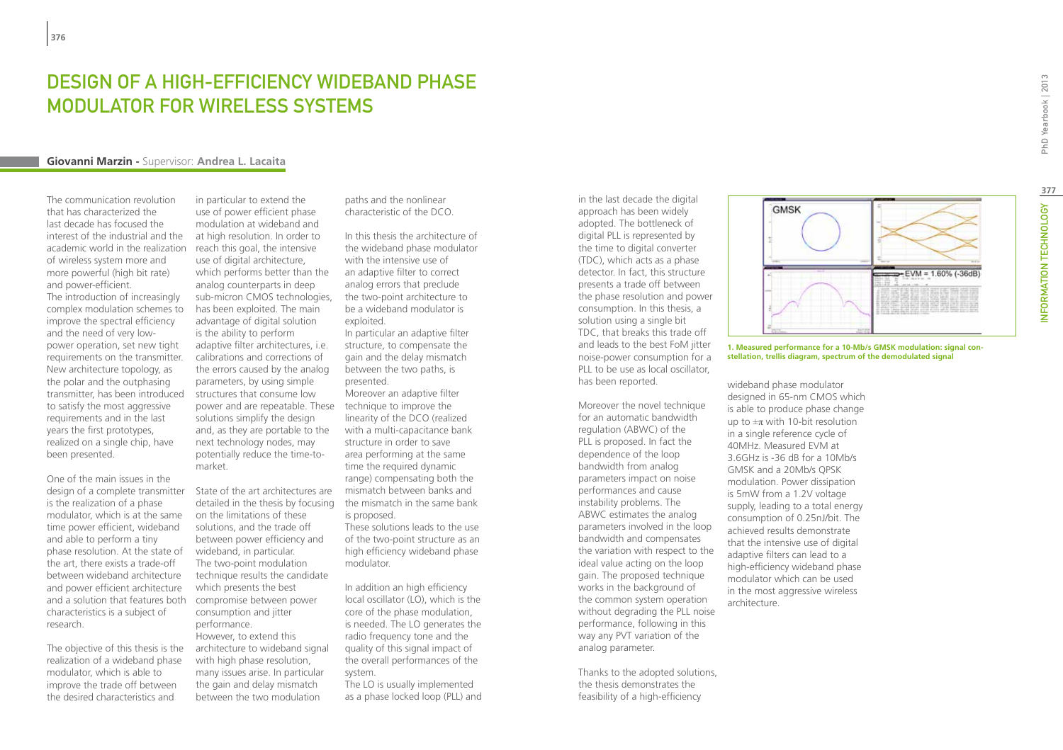## Design of a High-Efficiency Wideband Phase Modulator for Wireless Systems

#### **Giovanni Marzin -** Supervisor: **Andrea L. Lacaita**

The communication revolution that has characterized the last decade has focused the interest of the industrial and the academic world in the realization of wireless system more and more powerful (high bit rate) and power-efficient. The introduction of increasingly

complex modulation schemes to improve the spectral efficiency and the need of very lowpower operation, set new tight requirements on the transmitter. New architecture topology, as the polar and the outphasing transmitter, has been introduced to satisfy the most aggressive requirements and in the last years the first prototypes, realized on a single chip, have been presented.

One of the main issues in the design of a complete transmitter State of the art architectures are is the realization of a phase modulator, which is at the same time power efficient, wideband and able to perform a tiny phase resolution. At the state of the art, there exists a trade-off between wideband architecture and power efficient architecture and a solution that features both characteristics is a subject of research.

The objective of this thesis is the realization of a wideband phase modulator, which is able to improve the trade off between the desired characteristics and

in particular to extend the use of power efficient phase modulation at wideband and at high resolution. In order to reach this goal, the intensive use of digital architecture, which performs better than the analog counterparts in deep sub-micron CMOS technologies, has been exploited. The main advantage of digital solution is the ability to perform adaptive filter architectures, i.e. calibrations and corrections of the errors caused by the analog parameters, by using simple structures that consume low power and are repeatable. These technique to improve the solutions simplify the design and, as they are portable to the next technology nodes, may potentially reduce the time-tomarket.

detailed in the thesis by focusing the mismatch in the same bank on the limitations of these solutions, and the trade off between power efficiency and wideband, in particular. The two-point modulation technique results the candidate which presents the best compromise between power consumption and jitter performance. However, to extend this

architecture to wideband signal with high phase resolution, many issues arise. In particular the gain and delay mismatch between the two modulation

paths and the nonlinear characteristic of the DCO.

In this thesis the architecture of the wideband phase modulator with the intensive use of an adaptive filter to correct analog errors that preclude the two-point architecture to be a wideband modulator is exploited.

In particular an adaptive filter structure, to compensate the gain and the delay mismatch between the two paths, is presented.

Moreover an adaptive filter linearity of the DCO (realized with a multi-capacitance bank structure in order to save area performing at the same time the required dynamic range) compensating both the mismatch between banks and is proposed.

These solutions leads to the use of the two-point structure as an high efficiency wideband phase modulator.

In addition an high efficiency local oscillator (LO), which is the core of the phase modulation, is needed. The LO generates the radio frequency tone and the quality of this signal impact of the overall performances of the system.

The LO is usually implemented as a phase locked loop (PLL) and in the last decade the digital approach has been widely adopted. The bottleneck of digital PLL is represented by the time to digital converter (TDC), which acts as a phase detector. In fact, this structure presents a trade off between the phase resolution and power consumption. In this thesis, a solution using a single bit TDC, that breaks this trade off and leads to the best FoM jitter noise-power consumption for a PLL to be use as local oscillator, has been reported.

Moreover the novel technique for an automatic bandwidth regulation (ABWC) of the PLL is proposed. In fact the dependence of the loop bandwidth from analog parameters impact on noise performances and cause instability problems. The ABWC estimates the analog parameters involved in the loop bandwidth and compensates the variation with respect to the ideal value acting on the loop gain. The proposed technique works in the background of the common system operation without degrading the PLL noise performance, following in this way any PVT variation of the analog parameter.

Thanks to the adopted solutions, the thesis demonstrates the feasibility of a high-efficiency



 $=$  EVM = 1.60% (-36dB)

**stellation, trellis diagram, spectrum of the demodulated signal**

wideband phase modulator designed in 65-nm CMOS which is able to produce phase change up to  $\pm \pi$  with 10-bit resolution in a single reference cycle of 40MHz. Measured EVM at 3.6GHz is -36 dB for a 10Mb/s GMSK and a 20Mb/s QPSK modulation. Power dissipation is 5mW from a 1.2V voltage supply, leading to a total energy consumption of 0.25nJ/bit. The achieved results demonstrate that the intensive use of digital adaptive filters can lead to a high-efficiency wideband phase modulator which can be used in the most aggressive wireless architecture.

**GMSK** 

**377**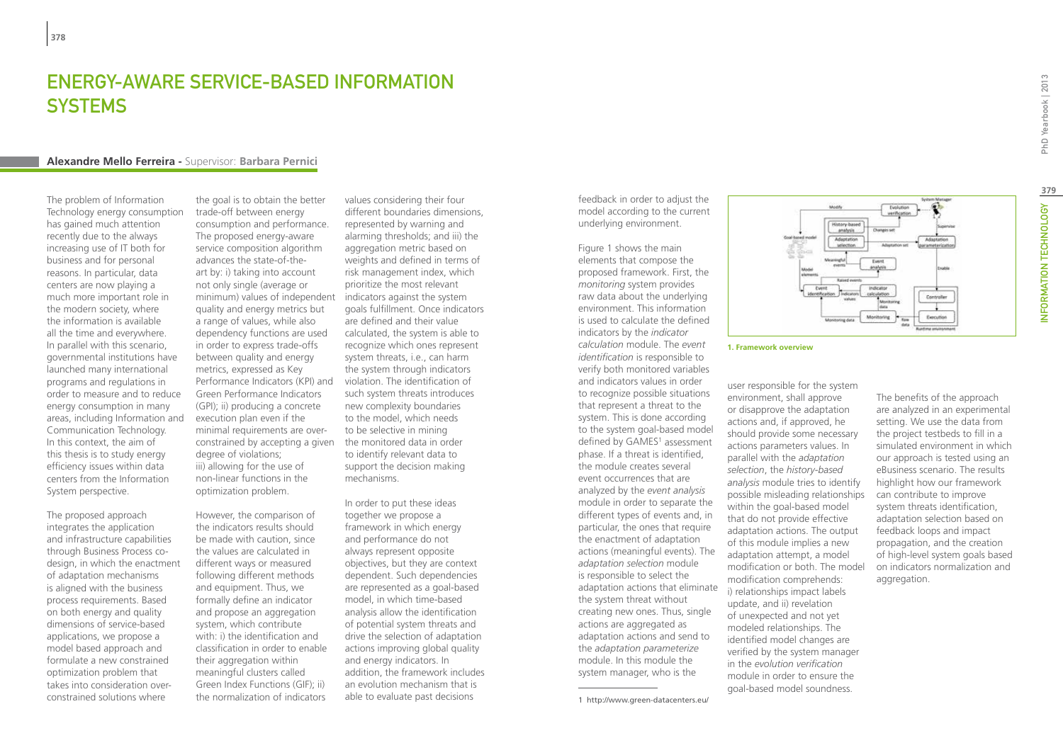## **ENERGY-AWARE SERVICE-BASED INFORMATION SYSTEMS**

#### **Alexandre Mello Ferreira -** Supervisor: **Barbara Pernici**

The problem of Information Technology energy consumption has gained much attention recently due to the always increasing use of IT both for business and for personal reasons. In particular, data centers are now playing a much more important role in the modern society, where the information is available all the time and everywhere. In parallel with this scenario, governmental institutions have launched many international programs and regulations in order to measure and to reduce energy consumption in many areas, including Information and Communication Technology. In this context, the aim of this thesis is to study energy efficiency issues within data centers from the Information System perspective.

The proposed approach integrates the application and infrastructure capabilities through Business Process codesign, in which the enactment of adaptation mechanisms is aligned with the business process requirements. Based on both energy and quality dimensions of service-based applications, we propose a model based approach and formulate a new constrained optimization problem that takes into consideration overconstrained solutions where

the goal is to obtain the better trade-off between energy consumption and performance. The proposed energy-aware service composition algorithm advances the state-of-theart by: i) taking into account not only single (average or minimum) values of independent indicators against the system quality and energy metrics but a range of values, while also dependency functions are used in order to express trade-offs between quality and energy metrics, expressed as Key Performance Indicators (KPI) and Green Performance Indicators (GPI); ii) producing a concrete execution plan even if the minimal requirements are overconstrained by accepting a given degree of violations; iii) allowing for the use of non-linear functions in the optimization problem.

However, the comparison of the indicators results should be made with caution, since the values are calculated in different ways or measured following different methods and equipment. Thus, we formally define an indicator and propose an aggregation system, which contribute with: i) the identification and classification in order to enable their aggregation within meaningful clusters called Green Index Functions (GIF); ii) the normalization of indicators

values considering their four different boundaries dimensions, represented by warning and alarming thresholds; and iii) the aggregation metric based on weights and defined in terms of risk management index, which prioritize the most relevant goals fulfillment. Once indicators are defined and their value calculated, the system is able to recognize which ones represent system threats, i.e., can harm the system through indicators violation. The identification of such system threats introduces new complexity boundaries to the model, which needs to be selective in mining the monitored data in order to identify relevant data to support the decision making mechanisms.

In order to put these ideas together we propose a framework in which energy and performance do not always represent opposite objectives, but they are context dependent. Such dependencies are represented as a goal-based model, in which time-based analysis allow the identification of potential system threats and drive the selection of adaptation actions improving global quality and energy indicators. In addition, the framework includes an evolution mechanism that is able to evaluate past decisions

feedback in order to adjust the model according to the current underlying environment.

Figure 1 shows the main elements that compose the proposed framework. First, the *monitoring* system provides raw data about the underlying environment. This information is used to calculate the defined indicators by the *indicator calculation* module. The *event identification* is responsible to verify both monitored variables and indicators values in order to recognize possible situations that represent a threat to the system. This is done according to the system goal-based model defined by GAMES<sup>1</sup> assessment phase. If a threat is identified, the module creates several event occurrences that are analyzed by the *event analysis* module in order to separate the different types of events and, in particular, the ones that require the enactment of adaptation actions (meaningful events). The *adaptation selection* module is responsible to select the adaptation actions that eliminate the system threat without creating new ones. Thus, single actions are aggregated as adaptation actions and send to the *adaptation parameterize* module. In this module the system manager, who is the



#### **1. Framework overview**

user responsible for the system environment, shall approve or disapprove the adaptation actions and, if approved, he should provide some necessary actions parameters values. In parallel with the *adaptation selection*, the *history-based analysis* module tries to identify possible misleading relationships within the goal-based model that do not provide effective adaptation actions. The output of this module implies a new adaptation attempt, a model modification or both. The model modification comprehends: i) relationships impact labels update, and ii) revelation of unexpected and not yet modeled relationships. The identified model changes are verified by the system manager in the *evolution verification* module in order to ensure the goal-based model soundness.

The benefits of the approach are analyzed in an experimental setting. We use the data from the project testbeds to fill in a simulated environment in which our approach is tested using an eBusiness scenario. The results highlight how our framework can contribute to improve system threats identification, adaptation selection based on feedback loops and impact propagation, and the creation of high-level system goals based on indicators normalization and aggregation.

<sup>1</sup> http://www.green-datacenters.eu/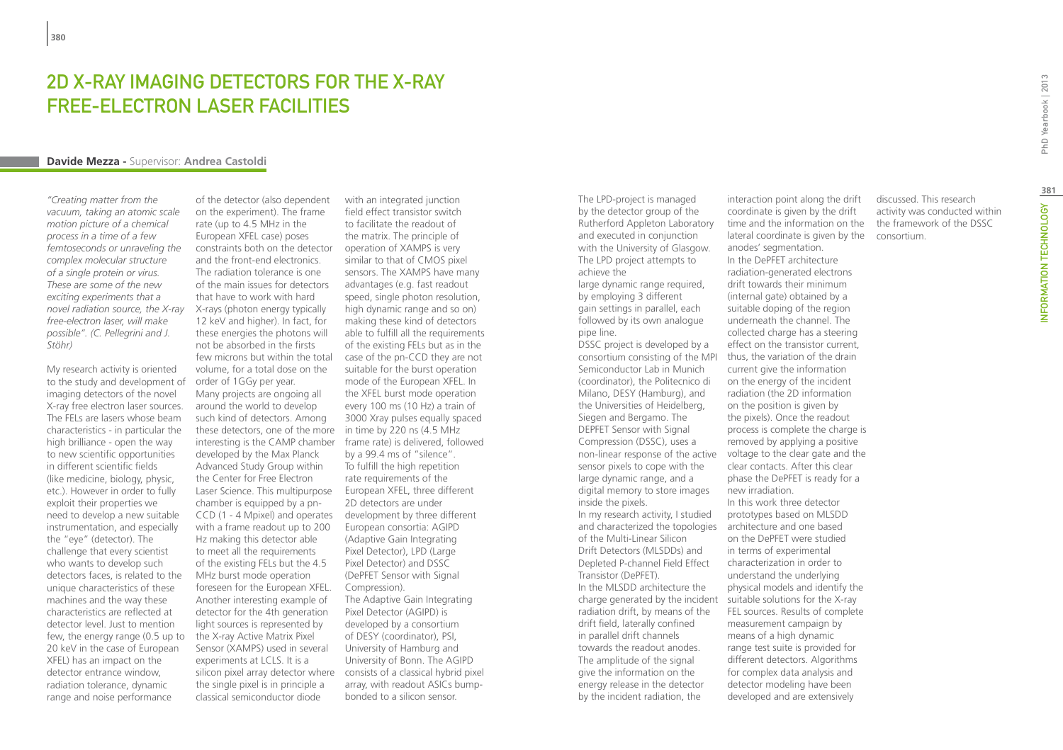## 2D X-Ray Imaging Detectors for the X-Ray Free-Electron Laser Facilities

#### **Davide Mezza -** Supervisor: **Andrea Castoldi**

*"Creating matter from the vacuum, taking an atomic scale motion picture of a chemical process in a time of a few femtoseconds or unraveling the complex molecular structure of a single protein or virus. These are some of the new exciting experiments that a novel radiation source, the X-ray free-electron laser, will make possible". (C. Pellegrini and J. Stöhr)*

My research activity is oriented to the study and development of imaging detectors of the novel X-ray free electron laser sources. The FELs are lasers whose beam characteristics - in particular the high brilliance - open the way to new scientific opportunities in different scientific fields (like medicine, biology, physic, etc.). However in order to fully exploit their properties we need to develop a new suitable instrumentation, and especially the "eye" (detector). The challenge that every scientist who wants to develop such detectors faces, is related to the unique characteristics of these machines and the way these characteristics are reflected at detector level. Just to mention few, the energy range (0.5 up to 20 keV in the case of European XFEL) has an impact on the detector entrance window, radiation tolerance, dynamic range and noise performance

of the detector (also dependent on the experiment). The frame rate (up to 4.5 MHz in the European XFEL case) poses constraints both on the detector and the front-end electronics. The radiation tolerance is one of the main issues for detectors that have to work with hard X-rays (photon energy typically 12 keV and higher). In fact, for these energies the photons will not be absorbed in the firsts few microns but within the total volume, for a total dose on the order of 1GGy per year. Many projects are ongoing all around the world to develop such kind of detectors. Among these detectors, one of the more in time by 220 ns (4.5 MHz interesting is the CAMP chamber developed by the Max Planck Advanced Study Group within the Center for Free Electron Laser Science. This multipurpose chamber is equipped by a pn-CCD (1 - 4 Mpixel) and operates with a frame readout up to 200 Hz making this detector able to meet all the requirements of the existing FELs but the 4.5 MHz burst mode operation foreseen for the European XFEL. Another interesting example of detector for the 4th generation light sources is represented by the X-ray Active Matrix Pixel Sensor (XAMPS) used in several experiments at LCLS. It is a silicon pixel array detector where the single pixel is in principle a classical semiconductor diode

with an integrated junction field effect transistor switch to facilitate the readout of the matrix. The principle of operation of XAMPS is very similar to that of CMOS pixel sensors. The XAMPS have many advantages (e.g. fast readout speed, single photon resolution, high dynamic range and so on) making these kind of detectors able to fulfill all the requirements of the existing FELs but as in the case of the pn-CCD they are not suitable for the burst operation mode of the European XFEL. In the XFEL burst mode operation every 100 ms (10 Hz) a train of 3000 Xray pulses equally spaced frame rate) is delivered, followed by a 99.4 ms of "silence". To fulfill the high repetition rate requirements of the European XFEL, three different 2D detectors are under development by three different European consortia: AGIPD (Adaptive Gain Integrating Pixel Detector), LPD (Large Pixel Detector) and DSSC (DePFET Sensor with Signal Compression). The Adaptive Gain Integrating Pixel Detector (AGIPD) is developed by a consortium of DESY (coordinator), PSI, University of Hamburg and University of Bonn. The AGIPD consists of a classical hybrid pixel array, with readout ASICs bumpbonded to a silicon sensor.

The LPD-project is managed by the detector group of the Rutherford Appleton Laboratory and executed in conjunction with the University of Glasgow. The LPD project attempts to achieve the

large dynamic range required, by employing 3 different gain settings in parallel, each followed by its own analogue pipe line. DSSC project is developed by a

consortium consisting of the MPI Semiconductor Lab in Munich (coordinator), the Politecnico di Milano, DESY (Hamburg), and the Universities of Heidelberg, Siegen and Bergamo. The DEPFET Sensor with Signal Compression (DSSC), uses a sensor pixels to cope with the large dynamic range, and a digital memory to store images inside the pixels. In my research activity, I studied and characterized the topologies architecture and one based of the Multi-Linear Silicon Drift Detectors (MLSDDs) and Depleted P-channel Field Effect Transistor (DePFET). In the MLSDD architecture the charge generated by the incident suitable solutions for the X-ray radiation drift, by means of the drift field, laterally confined in parallel drift channels towards the readout anodes. The amplitude of the signal give the information on the energy release in the detector by the incident radiation, the

non-linear response of the active voltage to the clear gate and the interaction point along the drift coordinate is given by the drift time and the information on the lateral coordinate is given by the consortium.anodes' segmentation. In the DePFET architecture radiation-generated electrons drift towards their minimum (internal gate) obtained by a suitable doping of the region underneath the channel. The collected charge has a steering effect on the transistor current, thus, the variation of the drain current give the information on the energy of the incident radiation (the 2D information on the position is given by the pixels). Once the readout process is complete the charge is removed by applying a positive clear contacts. After this clear phase the DePFET is ready for a new irradiation. In this work three detector prototypes based on MLSDD on the DePFET were studied in terms of experimental characterization in order to understand the underlying physical models and identify the FEL sources. Results of complete measurement campaign by means of a high dynamic range test suite is provided for different detectors. Algorithms for complex data analysis and

> detector modeling have been developed and are extensively

discussed. This research activity was conducted within the framework of the DSSC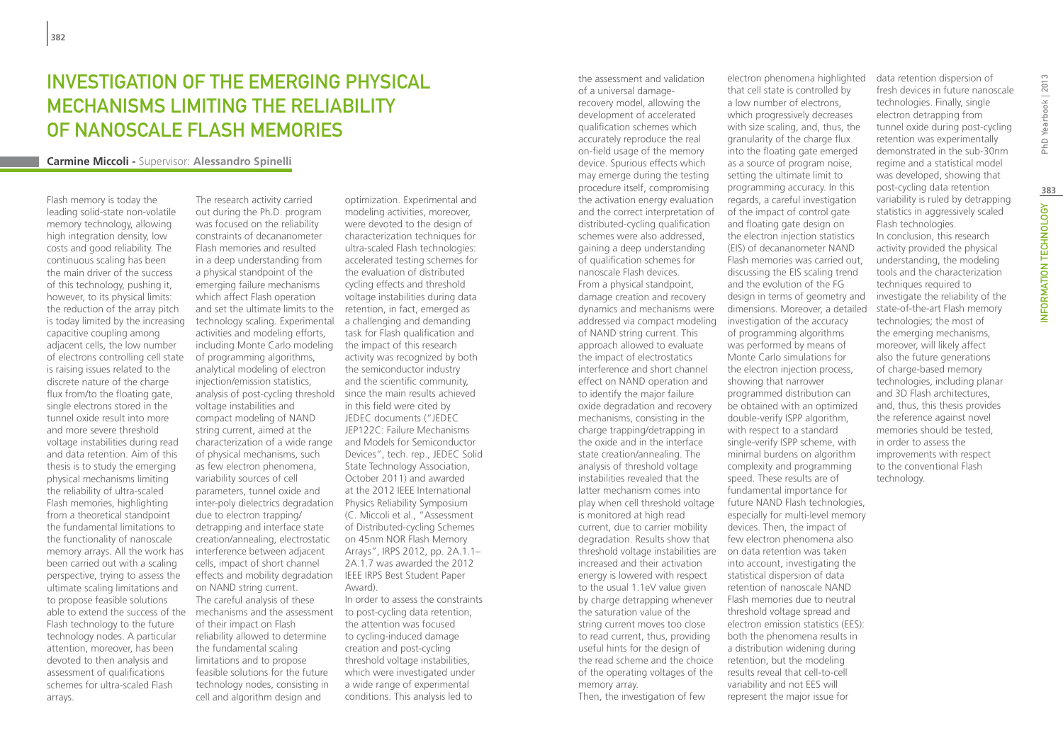# Investigation of the emerging physical mechanisms limiting the reliability of nanoscale Flash memories

#### **Carmine Miccoli -** Supervisor: **Alessandro Spinelli**

Flash memory is today the leading solid-state non-volatile memory technology, allowing high integration density, low costs and good reliability. The continuous scaling has been the main driver of the success of this technology, pushing it, however, to its physical limits: the reduction of the array pitch is today limited by the increasing capacitive coupling among adjacent cells, the low number of electrons controlling cell state is raising issues related to the discrete nature of the charge flux from/to the floating gate, single electrons stored in the tunnel oxide result into more and more severe threshold voltage instabilities during read and data retention. Aim of this thesis is to study the emerging physical mechanisms limiting the reliability of ultra-scaled Flash memories, highlighting from a theoretical standpoint the fundamental limitations to the functionality of nanoscale memory arrays. All the work has been carried out with a scaling perspective, trying to assess the ultimate scaling limitations and to propose feasible solutions able to extend the success of the Flash technology to the future technology nodes. A particular attention, moreover, has been devoted to then analysis and assessment of qualifications schemes for ultra-scaled Flash arrays.

The research activity carried out during the Ph.D. program was focused on the reliability constraints of decananometer Flash memories and resulted in a deep understanding from a physical standpoint of the emerging failure mechanisms which affect Flash operation and set the ultimate limits to the technology scaling. Experimental activities and modeling efforts, including Monte Carlo modeling of programming algorithms, analytical modeling of electron injection/emission statistics, analysis of post-cycling threshold since the main results achieved voltage instabilities and compact modeling of NAND string current, aimed at the characterization of a wide range of physical mechanisms, such as few electron phenomena, variability sources of cell parameters, tunnel oxide and inter-poly dielectrics degradation due to electron trapping/ detrapping and interface state creation/annealing, electrostatic interference between adjacent cells, impact of short channel effects and mobility degradation IEEE IRPS Best Student Paper on NAND string current. The careful analysis of these mechanisms and the assessment of their impact on Flash reliability allowed to determine the fundamental scaling limitations and to propose feasible solutions for the future technology nodes, consisting in cell and algorithm design and

optimization. Experimental and modeling activities, moreover, were devoted to the design of characterization techniques for ultra-scaled Flash technologies: accelerated testing schemes for the evaluation of distributed cycling effects and threshold voltage instabilities during data retention, in fact, emerged as a challenging and demanding task for Flash qualification and the impact of this research activity was recognized by both the semiconductor industry and the scientific community, in this field were cited by JEDEC documents ("JEDEC JEP122C: Failure Mechanisms and Models for Semiconductor Devices", tech. rep., JEDEC Solid State Technology Association, October 2011) and awarded at the 2012 IEEE International Physics Reliability Symposium (C. Miccoli et al., "Assessment of Distributed-cycling Schemes on 45nm NOR Flash Memory Arrays", IRPS 2012, pp. 2A.1.1– 2A.1.7 was awarded the 2012 Award). In order to assess the constraints

to post-cycling data retention, the attention was focused to cycling-induced damage creation and post-cycling threshold voltage instabilities, which were investigated under a wide range of experimental conditions. This analysis led to

the assessment and validation of a universal damagerecovery model, allowing the development of accelerated qualification schemes which accurately reproduce the real on-field usage of the memory device. Spurious effects which may emerge during the testing procedure itself, compromising the activation energy evaluation and the correct interpretation of distributed-cycling qualification schemes were also addressed, gaining a deep understanding of qualification schemes for nanoscale Flash devices. From a physical standpoint, damage creation and recovery dynamics and mechanisms were addressed via compact modeling of NAND string current. This approach allowed to evaluate the impact of electrostatics interference and short channel effect on NAND operation and to identify the major failure oxide degradation and recovery mechanisms, consisting in the charge trapping/detrapping in the oxide and in the interface state creation/annealing. The analysis of threshold voltage instabilities revealed that the latter mechanism comes into play when cell threshold voltage is monitored at high read current, due to carrier mobility degradation. Results show that threshold voltage instabilities are increased and their activation energy is lowered with respect to the usual 1.1eV value given by charge detrapping whenever the saturation value of the string current moves too close to read current, thus, providing useful hints for the design of the read scheme and the choice of the operating voltages of the memory array.

Then, the investigation of few

electron phenomena highlighted that cell state is controlled by a low number of electrons, which progressively decreases with size scaling, and, thus, the granularity of the charge flux into the floating gate emerged as a source of program noise, setting the ultimate limit to programming accuracy. In this regards, a careful investigation of the impact of control gate and floating gate design on the electron injection statistics (EIS) of decananometer NAND Flash memories was carried out, discussing the EIS scaling trend and the evolution of the FG design in terms of geometry and dimensions. Moreover, a detailed investigation of the accuracy of programming algorithms was performed by means of Monte Carlo simulations for the electron injection process, showing that narrower programmed distribution can be obtained with an optimized double-verify ISPP algorithm, with respect to a standard single-verify ISPP scheme, with minimal burdens on algorithm complexity and programming speed. These results are of fundamental importance for future NAND Flash technologies, especially for multi-level memory devices. Then, the impact of few electron phenomena also on data retention was taken into account, investigating the statistical dispersion of data retention of nanoscale NAND Flash memories due to neutral threshold voltage spread and electron emission statistics (EES): both the phenomena results in a distribution widening during retention, but the modeling results reveal that cell-to-cell variability and not EES will data retention dispersion of fresh devices in future nanoscale technologies. Finally, single electron detrapping from tunnel oxide during post-cycling

represent the major issue for

retention was experimentally demonstrated in the sub-30nm regime and a statistical model was developed, showing that post-cycling data retention variability is ruled by detrapping statistics in aggressively scaled Flash technologies. In conclusion, this research activity provided the physical understanding, the modeling tools and the characterization techniques required to investigate the reliability of the state-of-the-art Flash memory technologies; the most of the emerging mechanisms, moreover, will likely affect also the future generations of charge-based memory technologies, including planar and 3D Flash architectures, and, thus, this thesis provides the reference against novel memories should be tested, in order to assess the improvements with respect to the conventional Flash technology.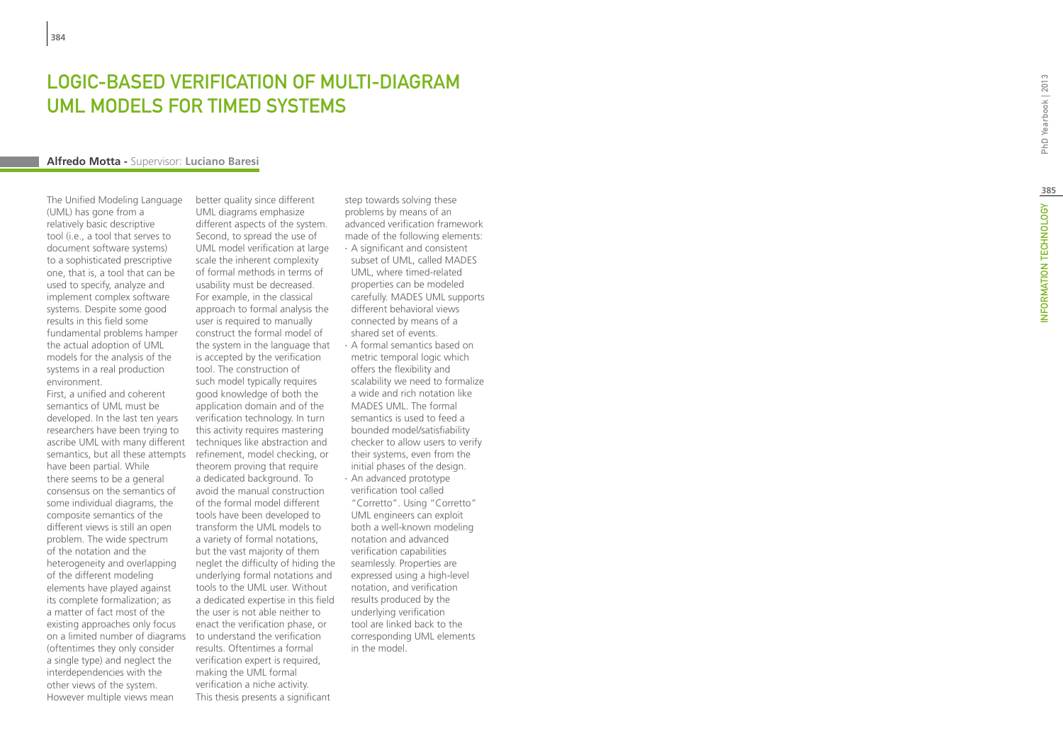# **LOGIC-BASED VERIFICAT<br>UML MODELS FOR TIMED<br>Alfredo Motta - Supervisor: Luciano Baresi** OF MULTI-UML MODELS FOR TIMED SYSTEMS t

The Unified Modeling Language (UML) has gone from a relatively basic descriptive tool (i.e., a tool that serves to document software systems) to a sophisticated prescriptive one, that is, a tool that can be used to specify, analyze and implement complex software systems. Despite some good results in this field some fundamental problems hamper the actual adoption of UML models for the analysis of the systems in a real production environment.

First, a unified and coherent semantics of UML must be developed. In the last ten years researchers have been trying to ascribe UML with many different semantics, but all these attempts have been partial. While there seems to be a general consensus on the semantics of some individual diagrams, the composite semantics of the different views is still an open problem. The wide spectrum of the notation and the heterogeneity and overlapping of the different modeling elements have played against its complete formalization; as a matter of fact most of the existing approaches only focus on a limited number of diagrams to understand the verification (oftentimes they only consider a single type) and neglect the interdependencies with the other views of the system. However multiple views mean

better quality since different UML diagrams emphasize different aspects of the system. Second, to spread the use of UML model verification at large scale the inherent complexity of formal methods in terms of usability must be decreased. For example, in the classical approach to formal analysis the user is required to manually construct the formal model of the system in the language that is accepted by the verification tool. The construction of such model typically requires good knowledge of both the application domain and of the verification technology. In turn this activity requires mastering techniques like abstraction and refinement, model checking, or theorem proving that require a dedicated background. To avoid the manual construction of the formal model different tools have been developed to transform the UML models to a variety of formal notations, but the vast majority of them neglet the difficulty of hiding the underlying formal notations and tools to the UML user. Without a dedicated expertise in this field the user is not able neither to enact the verification phase, or results. Oftentimes a formal verification expert is required, making the UML formal verification a niche activity. This thesis presents a significant

step towards solving these problems by means of an advanced verification framework made of the following elements: ∙ A significant and consistent subset of UML, called MADES UML, where timed-related properties can be modeled carefully. MADES UML supports different behavioral views connected by means of a shared set of events. ∙ A formal semantics based on

- metric temporal logic which offers the flexibility and scalability we need to formalize a wide and rich notation like MADES UML. The formal semantics is used to feed a bounded model/satisfiability checker to allow users to verify their systems, even from the initial phases of the design.
- ∙ An advanced prototype verification tool called "Corretto". Using "Corretto" UML engineers can exploit both a well-known modeling notation and advanced verification capabilities seamlessly. Properties are expressed using a high-level notation, and verification results produced by the underlying verification tool are linked back to the corresponding UML elements in the model.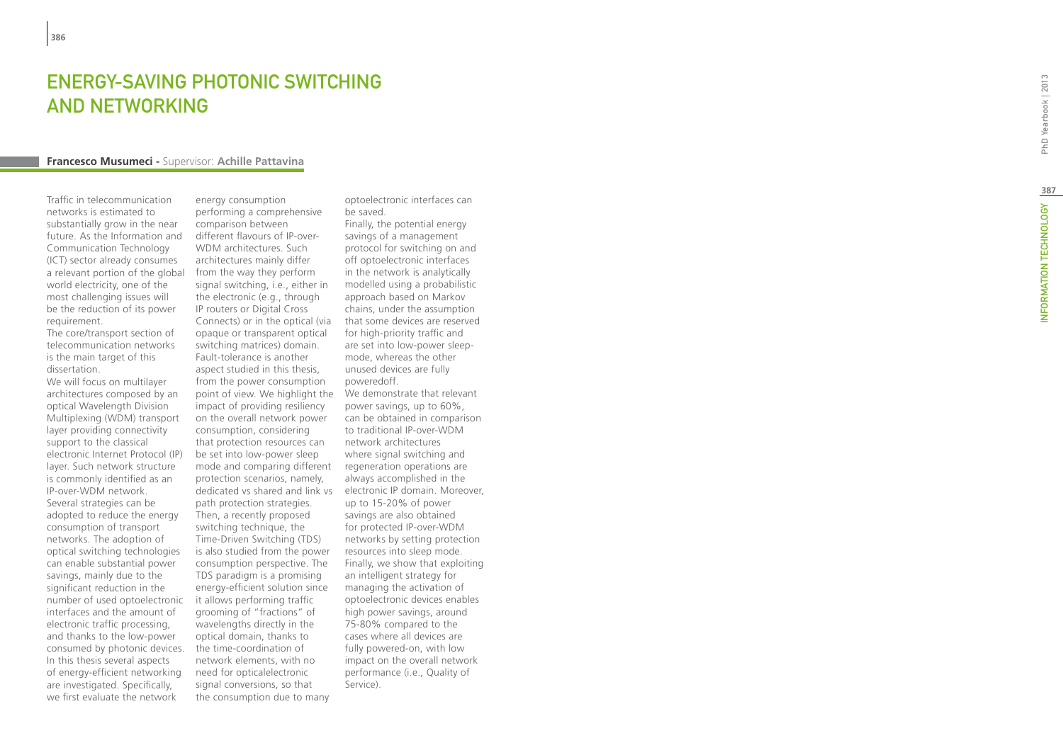## ENERGY-SAVING PHOTONIC SWITCH AND NETW t

#### **Francesco Musumeci -** Supervisor: **Achille Pattavina**

Traffic in telecommunication networks is estimated to substantially grow in the near future. As the Information and Communication Technology (ICT) sector already consumes a relevant portion of the global world electricity, one of the most challenging issues will be the reduction of its power requirement.

The core/transport section of telecommunication networks is the main target of this dissertation.

We will focus on multilayer architectures composed by an optical Wavelength Division Multiplexing (WDM) transport layer providing connectivity support to the classical electronic Internet Protocol (IP) layer. Such network structure is commonly identified as an IP-over-WDM network. Several strategies can be adopted to reduce the energy consumption of transport networks. The adoption of optical switching technologies can enable substantial power savings, mainly due to the significant reduction in the number of used optoelectronic interfaces and the amount of electronic traffic processing, and thanks to the low-power consumed by photonic devices. In this thesis several aspects of energy-efficient networking are investigated. Specifically, we first evaluate the network

energy consumption performing a comprehensive comparison between different flavours of IP-over-WDM architectures. Such architectures mainly differ from the way they perform signal switching, i.e., either in the electronic (e.g., through IP routers or Digital Cross Connects) or in the optical (via opaque or transparent optical switching matrices) domain. Fault-tolerance is another aspect studied in this thesis, from the power consumption point of view. We highlight the We demonstrate that relevant impact of providing resiliency on the overall network power consumption, considering that protection resources can be set into low-power sleep mode and comparing different protection scenarios, namely, dedicated vs shared and link vs path protection strategies. Then, a recently proposed switching technique, the Time-Driven Switching (TDS) is also studied from the power consumption perspective. The TDS paradigm is a promising energy-efficient solution since it allows performing traffic grooming of "fractions" of wavelengths directly in the optical domain, thanks to the time-coordination of network elements, with no need for opticalelectronic signal conversions, so that the consumption due to many

optoelectronic interfaces can be saved.

Finally, the potential energy savings of a management protocol for switching on and off optoelectronic interfaces in the network is analytically modelled using a probabilistic approach based on Markov chains, under the assumption that some devices are reserved for high-priority traffic and are set into low-power sleepmode, whereas the other unused devices are fully poweredoff. power savings, up to 60%, can be obtained in comparison to traditional IP-over-WDM network architectures where signal switching and regeneration operations are always accomplished in the electronic IP domain. Moreover, up to 15-20% of power savings are also obtained for protected IP-over-WDM networks by setting protection resources into sleep mode. Finally, we show that exploiting an intelligent strategy for managing the activation of optoelectronic devices enables high power savings, around 75-80% compared to the cases where all devices are fully powered-on, with low impact on the overall network performance (i.e., Quality of Service).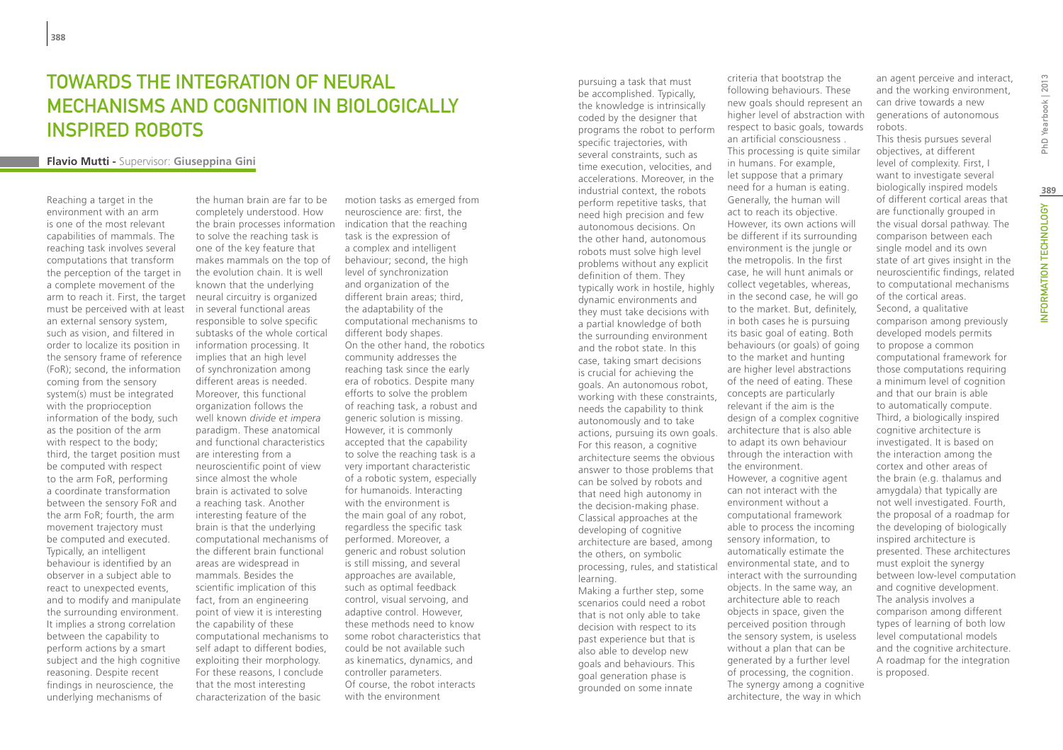# Towards the integration of neural mechanisms and cognition in biologically inspired robots

#### **Flavio Mutti -** Supervisor: **Giuseppina Gini**

Reaching a target in the environment with an arm is one of the most relevant capabilities of mammals. The reaching task involves several computations that transform the perception of the target in a complete movement of the arm to reach it. First, the target must be perceived with at least an external sensory system, such as vision, and filtered in order to localize its position in the sensory frame of reference (FoR); second, the information coming from the sensory system(s) must be integrated with the proprioception information of the body, such as the position of the arm with respect to the body; third, the target position must be computed with respect to the arm FoR, performing a coordinate transformation between the sensory FoR and the arm FoR; fourth, the arm movement trajectory must be computed and executed. Typically, an intelligent behaviour is identified by an observer in a subject able to react to unexpected events, and to modify and manipulate the surrounding environment. It implies a strong correlation between the capability to perform actions by a smart subject and the high cognitive reasoning. Despite recent findings in neuroscience, the underlying mechanisms of

the human brain are far to be completely understood. How the brain processes information indication that the reaching to solve the reaching task is one of the key feature that makes mammals on the top of the evolution chain. It is well known that the underlying neural circuitry is organized in several functional areas responsible to solve specific subtasks of the whole cortical information processing. It implies that an high level of synchronization among different areas is needed. Moreover, this functional organization follows the well known *divide et impera* paradigm. These anatomical and functional characteristics are interesting from a neuroscientific point of view since almost the whole brain is activated to solve a reaching task. Another interesting feature of the brain is that the underlying computational mechanisms of the different brain functional areas are widespread in mammals. Besides the scientific implication of this fact, from an engineering point of view it is interesting the capability of these computational mechanisms to self adapt to different bodies, exploiting their morphology. For these reasons, I conclude that the most interesting characterization of the basic

motion tasks as emerged from neuroscience are: first, the task is the expression of a complex and intelligent behaviour; second, the high level of synchronization and organization of the different brain areas; third, the adaptability of the computational mechanisms to different body shapes. On the other hand, the robotics community addresses the reaching task since the early era of robotics. Despite many efforts to solve the problem of reaching task, a robust and generic solution is missing. However, it is commonly accepted that the capability to solve the reaching task is a very important characteristic of a robotic system, especially for humanoids. Interacting with the environment is the main goal of any robot, regardless the specific task performed. Moreover, a generic and robust solution is still missing, and several approaches are available, such as optimal feedback control, visual servoing, and adaptive control. However, these methods need to know some robot characteristics that could be not available such as kinematics, dynamics, and controller parameters. Of course, the robot interacts with the environment

pursuing a task that must be accomplished. Typically, the knowledge is intrinsically coded by the designer that programs the robot to perform specific trajectories, with several constraints, such as time execution, velocities, and accelerations. Moreover, in the industrial context, the robots perform repetitive tasks, that need high precision and few autonomous decisions. On the other hand, autonomous robots must solve high level problems without any explicit definition of them. They typically work in hostile, highly dynamic environments and they must take decisions with a partial knowledge of both the surrounding environment and the robot state. In this case, taking smart decisions is crucial for achieving the goals. An autonomous robot, working with these constraints, needs the capability to think autonomously and to take actions, pursuing its own goals. For this reason, a cognitive architecture seems the obvious answer to those problems that can be solved by robots and that need high autonomy in the decision-making phase. Classical approaches at the developing of cognitive architecture are based, among the others, on symbolic processing, rules, and statistical learning. Making a further step, some scenarios could need a robot that is not only able to take decision with respect to its past experience but that is also able to develop new goals and behaviours. This goal generation phase is

grounded on some innate

following behaviours. These new goals should represent an higher level of abstraction with respect to basic goals, towards an artificial consciousness . This processing is quite similar in humans. For example, let suppose that a primary need for a human is eating. Generally, the human will act to reach its objective. However, its own actions will be different if its surrounding environment is the jungle or the metropolis. In the first case, he will hunt animals or collect vegetables, whereas, in the second case, he will go to the market. But, definitely, in both cases he is pursuing its basic goal of eating. Both behaviours (or goals) of going to the market and hunting are higher level abstractions of the need of eating. These concepts are particularly relevant if the aim is the design of a complex cognitive architecture that is also able to adapt its own behaviour through the interaction with the environment. However, a cognitive agent can not interact with the environment without a computational framework able to process the incoming sensory information, to automatically estimate the environmental state, and to interact with the surrounding objects. In the same way, an architecture able to reach objects in space, given the perceived position through the sensory system, is useless without a plan that can be generated by a further level of processing, the cognition. The synergy among a cognitive architecture, the way in which

criteria that bootstrap the

an agent perceive and interact, and the working environment, can drive towards a new generations of autonomous robots.

This thesis pursues several objectives, at different level of complexity. First, I want to investigate several biologically inspired models of different cortical areas that are functionally grouped in the visual dorsal pathway. The comparison between each single model and its own state of art gives insight in the neuroscientific findings, related to computational mechanisms of the cortical areas. Second, a qualitative comparison among previously developed models permits to propose a common computational framework for those computations requiring a minimum level of cognition and that our brain is able to automatically compute. Third, a biologically inspired cognitive architecture is investigated. It is based on the interaction among the cortex and other areas of the brain (e.g. thalamus and amygdala) that typically are not well investigated. Fourth, the proposal of a roadmap for the developing of biologically inspired architecture is presented. These architectures must exploit the synergy between low-level computation and cognitive development. The analysis involves a comparison among different types of learning of both low level computational models and the cognitive architecture. A roadmap for the integration is proposed.

PhD Yearbook | 2013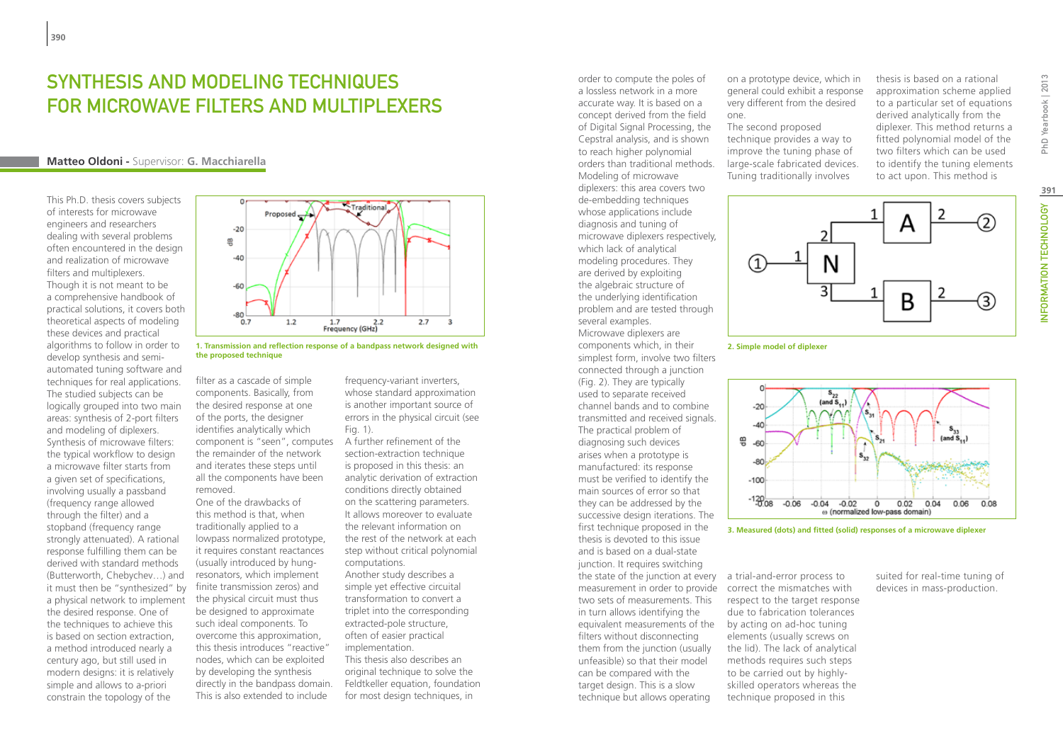## Synthesis and Modeling Techniques for Microwave Filters and Multiplexers

#### **Matteo Oldoni -** Supervisor: **G. Macchiarella**

This Ph.D. thesis covers subjects of interests for microwave engineers and researchers dealing with several problems often encountered in the design and realization of microwave filters and multiplexers. Though it is not meant to be a comprehensive handbook of practical solutions, it covers both theoretical aspects of modeling these devices and practical algorithms to follow in order to develop synthesis and semiautomated tuning software and techniques for real applications. The studied subjects can be logically grouped into two main areas: synthesis of 2-port filters and modeling of diplexers. Synthesis of microwave filters: the typical workflow to design a microwave filter starts from a given set of specifications, involving usually a passband (frequency range allowed through the filter) and a stopband (frequency range strongly attenuated). A rational response fulfilling them can be derived with standard methods (Butterworth, Chebychev…) and it must then be "synthesized" by a physical network to implement the desired response. One of the techniques to achieve this is based on section extraction, a method introduced nearly a century ago, but still used in modern designs: it is relatively simple and allows to a-priori constrain the topology of the



**1. Transmission and reflection response of a bandpass network designed with the proposed technique**

filter as a cascade of simple components. Basically, from the desired response at one of the ports, the designer identifies analytically which component is "seen", computes the remainder of the network and iterates these steps until all the components have been removed.

One of the drawbacks of this method is that, when traditionally applied to a lowpass normalized prototype, it requires constant reactances (usually introduced by hungresonators, which implement finite transmission zeros) and the physical circuit must thus be designed to approximate such ideal components. To overcome this approximation, this thesis introduces "reactive" nodes, which can be exploited by developing the synthesis directly in the bandpass domain. This is also extended to include

frequency-variant inverters, whose standard approximation is another important source of errors in the physical circuit (see Fig. 1).

A further refinement of the section-extraction technique is proposed in this thesis: an analytic derivation of extraction conditions directly obtained on the scattering parameters. It allows moreover to evaluate the relevant information on the rest of the network at each step without critical polynomial computations. Another study describes a simple yet effective circuital transformation to convert a triplet into the corresponding extracted-pole structure, often of easier practical implementation. This thesis also describes an original technique to solve the Feldtkeller equation, foundation for most design techniques, in

a lossless network in a more accurate way. It is based on a concept derived from the field of Digital Signal Processing, the Cepstral analysis, and is shown to reach higher polynomial orders than traditional methods. Modeling of microwave diplexers: this area covers two de-embedding techniques whose applications include diagnosis and tuning of microwave diplexers respectively, which lack of analytical modeling procedures. They are derived by exploiting the algebraic structure of the underlying identification problem and are tested through several examples. Microwave diplexers are components which, in their simplest form, involve two filters connected through a junction (Fig. 2). They are typically used to separate received channel bands and to combine transmitted and received signals. The practical problem of diagnosing such devices arises when a prototype is manufactured: its response must be verified to identify the main sources of error so that they can be addressed by the successive design iterations. The first technique proposed in the thesis is devoted to this issue and is based on a dual-state junction. It requires switching the state of the junction at every a trial-and-error process to measurement in order to provide two sets of measurements. This in turn allows identifying the equivalent measurements of the by acting on ad-hoc tuning filters without disconnecting them from the junction (usually unfeasible) so that their model can be compared with the target design. This is a slow technique but allows operating

order to compute the poles of

on a prototype device, which in general could exhibit a response very different from the desired one.

The second proposed technique provides a way to improve the tuning phase of large-scale fabricated devices. Tuning traditionally involves

thesis is based on a rational approximation scheme applied to a particular set of equations derived analytically from the diplexer. This method returns a fitted polynomial model of the two filters which can be used to identify the tuning elements to act upon. This method is



**2. Simple model of diplexer**





correct the mismatches with respect to the target response due to fabrication tolerances elements (usually screws on the lid). The lack of analytical methods requires such steps to be carried out by highlyskilled operators whereas the technique proposed in this

suited for real-time tuning of devices in mass-production.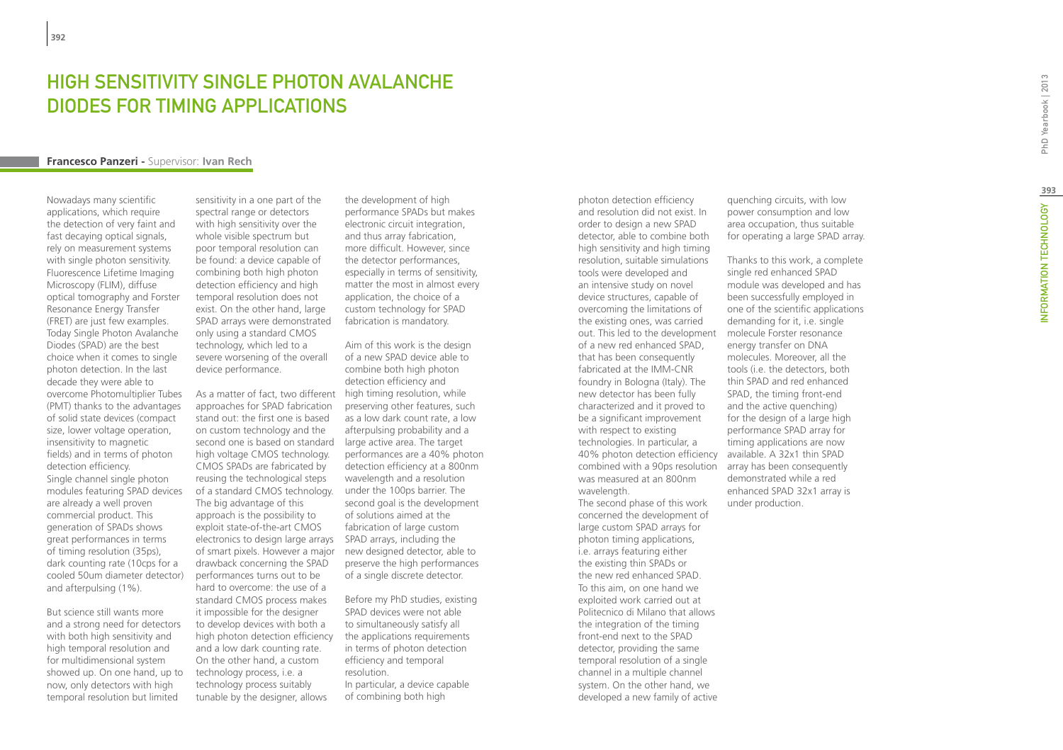## HIGH SENSITIVITY SINGLE PHOTON AVALANCHE Diodes for Timing Applications

#### **Francesco Panzeri -** Supervisor: **Ivan Rech**

Nowadays many scientific applications, which require the detection of very faint and fast decaying optical signals, rely on measurement systems with single photon sensitivity. Fluorescence Lifetime Imaging Microscopy (FLIM), diffuse optical tomography and Forster Resonance Energy Transfer (FRET) are just few examples. Today Single Photon Avalanche Diodes (SPAD) are the best choice when it comes to single photon detection. In the last decade they were able to overcome Photomultiplier Tubes (PMT) thanks to the advantages of solid state devices (compact size, lower voltage operation, insensitivity to magnetic fields) and in terms of photon detection efficiency. Single channel single photon modules featuring SPAD devices are already a well proven commercial product. This generation of SPADs shows great performances in terms of timing resolution (35ps), dark counting rate (10cps for a cooled 50um diameter detector) and afterpulsing (1%).

But science still wants more and a strong need for detectors with both high sensitivity and high temporal resolution and for multidimensional system showed up. On one hand, up to now, only detectors with high temporal resolution but limited

sensitivity in a one part of the spectral range or detectors with high sensitivity over the whole visible spectrum but poor temporal resolution can be found: a device capable of combining both high photon detection efficiency and high temporal resolution does not exist. On the other hand, large SPAD arrays were demonstrated only using a standard CMOS technology, which led to a severe worsening of the overall device performance.

As a matter of fact, two different high timing resolution, while approaches for SPAD fabrication stand out: the first one is based on custom technology and the second one is based on standard high voltage CMOS technology. CMOS SPADs are fabricated by reusing the technological steps of a standard CMOS technology. The big advantage of this approach is the possibility to exploit state-of-the-art CMOS electronics to design large arrays of smart pixels. However a major drawback concerning the SPAD performances turns out to be hard to overcome: the use of a standard CMOS process makes it impossible for the designer to develop devices with both a high photon detection efficiency and a low dark counting rate. On the other hand, a custom technology process, i.e. a technology process suitably tunable by the designer, allows

the development of high performance SPADs but makes electronic circuit integration, and thus array fabrication, more difficult. However, since the detector performances, especially in terms of sensitivity, matter the most in almost every application, the choice of a custom technology for SPAD fabrication is mandatory.

Aim of this work is the design of a new SPAD device able to combine both high photon detection efficiency and preserving other features, such as a low dark count rate, a low afterpulsing probability and a large active area. The target performances are a 40% photon detection efficiency at a 800nm wavelength and a resolution under the 100ps barrier. The second goal is the development of solutions aimed at the fabrication of large custom SPAD arrays, including the new designed detector, able to preserve the high performances of a single discrete detector.

Before my PhD studies, existing SPAD devices were not able to simultaneously satisfy all the applications requirements in terms of photon detection efficiency and temporal resolution. In particular, a device capable of combining both high

photon detection efficiency and resolution did not exist. In order to design a new SPAD detector, able to combine both high sensitivity and high timing resolution, suitable simulations tools were developed and an intensive study on novel device structures, capable of overcoming the limitations of the existing ones, was carried out. This led to the development of a new red enhanced SPAD, that has been consequently fabricated at the IMM-CNR foundry in Bologna (Italy). The new detector has been fully characterized and it proved to be a significant improvement with respect to existing technologies. In particular, a 40% photon detection efficiency available. A 32x1 thin SPAD combined with a 90ps resolution array has been consequently was measured at an 800nm wavelength. The second phase of this work concerned the development of large custom SPAD arrays for photon timing applications, i.e. arrays featuring either the existing thin SPADs or the new red enhanced SPAD. To this aim, on one hand we exploited work carried out at Politecnico di Milano that allows the integration of the timing front-end next to the SPAD detector, providing the same temporal resolution of a single channel in a multiple channel system. On the other hand, we developed a new family of active

quenching circuits, with low power consumption and low area occupation, thus suitable for operating a large SPAD array.

Thanks to this work, a complete single red enhanced SPAD module was developed and has been successfully employed in one of the scientific applications demanding for it, i.e. single molecule Forster resonance energy transfer on DNA molecules. Moreover, all the tools (i.e. the detectors, both thin SPAD and red enhanced SPAD, the timing front-end and the active quenching) for the design of a large high performance SPAD array for timing applications are now demonstrated while a red enhanced SPAD 32x1 array is under production.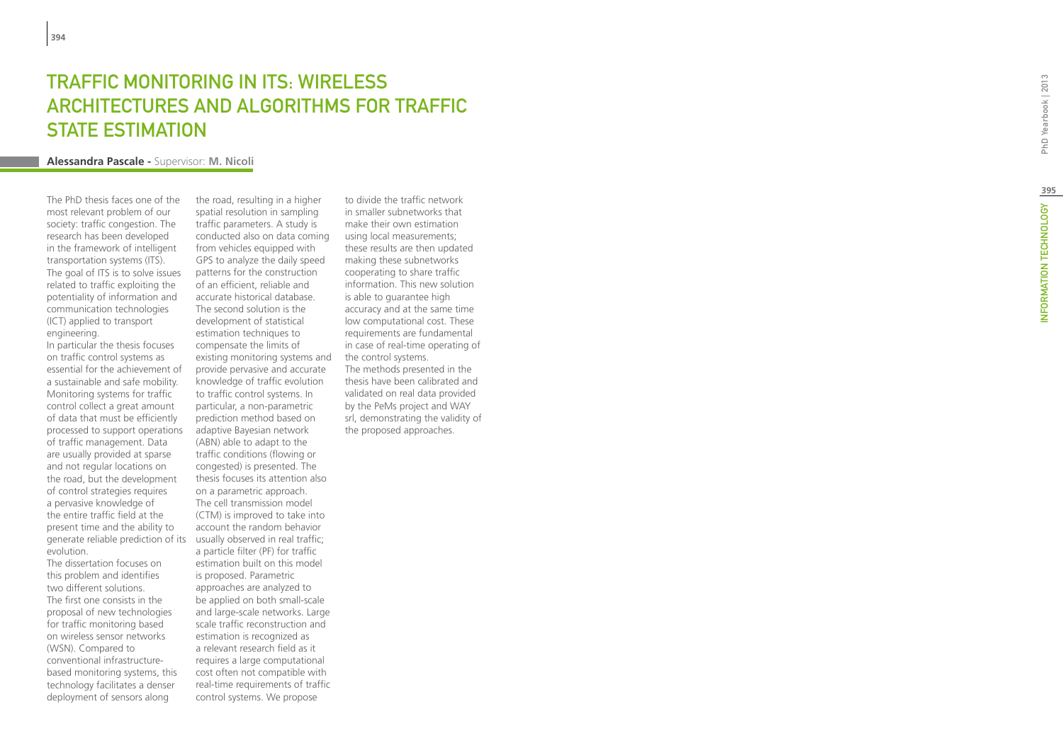## **TRAFFIC MONITORING IN IT<br>ARCHITECTURES AND ALG(<br>STATE ESTIMATION<br>Alessandra Pascale - Supervisor: M. Nicoli S: WIRELESS** .<br>. HITECTURES AND ALGORITHMS FOR TRAFF STATE ESTIMATION

The PhD thesis faces one of the most relevant problem of our society: traffic congestion. The research has been developed in the framework of intelligent transportation systems (ITS). The goal of ITS is to solve issues related to traffic exploiting the potentiality of information and communication technologies (ICT) applied to transport engineering.

In particular the thesis focuses on traffic control systems as essential for the achievement of a sustainable and safe mobility. Monitoring systems for traffic control collect a great amount of data that must be efficiently processed to support operations of traffic management. Data are usually provided at sparse and not regular locations on the road, but the development of control strategies requires a pervasive knowledge of the entire traffic field at the present time and the ability to generate reliable prediction of its usually observed in real traffic; evolution.

The dissertation focuses on this problem and identifies two different solutions. The first one consists in the proposal of new technologies for traffic monitoring based on wireless sensor networks (WSN). Compared to conventional infrastructurebased monitoring systems, this technology facilitates a denser deployment of sensors along

the road, resulting in a higher spatial resolution in sampling traffic parameters. A study is conducted also on data coming from vehicles equipped with GPS to analyze the daily speed patterns for the construction of an efficient, reliable and accurate historical database. The second solution is the development of statistical estimation techniques to compensate the limits of existing monitoring systems and provide pervasive and accurate knowledge of traffic evolution to traffic control systems. In particular, a non-parametric prediction method based on adaptive Bayesian network (ABN) able to adapt to the traffic conditions (flowing or congested) is presented. The thesis focuses its attention also on a parametric approach. The cell transmission model (CTM) is improved to take into account the random behavior a particle filter (PF) for traffic estimation built on this model is proposed. Parametric approaches are analyzed to be applied on both small-scale and large-scale networks. Large scale traffic reconstruction and estimation is recognized as a relevant research field as it requires a large computational cost often not compatible with real-time requirements of traffic control systems. We propose

to divide the traffic network in smaller subnetworks that make their own estimation using local measurements; these results are then updated making these subnetworks cooperating to share traffic information. This new solution is able to guarantee high accuracy and at the same time low computational cost. These requirements are fundamental in case of real-time operating of the control systems. The methods presented in the thesis have been calibrated and validated on real data provided by the PeMs project and WAY srl, demonstrating the validity of the proposed approaches.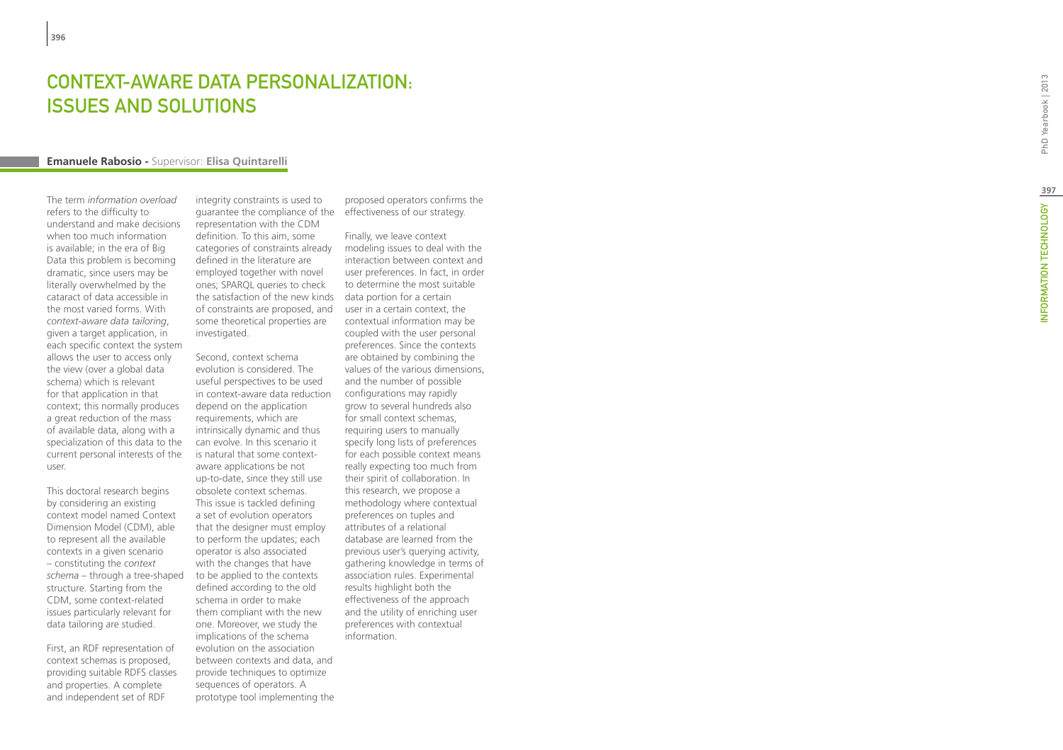# **CONTEXT-AWARE DATA PERSONALIZATION:<br>ISSUES AND SOLUTIONS<br>Emanuele Rabosio - Supervisor: Elisa Quintarelli** ISSUES AND SOLUTIONS

The term *information overload* refers to the difficulty to understand and make decisions when too much information is available; in the era of Big Data this problem is becoming dramatic, since users may be literally overwhelmed by the cataract of data accessible in the most varied forms. With *context-aware data tailoring*, given a target application, in each specific context the system allows the user to access only the view (over a global data schema) which is relevant for that application in that context; this normally produces a great reduction of the mass of available data, along with a specialization of this data to the current personal interests of the user.

This doctoral research begins by considering an existing context model named Context Dimension Model (CDM), able to represent all the available contexts in a given scenario – constituting the *context schema* – through a tree-shaped structure. Starting from the CDM, some context-related issues particularly relevant for data tailoring are studied.

First, an RDF representation of context schemas is proposed, providing suitable RDFS classes and properties. A complete and independent set of RDF

integrity constraints is used to guarantee the compliance of the effectiveness of our strategy. representation with the CDM definition. To this aim, some categories of constraints already defined in the literature are employed together with novel ones; SPARQL queries to check the satisfaction of the new kinds data portion for a certain of constraints are proposed, and some theoretical properties are investigated.

Second, context schema evolution is considered. The useful perspectives to be used in context-aware data reduction depend on the application requirements, which are intrinsically dynamic and thus can evolve. In this scenario it is natural that some contextaware applications be not up-to-date, since they still use obsolete context schemas. This issue is tackled defining a set of evolution operators that the designer must employ to perform the updates; each operator is also associated with the changes that have to be applied to the contexts defined according to the old schema in order to make them compliant with the new one. Moreover, we study the implications of the schema evolution on the association between contexts and data, and provide techniques to optimize sequences of operators. A prototype tool implementing the

proposed operators confirms the

Finally, we leave context modeling issues to deal with the interaction between context and user preferences. In fact, in order to determine the most suitable user in a certain context, the contextual information may be coupled with the user personal preferences. Since the contexts are obtained by combining the values of the various dimensions, and the number of possible configurations may rapidly grow to several hundreds also for small context schemas, requiring users to manually specify long lists of preferences for each possible context means really expecting too much from their spirit of collaboration. In this research, we propose a methodology where contextual preferences on tuples and attributes of a relational database are learned from the previous user's querying activity, gathering knowledge in terms of association rules. Experimental results highlight both the effectiveness of the approach and the utility of enriching user preferences with contextual information.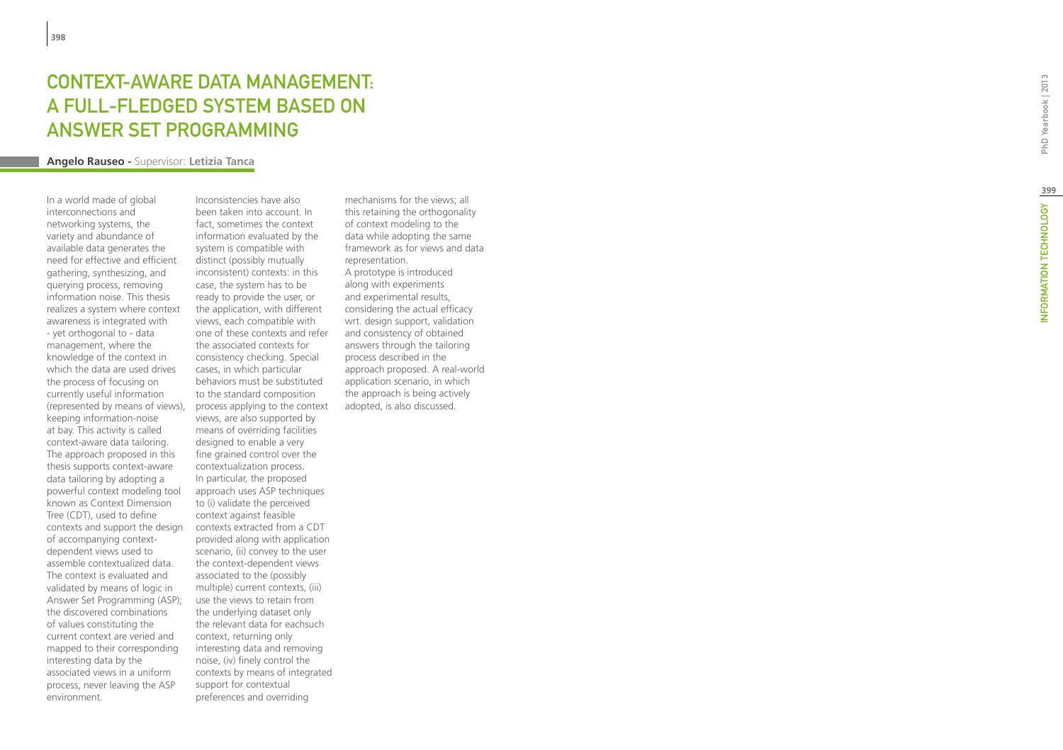## **CONTEXT-AWARE DATA M<br>A FULL-FLEDGED SYSTEM<br>ANSWER SET PROGRAMN<br>Angelo Rauseo - Supervisor: Letizia Tanca** EMENT: a FULL-FLEDGED SYSTEM BASED t ANSWER SET P

In a world made of global interconnections and networking systems, the variety and abundance of available data generates the need for effective and efficient gathering, synthesizing, and querying process, removing information noise. This thesis realizes a system where context awareness is integrated with - yet orthogonal to - data management, where the knowledge of the context in which the data are used drives the process of focusing on currently useful information (represented by means of views), process applying to the context keeping information-noise at bay. This activity is called context-aware data tailoring. The approach proposed in this thesis supports context-aware data tailoring by adopting a powerful context modeling tool known as Context Dimension Tree (CDT), used to define contexts and support the design of accompanying contextdependent views used to assemble contextualized data. The context is evaluated and validated by means of logic in Answer Set Programming (ASP); the discovered combinations of values constituting the current context are veried and mapped to their corresponding interesting data by the associated views in a uniform process, never leaving the ASP environment.

Inconsistencies have also been taken into account. In fact, sometimes the context information evaluated by the system is compatible with distinct (possibly mutually inconsistent) contexts: in this case, the system has to be ready to provide the user, or the application, with different views, each compatible with one of these contexts and refer the associated contexts for consistency checking. Special cases, in which particular behaviors must be substituted to the standard composition views, are also supported by means of overriding facilities designed to enable a very fine grained control over the contextualization process. In particular, the proposed approach uses ASP techniques to (i) validate the perceived context against feasible contexts extracted from a CDT provided along with application scenario, (ii) convey to the user the context-dependent views associated to the (possibly multiple) current contexts, (iii) use the views to retain from the underlying dataset only the relevant data for eachsuch context, returning only interesting data and removing noise, (iv) finely control the contexts by means of integrated support for contextual preferences and overriding

mechanisms for the views; all this retaining the orthogonality of context modeling to the data while adopting the same framework as for views and data representation. A prototype is introduced along with experiments and experimental results, considering the actual efficacy wrt. design support, validation and consistency of obtained answers through the tailoring process described in the approach proposed. A real-world application scenario, in which the approach is being actively adopted, is also discussed.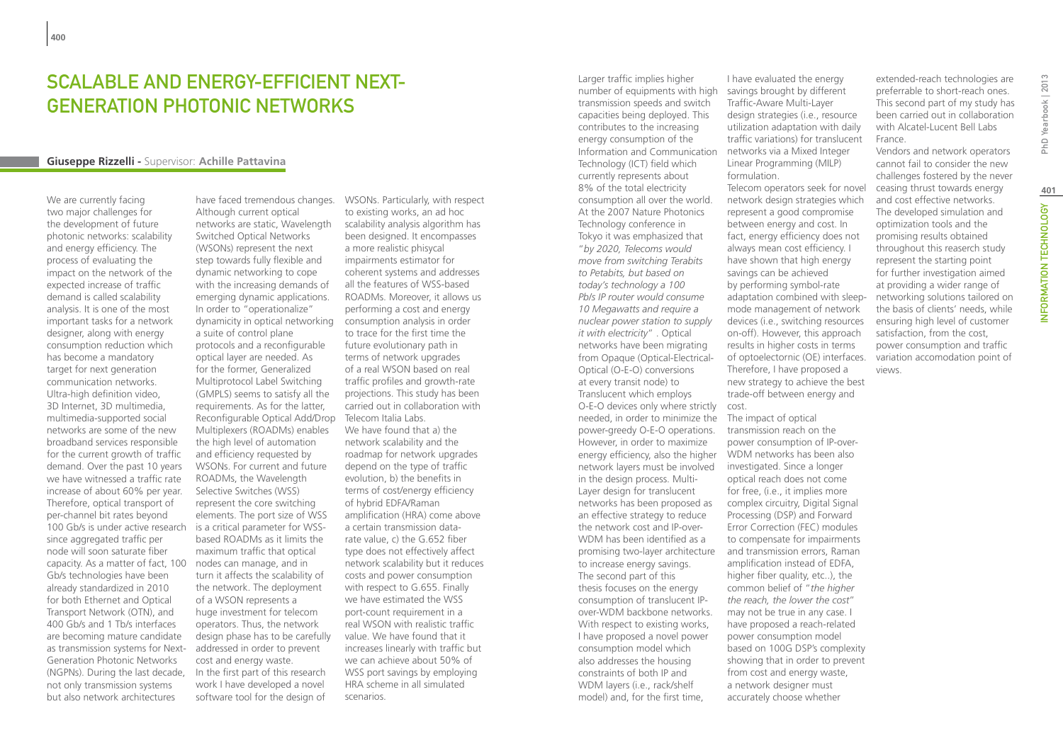## SCALABLE AND ENFRGY-FFFICIENT NEXT-Generation Photonic Networks

#### **Giuseppe Rizzelli -** Supervisor: **Achille Pattavina**

We are currently facing two major challenges for the development of future photonic networks: scalability and energy efficiency. The process of evaluating the impact on the network of the expected increase of traffic demand is called scalability analysis. It is one of the most important tasks for a network designer, along with energy consumption reduction which has become a mandatory target for next generation communication networks. Ultra-high definition video, 3D Internet, 3D multimedia, multimedia-supported social networks are some of the new broadband services responsible for the current growth of traffic demand. Over the past 10 years we have witnessed a traffic rate increase of about 60% per year. Therefore, optical transport of per-channel bit rates beyond 100 Gb/s is under active research is a critical parameter for WSSsince aggregated traffic per node will soon saturate fiber capacity. As a matter of fact, 100 Gb/s technologies have been already standardized in 2010 for both Ethernet and Optical Transport Network (OTN), and 400 Gb/s and 1 Tb/s interfaces are becoming mature candidate as transmission systems for Next-Generation Photonic Networks (NGPNs). During the last decade, not only transmission systems but also network architectures

have faced tremendous changes. WSONs. Particularly, with respect Although current optical networks are static, Wavelength Switched Optical Networks (WSONs) represent the next step towards fully flexible and dynamic networking to cope with the increasing demands of emerging dynamic applications. In order to "operationalize" dynamicity in optical networking a suite of control plane protocols and a reconfigurable optical layer are needed. As for the former, Generalized Multiprotocol Label Switching (GMPLS) seems to satisfy all the requirements. As for the latter, Reconfigurable Optical Add/Drop Multiplexers (ROADMs) enables the high level of automation and efficiency requested by WSONs. For current and future ROADMs, the Wavelength Selective Switches (WSS) represent the core switching elements. The port size of WSS based ROADMs as it limits the maximum traffic that optical nodes can manage, and in turn it affects the scalability of the network. The deployment of a WSON represents a huge investment for telecom operators. Thus, the network design phase has to be carefully addressed in order to prevent cost and energy waste. In the first part of this research work I have developed a novel

software tool for the design of

to existing works, an ad hoc scalability analysis algorithm has been designed. It encompasses a more realistic phisycal impairments estimator for coherent systems and addresses all the features of WSS-based ROADMs. Moreover, it allows us performing a cost and energy consumption analysis in order to trace for the first time the future evolutionary path in terms of network upgrades of a real WSON based on real traffic profiles and growth-rate projections. This study has been carried out in collaboration with Telecom Italia Labs. We have found that a) the network scalability and the roadmap for network upgrades depend on the type of traffic evolution, b) the benefits in terms of cost/energy efficiency of hybrid EDFA/Raman amplification (HRA) come above a certain transmission datarate value, c) the G.652 fiber type does not effectively affect network scalability but it reduces costs and power consumption with respect to G.655. Finally we have estimated the WSS port-count requirement in a real WSON with realistic traffic value. We have found that it increases linearly with traffic but we can achieve about 50% of WSS port savings by employing HRA scheme in all simulated scenarios.

Larger traffic implies higher number of equipments with high transmission speeds and switch capacities being deployed. This contributes to the increasing energy consumption of the Information and Communication Technology (ICT) field which currently represents about 8% of the total electricity consumption all over the world. At the 2007 Nature Photonics Technology conference in Tokyo it was emphasized that "*by 2020, Telecoms would move from switching Terabits to Petabits, but based on today's technology a 100 Pb/s IP router would consume 10 Megawatts and require a nuclear power station to supply it with electricity*" . Optical networks have been migrating from Opaque (Optical-Electrical-Optical (O-E-O) conversions at every transit node) to Translucent which employs O-E-O devices only where strictly cost. needed, in order to minimize the The impact of optical power-greedy O-E-O operations. However, in order to maximize energy efficiency, also the higher WDM networks has been also network layers must be involved in the design process. Multi-Layer design for translucent networks has been proposed as an effective strategy to reduce the network cost and IP-over-WDM has been identified as a promising two-layer architecture to increase energy savings. The second part of this thesis focuses on the energy consumption of translucent IPover-WDM backbone networks. With respect to existing works, I have proposed a novel power consumption model which also addresses the housing constraints of both IP and WDM layers (i.e., rack/shelf model) and, for the first time,

I have evaluated the energy savings brought by different Traffic-Aware Multi-Layer design strategies (i.e., resource utilization adaptation with daily traffic variations) for translucent networks via a Mixed Integer Linear Programming (MILP) formulation. Telecom operators seek for novel network design strategies which represent a good compromise between energy and cost. In fact, energy efficiency does not always mean cost efficiency. I have shown that high energy savings can be achieved by performing symbol-rate adaptation combined with sleepmode management of network devices (i.e., switching resources on-off). However, this approach results in higher costs in terms of optoelectornic (OE) interfaces. Therefore, I have proposed a new strategy to achieve the best trade-off between energy and

transmission reach on the power consumption of IP-overinvestigated. Since a longer optical reach does not come for free, (i.e., it implies more complex circuitry, Digital Signal Processing (DSP) and Forward Error Correction (FEC) modules to compensate for impairments and transmission errors, Raman amplification instead of EDFA, higher fiber quality, etc..), the common belief of "*the higher the reach, the lower the cost*" may not be true in any case. I have proposed a reach-related power consumption model based on 100G DSP's complexity showing that in order to prevent from cost and energy waste, a network designer must accurately choose whether

extended-reach technologies are preferrable to short-reach ones. This second part of my study has been carried out in collaboration with Alcatel-Lucent Bell Labs France.

Vendors and network operators cannot fail to consider the new challenges fostered by the never ceasing thrust towards energy and cost effective networks. The developed simulation and optimization tools and the promising results obtained throughout this reaserch study represent the starting point for further investigation aimed at providing a wider range of networking solutions tailored on the basis of clients' needs, while ensuring high level of customer satisfaction, from the cost, power consumption and traffic variation accomodation point of views.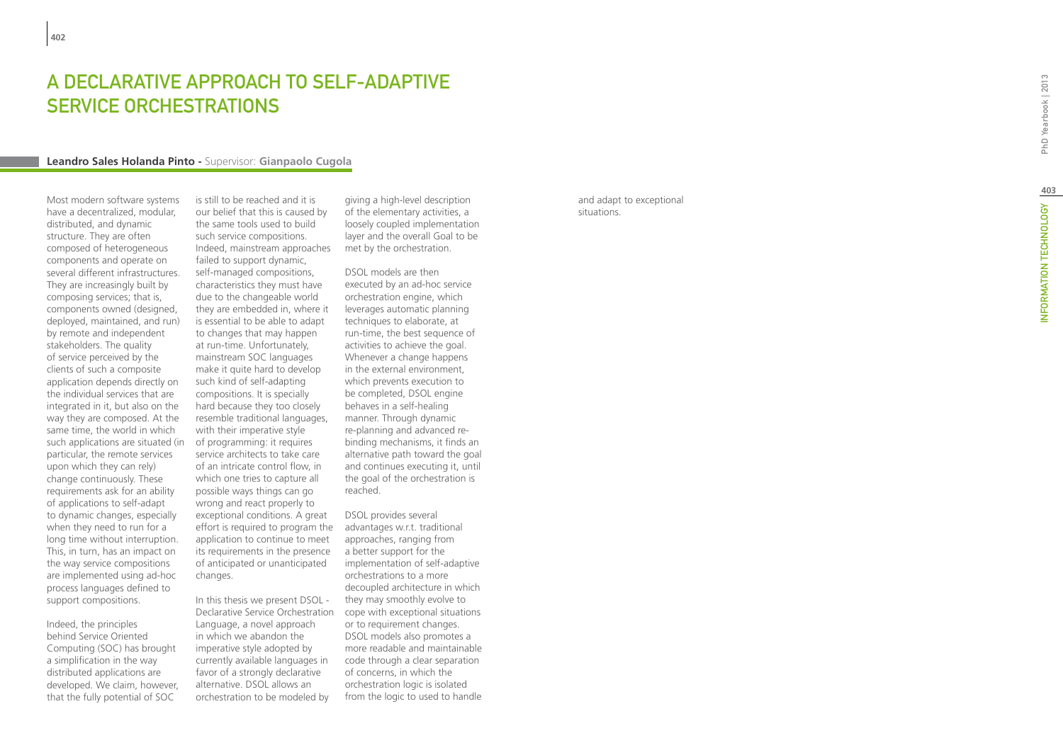# A DECLARATIVE APPROACH TO SELF-ADAPTIVE SERVICE ORCHESTRATIONS

#### **Leandro Sales Holanda Pinto -** Supervisor: **Gianpaolo Cugola**

Most modern software systems have a decentralized, modular, distributed, and dynamic structure. They are often composed of heterogeneous components and operate on several different infrastructures. They are increasingly built by composing services; that is, components owned (designed, deployed, maintained, and run) by remote and independent stakeholders. The quality of service perceived by the clients of such a composite application depends directly on the individual services that are integrated in it, but also on the way they are composed. At the same time, the world in which such applications are situated (in particular, the remote services upon which they can rely) change continuously. These requirements ask for an ability of applications to self-adapt to dynamic changes, especially when they need to run for a long time without interruption. This, in turn, has an impact on the way service compositions are implemented using ad-hoc process languages defined to support compositions.

Indeed, the principles behind Service Oriented Computing (SOC) has brought a simplification in the way distributed applications are developed. We claim, however, that the fully potential of SOC

is still to be reached and it is our belief that this is caused by the same tools used to build such service compositions. Indeed, mainstream approaches failed to support dynamic, self-managed compositions, characteristics they must have due to the changeable world they are embedded in, where it is essential to be able to adapt to changes that may happen at run-time. Unfortunately, mainstream SOC languages make it quite hard to develop such kind of self-adapting compositions. It is specially hard because they too closely resemble traditional languages, with their imperative style of programming: it requires service architects to take care of an intricate control flow, in which one tries to capture all possible ways things can go wrong and react properly to exceptional conditions. A great effort is required to program the application to continue to meet its requirements in the presence of anticipated or unanticipated changes.

In this thesis we present DSOL - Declarative Service Orchestration cope with exceptional situations Language, a novel approach in which we abandon the imperative style adopted by currently available languages in favor of a strongly declarative alternative. DSOL allows an orchestration to be modeled by

giving a high-level description of the elementary activities, a loosely coupled implementation layer and the overall Goal to be met by the orchestration.

DSOL models are then executed by an ad-hoc service orchestration engine, which leverages automatic planning techniques to elaborate, at run-time, the best sequence of activities to achieve the goal. Whenever a change happens in the external environment, which prevents execution to be completed, DSOL engine behaves in a self-healing manner. Through dynamic re-planning and advanced rebinding mechanisms, it finds an alternative path toward the goal and continues executing it, until the goal of the orchestration is reached.

DSOL provides several advantages w.r.t. traditional approaches, ranging from a better support for the implementation of self-adaptive orchestrations to a more decoupled architecture in which they may smoothly evolve to or to requirement changes. DSOL models also promotes a more readable and maintainable code through a clear separation of concerns, in which the orchestration logic is isolated from the logic to used to handle and adapt to exceptional situations.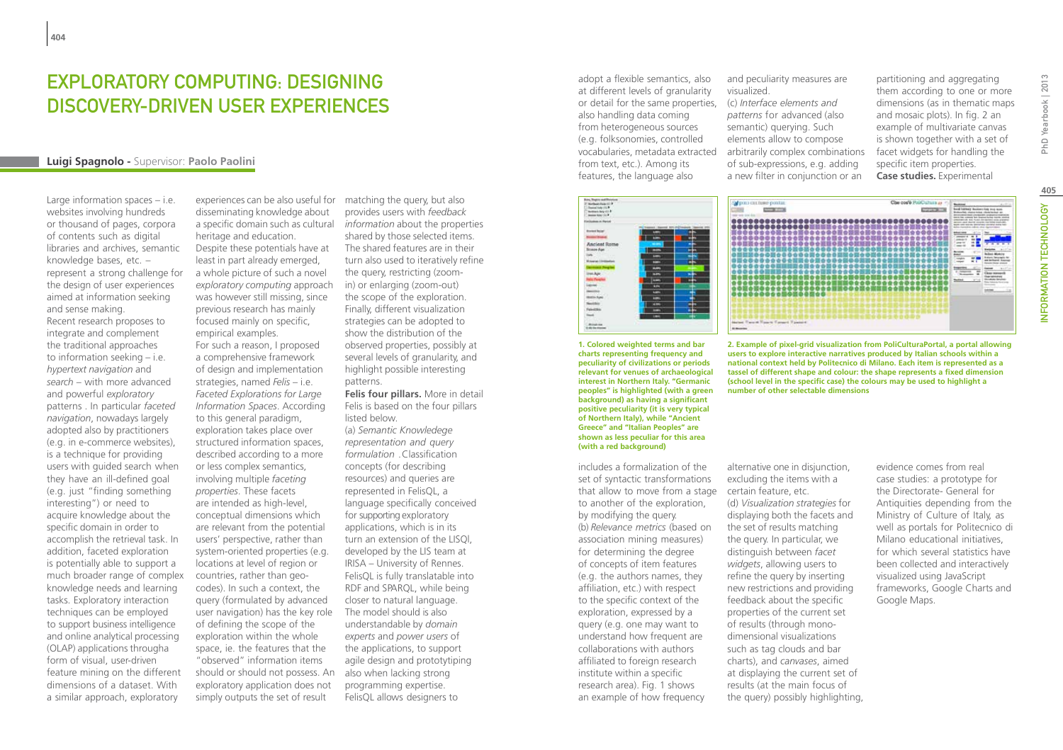## Exploratory computing: designing discovery-driven user experiences

#### **Luigi Spagnolo -** Supervisor: **Paolo Paolini**

Large information spaces – i.e. websites involving hundreds or thousand of pages, corpora of contents such as digital libraries and archives, semantic knowledge bases, etc. – represent a strong challenge for the design of user experiences aimed at information seeking and sense making. Recent research proposes to integrate and complement the traditional approaches to information seeking – i.e. *hypertext navigation* and *search* – with more advanced and powerful *exploratory*  patterns . In particular *faceted navigation*, nowadays largely adopted also by practitioners (e.g. in e-commerce websites), is a technique for providing users with guided search when they have an ill-defined goal (e.g. just "finding something interesting") or need to acquire knowledge about the specific domain in order to accomplish the retrieval task. In addition, faceted exploration is potentially able to support a much broader range of complex knowledge needs and learning tasks. Exploratory interaction techniques can be employed to support business intelligence and online analytical processing (OLAP) applications througha form of visual, user-driven feature mining on the different dimensions of a dataset. With a similar approach, exploratory

disseminating knowledge about a specific domain such as cultural *information* about the properties heritage and education.

Despite these potentials have at least in part already emerged, a whole picture of such a novel *exploratory computing* approach was however still missing, since previous research has mainly focused mainly on specific, empirical examples.

For such a reason, I proposed a comprehensive framework of design and implementation strategies, named *Felis* – i.e. *Faceted Explorations for Large Information Spaces*. According to this general paradigm, exploration takes place over structured information spaces, described according to a more or less complex semantics, involving multiple *faceting properties*. These facets are intended as high-level, conceptual dimensions which are relevant from the potential users' perspective, rather than system-oriented properties (e.g. locations at level of region or countries, rather than geocodes). In such a context, the query (formulated by advanced user navigation) has the key role of defining the scope of the exploration within the whole space, ie. the features that the "observed" information items should or should not possess. An exploratory application does not simply outputs the set of result

experiences can be also useful for matching the query, but also provides users with *feedback*  shared by those selected items. The shared features are in their turn also used to iteratively refine the query, restricting (zoomin) or enlarging (zoom-out) the scope of the exploration. Finally, different visualization strategies can be adopted to show the distribution of the observed properties, possibly at several levels of granularity, and highlight possible interesting

patterns. **Felis four pillars.** More in detail Felis is based on the four pillars listed below. (a) *Semantic Knowledege representation and query formulation* .Classification concepts (for describing resources) and queries are represented in FelisQL, a language specifically conceived for supporting exploratory applications, which is in its turn an extension of the LISQl, developed by the LIS team at IRISA – University of Rennes. FelisQL is fully translatable into RDF and SPARQL, while being closer to natural language. The model should is also understandable by *domain experts* and *power users* of the applications, to support agile design and prototytiping also when lacking strong programming expertise. FelisQL allows designers to

adopt a flexible semantics, also at different levels of granularity or detail for the same properties, (c) *Interface elements and*  also handling data coming from heterogeneous sources (e.g. folksonomies, controlled from text, etc.). Among its features, the language also

and peculiarity measures are visualized.

partitioning and aggregating them according to one or more dimensions (as in thematic maps and mosaic plots). In fig. 2 an example of multivariate canvas is shown together with a set of facet widgets for handling the specific item properties. **Case studies.** Experimental



**1. Colored weighted terms and bar charts representing frequency and peculiarity of civilizations or periods relevant for venues of archaeological interest in Northern Italy. "Germanic peoples" is highlighted (with a green background) as having a significant positive peculiarity (it is very typical of Northern Italy), while "Ancient Greece" and "Italian Peoples" are shown as less peculiar for this area (with a red background)**

includes a formalization of the set of syntactic transformations that allow to move from a stage to another of the exploration, by modifying the query. (b) *Relevance metrics* (based on association mining measures) for determining the degree of concepts of item features (e.g. the authors names, they affiliation, etc.) with respect to the specific context of the exploration, expressed by a query (e.g. one may want to understand how frequent are collaborations with authors affiliated to foreign research institute within a specific research area). Fig. 1 shows an example of how frequency

vocabularies, metadata extracted arbitrarily complex combinations *patterns* for advanced (also semantic) querying. Such elements allow to compose of sub-expressions, e.g. adding a new filter in conjunction or an

**Selection can have consta** 

parent



**2. Example of pixel-grid visualization from PoliCulturaPortal, a portal allowing users to explore interactive narratives produced by Italian schools within a national context held by Politecnico di Milano. Each item is represented as a tassel of different shape and colour: the shape represents a fixed dimension (school level in the specific case) the colours may be used to highlight a number of other selectable dimensions**

alternative one in disjunction, excluding the items with a certain feature, etc. (d) *Visualization strategies* for displaying both the facets and the set of results matching the query. In particular, we distinguish between *facet widgets*, allowing users to refine the query by inserting new restrictions and providing feedback about the specific properties of the current set of results (through monodimensional visualizations such as tag clouds and bar charts), and *canvases*, aimed at displaying the current set of results (at the main focus of the query) possibly highlighting, evidence comes from real case studies: a prototype for the Directorate- General for Antiquities depending from the Ministry of Culture of Italy, as well as portals for Politecnico di Milano educational initiatives, for which several statistics have been collected and interactively visualized using JavaScript frameworks, Google Charts and Google Maps.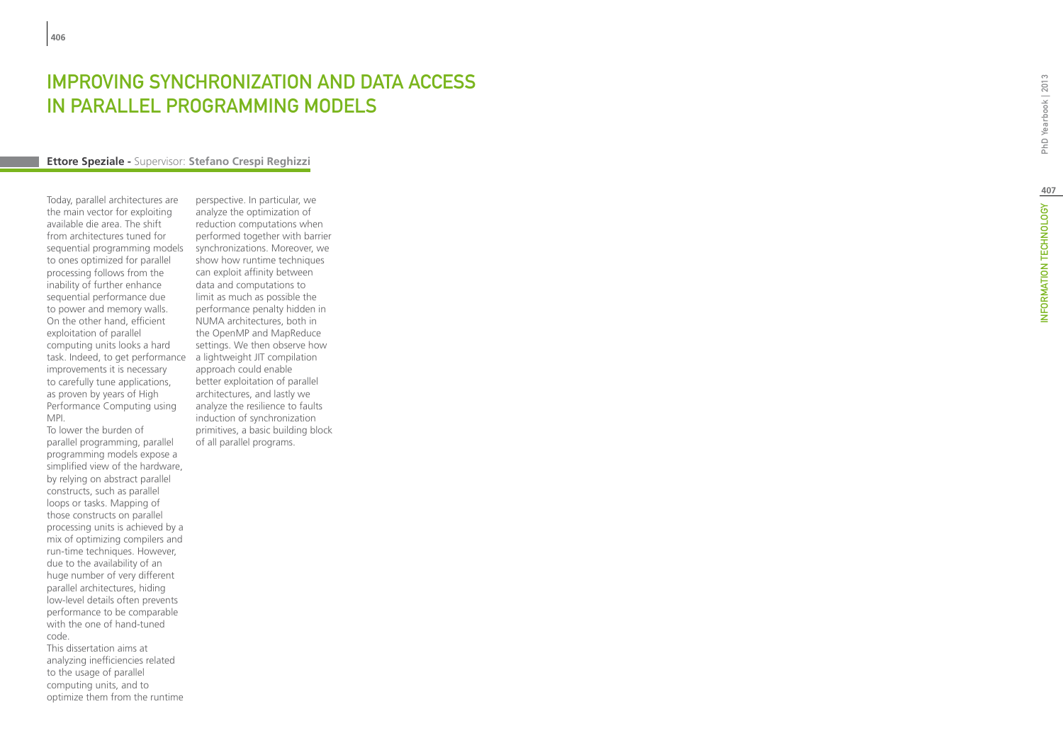# **EXPROVING SYNCHRONIZATION AND DATA ACCESS<br>IN PARALLEL PROGRAMMING MODELS<br>Ettore Speziale - Supervisor: Stefano Crespi Reghizzi** IN PARALLEL PROGRAMMING MODELS

Today, parallel architectures are the main vector for exploiting available die area. The shift from architectures tuned for sequential programming models to ones optimized for parallel processing follows from the inability of further enhance sequential performance due to power and memory walls. On the other hand, efficient exploitation of parallel computing units looks a hard task. Indeed, to get performance a lightweight JIT compilation improvements it is necessary to carefully tune applications, as proven by years of High Performance Computing using MPI.

To lower the burden of parallel programming, parallel programming models expose a simplified view of the hardware, by relying on abstract parallel constructs, such as parallel loops or tasks. Mapping of those constructs on parallel processing units is achieved by a mix of optimizing compilers and run-time techniques. However, due to the availability of an huge number of very different parallel architectures, hiding low-level details often prevents performance to be comparable with the one of hand-tuned code.

This dissertation aims at analyzing inefficiencies related to the usage of parallel computing units, and to optimize them from the runtime

perspective. In particular, we analyze the optimization of reduction computations when performed together with barrier synchronizations. Moreover, we show how runtime techniques can exploit affinity between data and computations to limit as much as possible the performance penalty hidden in NUMA architectures, both in the OpenMP and MapReduce settings. We then observe how approach could enable better exploitation of parallel architectures, and lastly we analyze the resilience to faults induction of synchronization primitives, a basic building block of all parallel programs.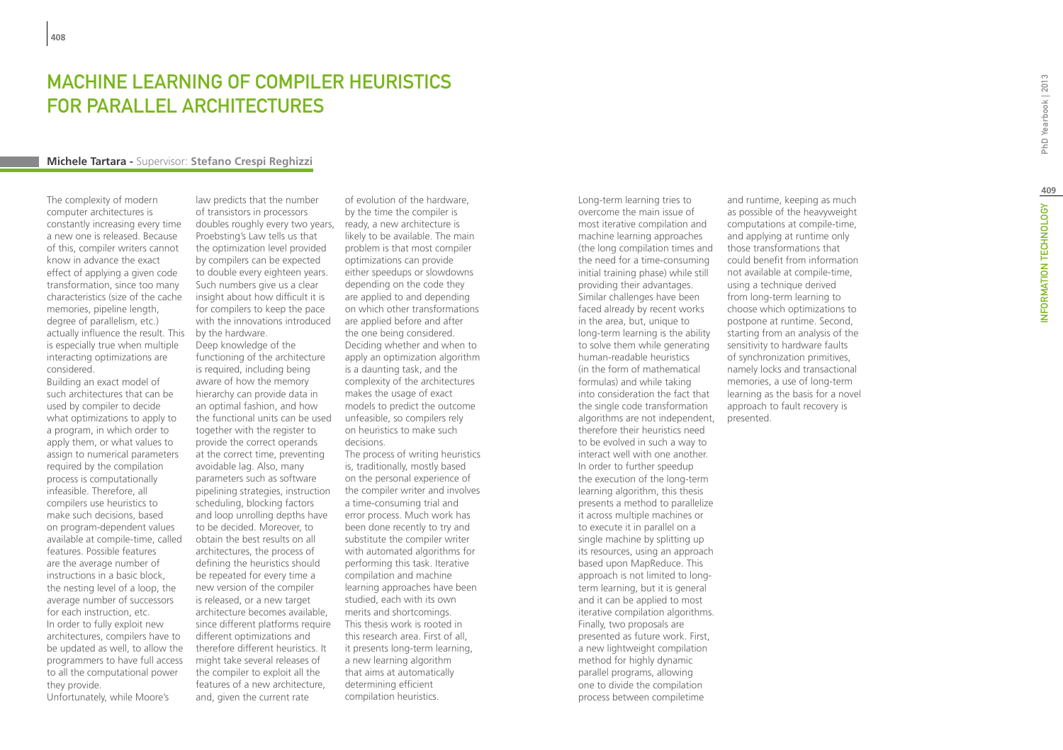# MACHINE LEARNING OF COMPILER HEURISTICS for Parallel Architectures

#### **Michele Tartara -** Supervisor: **Stefano Crespi Reghizzi**

The complexity of modern computer architectures is constantly increasing every time a new one is released. Because of this, compiler writers cannot know in advance the exact effect of applying a given code transformation, since too many characteristics (size of the cache memories, pipeline length, degree of parallelism, etc.) actually influence the result. This is especially true when multiple interacting optimizations are considered.

Building an exact model of such architectures that can be used by compiler to decide what optimizations to apply to a program, in which order to apply them, or what values to assign to numerical parameters required by the compilation process is computationally infeasible. Therefore, all compilers use heuristics to make such decisions, based on program-dependent values available at compile-time, called features. Possible features are the average number of instructions in a basic block, the nesting level of a loop, the average number of successors for each instruction, etc. In order to fully exploit new architectures, compilers have to be updated as well, to allow the programmers to have full access to all the computational power they provide. Unfortunately, while Moore's

law predicts that the number of transistors in processors doubles roughly every two years, ready, a new architecture is Proebsting's Law tells us that the optimization level provided by compilers can be expected to double every eighteen years. Such numbers give us a clear insight about how difficult it is for compilers to keep the pace with the innovations introduced by the hardware. Deep knowledge of the functioning of the architecture

is required, including being aware of how the memory hierarchy can provide data in an optimal fashion, and how the functional units can be used together with the register to provide the correct operands at the correct time, preventing avoidable lag. Also, many parameters such as software pipelining strategies, instruction scheduling, blocking factors and loop unrolling depths have to be decided. Moreover, to obtain the best results on all architectures, the process of defining the heuristics should be repeated for every time a new version of the compiler is released, or a new target architecture becomes available, since different platforms require different optimizations and therefore different heuristics. It might take several releases of the compiler to exploit all the features of a new architecture, and, given the current rate

of evolution of the hardware, by the time the compiler is likely to be available. The main problem is that most compiler optimizations can provide either speedups or slowdowns depending on the code they are applied to and depending on which other transformations are applied before and after the one being considered. Deciding whether and when to apply an optimization algorithm is a daunting task, and the complexity of the architectures makes the usage of exact models to predict the outcome unfeasible, so compilers rely on heuristics to make such decisions. The process of writing heuristics

is, traditionally, mostly based on the personal experience of the compiler writer and involves a time-consuming trial and error process. Much work has been done recently to try and substitute the compiler writer with automated algorithms for performing this task. Iterative compilation and machine learning approaches have been studied, each with its own merits and shortcomings. This thesis work is rooted in this research area. First of all, it presents long-term learning, a new learning algorithm that aims at automatically determining efficient compilation heuristics.

Long-term learning tries to overcome the main issue of most iterative compilation and machine learning approaches (the long compilation times and the need for a time-consuming initial training phase) while still providing their advantages. Similar challenges have been faced already by recent works in the area, but, unique to long-term learning is the ability to solve them while generating human-readable heuristics (in the form of mathematical formulas) and while taking into consideration the fact that the single code transformation algorithms are not independent, therefore their heuristics need to be evolved in such a way to interact well with one another. In order to further speedup the execution of the long-term learning algorithm, this thesis presents a method to parallelize it across multiple machines or to execute it in parallel on a single machine by splitting up its resources, using an approach based upon MapReduce. This approach is not limited to longterm learning, but it is general and it can be applied to most iterative compilation algorithms. Finally, two proposals are presented as future work. First, a new lightweight compilation method for highly dynamic parallel programs, allowing one to divide the compilation process between compiletime

and runtime, keeping as much as possible of the heavyweight computations at compile-time, and applying at runtime only those transformations that could benefit from information not available at compile-time, using a technique derived from long-term learning to choose which optimizations to postpone at runtime. Second, starting from an analysis of the sensitivity to hardware faults of synchronization primitives, namely locks and transactional memories, a use of long-term learning as the basis for a novel approach to fault recovery is presented.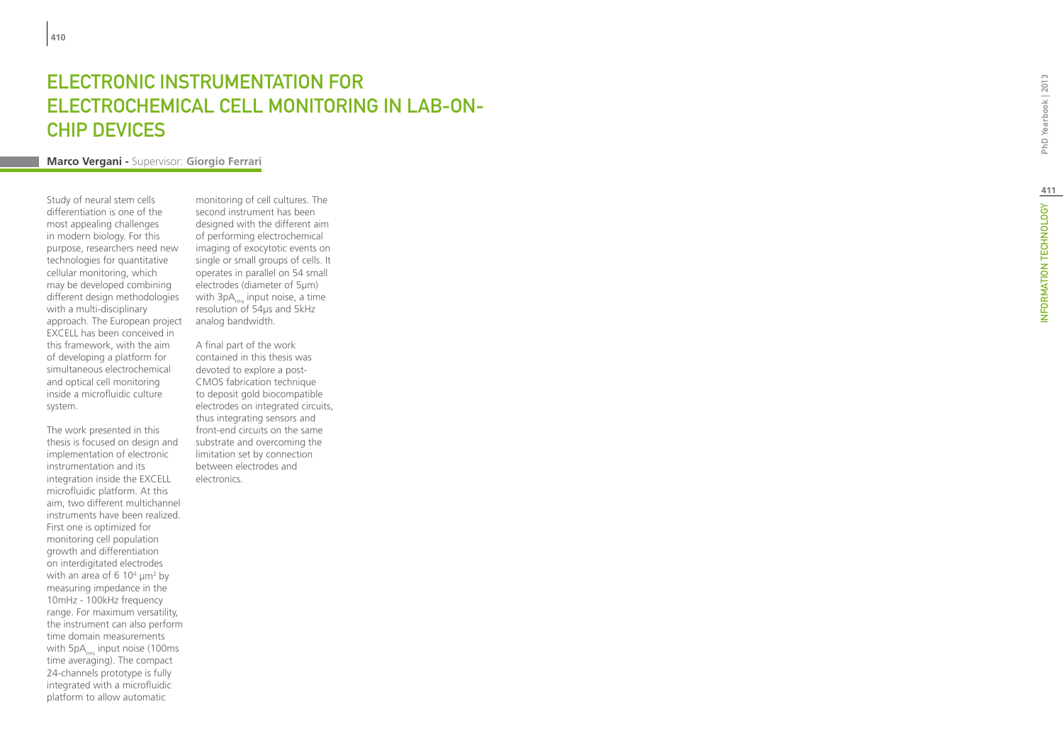# ELECTRONIC INSTRUMENTATION F El ectrochemical Cell Monitoring in Lab -on - Chip Devices

## **Marco Vergani -** Supervisor: **Giorgio Ferrari**

Study of neural stem cells differentiation is one of the most appealing challenges in modern biology. For this purpose, researchers need new technologies for quantitative cellular monitoring, which may be developed combining different design methodologies with a multi-disciplinary approach. The European project EXCELL has been conceived in this framework, with the aim of developing a platform for simultaneous electrochemical and optical cell monitoring inside a microfluidic culture system.

The work presented in this thesis is focused on design and implementation of electronic instrumentation and its integration inside the EXCELL microfluidic platform. At this aim, two different multichannel instruments have been realized. First one is optimized for monitoring cell population growth and differentiation on interdigitated electrodes with an area of 6 10<sup>4</sup>  $\mu$ m<sup>2</sup> by measuring impedance in the 10mHz - 100kHz frequency range. For maximum versatility, the instrument can also perform time domain measurements with  $5pA_{rms}$  input noise (100ms time averaging). The compact 24-channels prototype is fully integrated with a microfluidic platform to allow automatic

monitoring of cell cultures. The second instrument has been designed with the different aim of performing electrochemical imaging of exocytotic events on single or small groups of cells. It operates in parallel on 54 small electrodes (diameter of 5µm) with  $3pA_{rms}$  input noise, a time resolution of 54µs and 5kHz analog bandwidth.

A final part of the work contained in this thesis was devoted to explore a post-CMOS fabrication technique to deposit gold biocompatible electrodes on integrated circuits, thus integrating sensors and front-end circuits on the same substrate and overcoming the limitation set by connection between electrodes and electronics.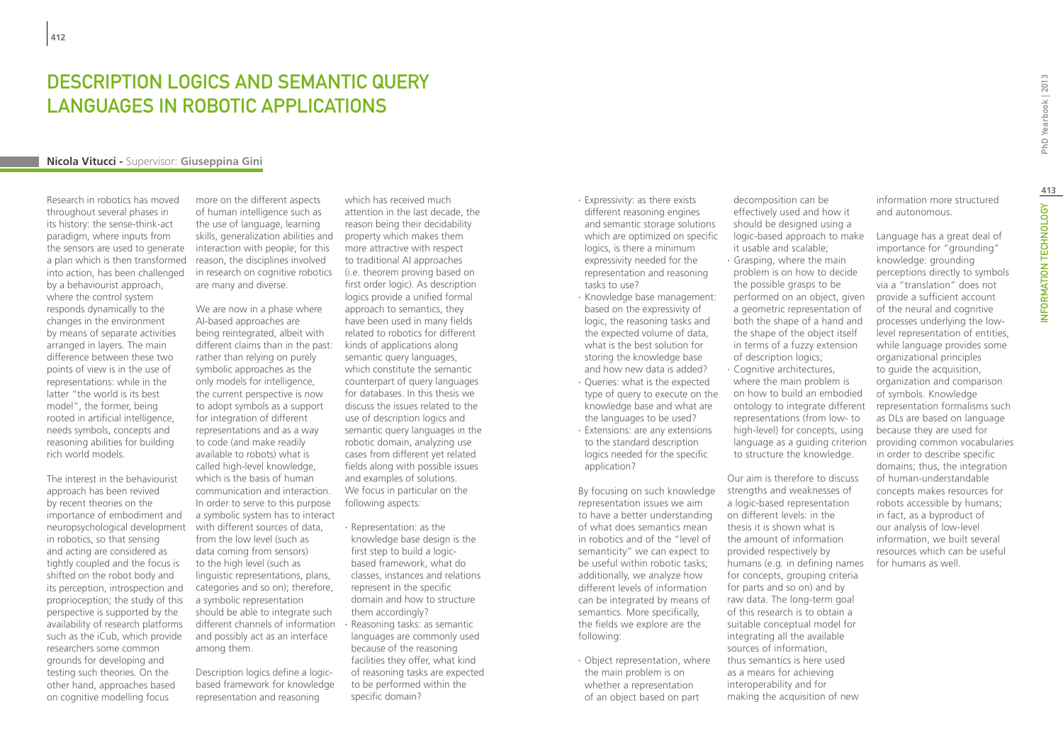## DESCRIPTION LOGICS AND SEMANTIC QUERY LANGUAGES IN ROBOTIC APPLICATIONS

#### **Nicola Vitucci -** Supervisor: **Giuseppina Gini**

Research in robotics has moved throughout several phases in its history: the sense-think-act paradigm, where inputs from the sensors are used to generate a plan which is then transformed into action, has been challenged by a behaviourist approach, where the control system responds dynamically to the changes in the environment by means of separate activities arranged in layers. The main difference between these two points of view is in the use of representations: while in the latter "the world is its best model", the former, being rooted in artificial intelligence, needs symbols, concepts and reasoning abilities for building rich world models.

The interest in the behaviourist approach has been revived by recent theories on the importance of embodiment and neuropsychological development in robotics, so that sensing and acting are considered as tightly coupled and the focus is shifted on the robot body and its perception, introspection and proprioception; the study of this perspective is supported by the availability of research platforms such as the iCub, which provide researchers some common grounds for developing and testing such theories. On the other hand, approaches based on cognitive modelling focus

more on the different aspects of human intelligence such as the use of language, learning skills, generalization abilities and interaction with people; for this reason, the disciplines involved in research on cognitive robotics are many and diverse.

We are now in a phase where AI-based approaches are being reintegrated, albeit with different claims than in the past: rather than relying on purely symbolic approaches as the only models for intelligence, the current perspective is now to adopt symbols as a support for integration of different representations and as a way to code (and make readily available to robots) what is called high-level knowledge, which is the basis of human communication and interaction. In order to serve to this purpose a symbolic system has to interact with different sources of data, from the low level (such as data coming from sensors) to the high level (such as linguistic representations, plans, categories and so on); therefore, a symbolic representation should be able to integrate such different channels of information and possibly act as an interface among them.

Description logics define a logicbased framework for knowledge representation and reasoning

which has received much attention in the last decade, the reason being their decidability property which makes them more attractive with respect to traditional AI approaches (i.e. theorem proving based on first order logic). As description logics provide a unified formal approach to semantics, they have been used in many fields related to robotics for different kinds of applications along semantic query languages, which constitute the semantic counterpart of query languages for databases. In this thesis we discuss the issues related to the use of description logics and semantic query languages in the robotic domain, analyzing use cases from different yet related fields along with possible issues and examples of solutions. We focus in particular on the following aspects:

∙ Representation: as the knowledge base design is the first step to build a logicbased framework, what do classes, instances and relations represent in the specific domain and how to structure them accordingly? ∙ Reasoning tasks: as semantic languages are commonly used because of the reasoning facilities they offer, what kind of reasoning tasks are expected to be performed within the specific domain?

∙ Expressivity: as there exists different reasoning engines and semantic storage solutions which are optimized on specific logics, is there a minimum expressivity needed for the representation and reasoning tasks to use?

- ∙ Knowledge base management: based on the expressivity of logic, the reasoning tasks and the expected volume of data, what is the best solution for storing the knowledge base and how new data is added?
- ∙ Queries: what is the expected type of query to execute on the knowledge base and what are the languages to be used? ∙ Extensions: are any extensions to the standard description logics needed for the specific

application?

By focusing on such knowledge representation issues we aim to have a better understanding of what does semantics mean in robotics and of the "level of semanticity" we can expect to be useful within robotic tasks; additionally, we analyze how different levels of information can be integrated by means of semantics. More specifically, the fields we explore are the following:

∙ Object representation, where the main problem is on whether a representation of an object based on part

decomposition can be effectively used and how it should be designed using a logic-based approach to make it usable and scalable; ∙ Grasping, where the main problem is on how to decide the possible grasps to be performed on an object, given a geometric representation of both the shape of a hand and the shape of the object itself

in terms of a fuzzy extension of description logics; ∙ Cognitive architectures, where the main problem is on how to build an embodied ontology to integrate different representations (from low- to high-level) for concepts, using language as a guiding criterion to structure the knowledge.

Our aim is therefore to discuss strengths and weaknesses of a logic-based representation on different levels: in the thesis it is shown what is the amount of information provided respectively by humans (e.g. in defining names for concepts, grouping criteria for parts and so on) and by raw data. The long-term goal of this research is to obtain a suitable conceptual model for integrating all the available sources of information, thus semantics is here used as a means for achieving interoperability and for making the acquisition of new

information more structured and autonomous.

Language has a great deal of importance for "grounding" knowledge: grounding perceptions directly to symbols via a "translation" does not provide a sufficient account of the neural and cognitive processes underlying the lowlevel representation of entities, while language provides some organizational principles to guide the acquisition, organization and comparison of symbols. Knowledge representation formalisms such as DLs are based on language because they are used for providing common vocabularies in order to describe specific domains; thus, the integration of human-understandable concepts makes resources for robots accessible by humans; in fact, as a byproduct of our analysis of low-level information, we built several resources which can be useful for humans as well.

INFORMATION TECHNOLOGY